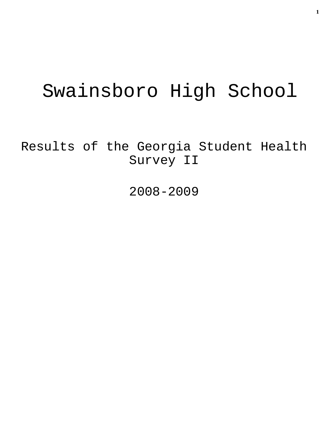# Swainsboro High School

Results of the Georgia Student Health Survey II

2008-2009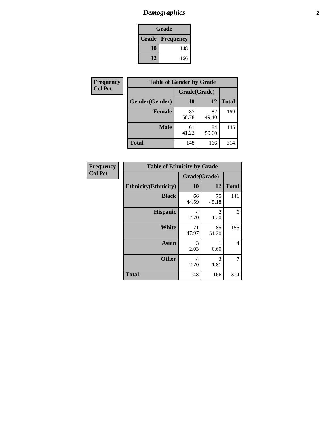# *Demographics* **2**

| Grade                    |     |  |  |  |
|--------------------------|-----|--|--|--|
| <b>Grade   Frequency</b> |     |  |  |  |
| 10                       | 148 |  |  |  |
| 12                       | 166 |  |  |  |

| Frequency      | <b>Table of Gender by Grade</b> |              |             |              |  |  |
|----------------|---------------------------------|--------------|-------------|--------------|--|--|
| <b>Col Pct</b> |                                 | Grade(Grade) |             |              |  |  |
|                | Gender(Gender)                  | 10           | 12          | <b>Total</b> |  |  |
|                | <b>Female</b>                   | 87<br>58.78  | 82<br>49.40 | 169          |  |  |
|                | <b>Male</b>                     | 61<br>41.22  | 84<br>50.60 | 145          |  |  |
|                | <b>Total</b>                    | 148          | 166         | 314          |  |  |

| Frequency<br>Col Pct |
|----------------------|

| <b>Table of Ethnicity by Grade</b> |              |             |              |  |  |  |
|------------------------------------|--------------|-------------|--------------|--|--|--|
|                                    | Grade(Grade) |             |              |  |  |  |
| <b>Ethnicity</b> (Ethnicity)       | 10           | 12          | <b>Total</b> |  |  |  |
| <b>Black</b>                       | 66<br>44.59  | 75<br>45.18 | 141          |  |  |  |
| <b>Hispanic</b>                    | 4<br>2.70    | 2<br>1.20   | 6            |  |  |  |
| White                              | 71<br>47.97  | 85<br>51.20 | 156          |  |  |  |
| <b>Asian</b>                       | 3<br>2.03    | 1<br>0.60   | 4            |  |  |  |
| <b>Other</b>                       | 4<br>2.70    | 3<br>1.81   | 7            |  |  |  |
| <b>Total</b>                       | 148          | 166         | 314          |  |  |  |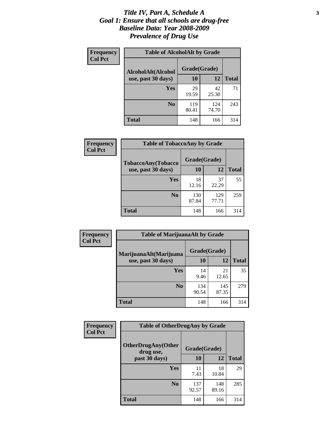#### *Title IV, Part A, Schedule A* **3** *Goal 1: Ensure that all schools are drug-free Baseline Data: Year 2008-2009 Prevalence of Drug Use*

| Frequency<br><b>Col Pct</b> | <b>Table of AlcoholAlt by Grade</b> |              |              |              |  |
|-----------------------------|-------------------------------------|--------------|--------------|--------------|--|
|                             | AlcoholAlt(Alcohol                  | Grade(Grade) |              |              |  |
|                             | use, past 30 days)                  | 10           | 12           | <b>Total</b> |  |
|                             | <b>Yes</b>                          | 29<br>19.59  | 42<br>25.30  | 71           |  |
|                             | N <sub>0</sub>                      | 119<br>80.41 | 124<br>74.70 | 243          |  |
|                             | Total                               | 148          | 166          | 314          |  |

| <b>Frequency</b><br><b>Col Pct</b> | <b>Table of TobaccoAny by Grade</b> |              |              |              |  |
|------------------------------------|-------------------------------------|--------------|--------------|--------------|--|
|                                    | TobaccoAny(Tobacco                  | Grade(Grade) |              |              |  |
|                                    | use, past 30 days)                  | 10           | 12           | <b>Total</b> |  |
|                                    | Yes                                 | 18<br>12.16  | 37<br>22.29  | 55           |  |
|                                    | N <sub>0</sub>                      | 130<br>87.84 | 129<br>77.71 | 259          |  |
|                                    | Total                               | 148          | 166          | 314          |  |

| Frequency      | <b>Table of MarijuanaAlt by Grade</b> |              |              |              |  |
|----------------|---------------------------------------|--------------|--------------|--------------|--|
| <b>Col Pct</b> | MarijuanaAlt(Marijuana                | Grade(Grade) |              |              |  |
|                | use, past 30 days)                    | 10           | 12           | <b>Total</b> |  |
|                | Yes                                   | 14<br>9.46   | 21<br>12.65  | 35           |  |
|                | N <sub>0</sub>                        | 134<br>90.54 | 145<br>87.35 | 279          |  |
|                | <b>Total</b>                          | 148          | 166          | 314          |  |

| <b>Frequency</b> | <b>Table of OtherDrugAny by Grade</b>  |              |              |              |  |
|------------------|----------------------------------------|--------------|--------------|--------------|--|
| <b>Col Pct</b>   | <b>OtherDrugAny(Other</b><br>drug use, | Grade(Grade) |              |              |  |
|                  | past 30 days)                          | 10           | 12           | <b>Total</b> |  |
|                  | Yes                                    | 11<br>7.43   | 18<br>10.84  | 29           |  |
|                  | N <sub>0</sub>                         | 137<br>92.57 | 148<br>89.16 | 285          |  |
|                  | <b>Total</b>                           | 148          | 166          | 314          |  |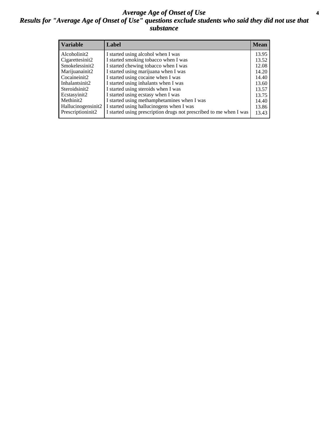#### *Average Age of Onset of Use* **4** *Results for "Average Age of Onset of Use" questions exclude students who said they did not use that substance*

| <b>Variable</b>    | Label                                                              | <b>Mean</b> |
|--------------------|--------------------------------------------------------------------|-------------|
| Alcoholinit2       | I started using alcohol when I was                                 | 13.95       |
| Cigarettesinit2    | I started smoking tobacco when I was                               | 13.52       |
| Smokelessinit2     | I started chewing tobacco when I was                               | 12.08       |
| Marijuanainit2     | I started using marijuana when I was                               | 14.20       |
| Cocaineinit2       | I started using cocaine when I was                                 | 14.40       |
| Inhalantsinit2     | I started using inhalants when I was                               | 13.60       |
| Steroidsinit2      | I started using steroids when I was                                | 13.57       |
| Ecstasyinit2       | I started using ecstasy when I was                                 | 13.75       |
| Methinit2          | I started using methamphetamines when I was                        | 14.40       |
| Hallucinogensinit2 | I started using hallucinogens when I was                           | 13.86       |
| Prescriptioninit2  | I started using prescription drugs not prescribed to me when I was | 13.43       |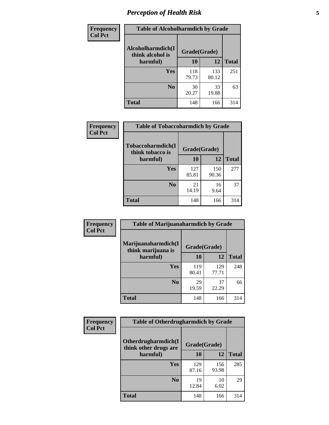# *Perception of Health Risk* **5**

| Frequency      | <b>Table of Alcoholharmdich by Grade</b> |              |              |              |  |
|----------------|------------------------------------------|--------------|--------------|--------------|--|
| <b>Col Pct</b> | Alcoholharmdich(I<br>think alcohol is    | Grade(Grade) |              |              |  |
|                | harmful)                                 | 10           | 12           | <b>Total</b> |  |
|                | <b>Yes</b>                               | 118<br>79.73 | 133<br>80.12 | 251          |  |
|                | N <sub>0</sub>                           | 30<br>20.27  | 33<br>19.88  | 63           |  |
|                | <b>Total</b>                             | 148          | 166          | 314          |  |

| Frequency      | <b>Table of Tobaccoharmdich by Grade</b> |              |              |              |  |
|----------------|------------------------------------------|--------------|--------------|--------------|--|
| <b>Col Pct</b> | Tobaccoharmdich(I<br>think tobacco is    | Grade(Grade) |              |              |  |
|                | harmful)                                 | 10           | 12           | <b>Total</b> |  |
|                | Yes                                      | 127<br>85.81 | 150<br>90.36 | 277          |  |
|                | N <sub>0</sub>                           | 21<br>14.19  | 16<br>9.64   | 37           |  |
|                | <b>Total</b>                             | 148          | 166          | 314          |  |

| Frequency      | <b>Table of Marijuanaharmdich by Grade</b> |              |              |              |  |  |
|----------------|--------------------------------------------|--------------|--------------|--------------|--|--|
| <b>Col Pct</b> | Marijuanaharmdich(I<br>think marijuana is  | Grade(Grade) |              |              |  |  |
|                | harmful)                                   | 10           | 12           | <b>Total</b> |  |  |
|                | <b>Yes</b>                                 | 119<br>80.41 | 129<br>77.71 | 248          |  |  |
|                | N <sub>0</sub>                             | 29<br>19.59  | 37<br>22.29  | 66           |  |  |
|                | <b>Total</b>                               | 148          | 166          | 314          |  |  |

| Frequency      | <b>Table of Otherdrugharmdich by Grade</b>                   |              |              |              |
|----------------|--------------------------------------------------------------|--------------|--------------|--------------|
| <b>Col Pct</b> | Otherdrugharmdich(I<br>Grade(Grade)<br>think other drugs are |              |              |              |
|                | harmful)                                                     | <b>10</b>    | 12           | <b>Total</b> |
|                | Yes                                                          | 129<br>87.16 | 156<br>93.98 | 285          |
|                | N <sub>0</sub>                                               | 19<br>12.84  | 10<br>6.02   | 29           |
|                | <b>Total</b>                                                 | 148          | 166          | 314          |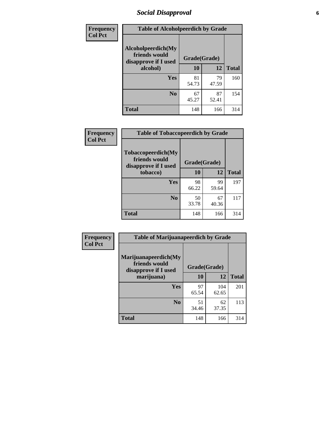### *Social Disapproval* **6**

| Frequency      | <b>Table of Alcoholpeerdich by Grade</b>                    |              |             |              |
|----------------|-------------------------------------------------------------|--------------|-------------|--------------|
| <b>Col Pct</b> | Alcoholpeerdich(My<br>friends would<br>disapprove if I used | Grade(Grade) |             |              |
|                | alcohol)                                                    | 10           | 12          | <b>Total</b> |
|                | <b>Yes</b>                                                  | 81<br>54.73  | 79<br>47.59 | 160          |
|                | N <sub>0</sub>                                              | 67<br>45.27  | 87<br>52.41 | 154          |
|                | <b>Total</b>                                                | 148          | 166         | 314          |

| <b>Frequency</b> |
|------------------|
| <b>Col Pct</b>   |

| <b>Table of Tobaccopeerdich by Grade</b>                    |              |       |              |  |  |
|-------------------------------------------------------------|--------------|-------|--------------|--|--|
| Tobaccopeerdich(My<br>friends would<br>disapprove if I used | Grade(Grade) |       |              |  |  |
| tobacco)                                                    | 10           | 12    | <b>Total</b> |  |  |
| Yes                                                         | 98           | 99    | 197          |  |  |
|                                                             | 66.22        | 59.64 |              |  |  |
| N <sub>0</sub>                                              | 50           | 67    | 117          |  |  |
|                                                             | 33.78        | 40.36 |              |  |  |
| <b>Total</b>                                                | 148          | 166   | 314          |  |  |

| <b>Frequency</b> | <b>Table of Marijuanapeerdich by Grade</b>                    |              |              |              |  |
|------------------|---------------------------------------------------------------|--------------|--------------|--------------|--|
| <b>Col Pct</b>   | Marijuanapeerdich(My<br>friends would<br>disapprove if I used | Grade(Grade) |              |              |  |
|                  | marijuana)                                                    | 10           | 12           | <b>Total</b> |  |
|                  | Yes                                                           | 97<br>65.54  | 104<br>62.65 | 201          |  |
|                  | N <sub>0</sub>                                                | 51<br>34.46  | 62<br>37.35  | 113          |  |
|                  | <b>Total</b>                                                  | 148          | 166          | 314          |  |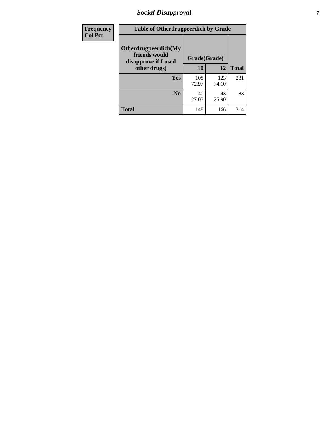# *Social Disapproval* **7**

| Frequency      | <b>Table of Otherdrugpeerdich by Grade</b>                    |              |              |              |  |
|----------------|---------------------------------------------------------------|--------------|--------------|--------------|--|
| <b>Col Pct</b> | Otherdrugpeerdich(My<br>friends would<br>disapprove if I used | Grade(Grade) |              |              |  |
|                | other drugs)                                                  | 10           | 12           | <b>Total</b> |  |
|                | <b>Yes</b>                                                    | 108<br>72.97 | 123<br>74.10 | 231          |  |
|                | N <sub>0</sub>                                                | 40<br>27.03  | 43<br>25.90  | 83           |  |
|                | <b>Total</b>                                                  | 148          | 166          | 314          |  |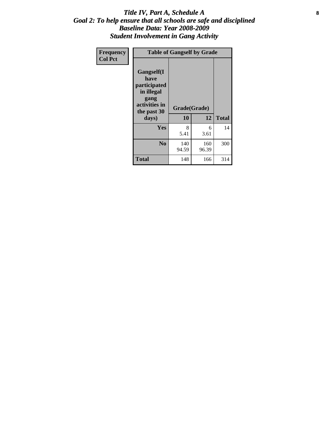#### Title IV, Part A, Schedule A **8** *Goal 2: To help ensure that all schools are safe and disciplined Baseline Data: Year 2008-2009 Student Involvement in Gang Activity*

| Frequency      | <b>Table of Gangself by Grade</b>                                                                 |                    |              |              |
|----------------|---------------------------------------------------------------------------------------------------|--------------------|--------------|--------------|
| <b>Col Pct</b> | Gangself(I<br>have<br>participated<br>in illegal<br>gang<br>activities in<br>the past 30<br>days) | Grade(Grade)<br>10 | 12           | <b>Total</b> |
|                | Yes                                                                                               | 8<br>5.41          | 6<br>3.61    | 14           |
|                | N <sub>0</sub>                                                                                    | 140<br>94.59       | 160<br>96.39 | 300          |
|                | <b>Total</b>                                                                                      | 148                | 166          | 314          |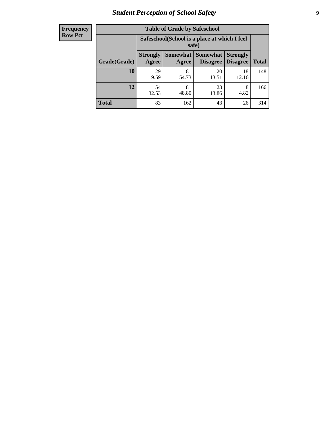# *Student Perception of School Safety* **9**

| <b>Frequency</b><br>Row Pct |
|-----------------------------|
|                             |

| <b>Table of Grade by Safeschool</b> |                                                                                                                            |                                                        |             |             |     |  |  |
|-------------------------------------|----------------------------------------------------------------------------------------------------------------------------|--------------------------------------------------------|-------------|-------------|-----|--|--|
|                                     |                                                                                                                            | Safeschool (School is a place at which I feel<br>safe) |             |             |     |  |  |
| Grade(Grade)                        | Somewhat   Somewhat<br><b>Strongly</b><br><b>Strongly</b><br><b>Disagree</b><br>Agree<br>Disagree<br><b>Total</b><br>Agree |                                                        |             |             |     |  |  |
| 10                                  | 29<br>19.59                                                                                                                | 81<br>54.73                                            | 20<br>13.51 | 18<br>12.16 | 148 |  |  |
| 12                                  | 54<br>32.53                                                                                                                | 81<br>48.80                                            | 23<br>13.86 | 8<br>4.82   | 166 |  |  |
| <b>Total</b>                        | 83                                                                                                                         | 162                                                    | 43          | 26          | 314 |  |  |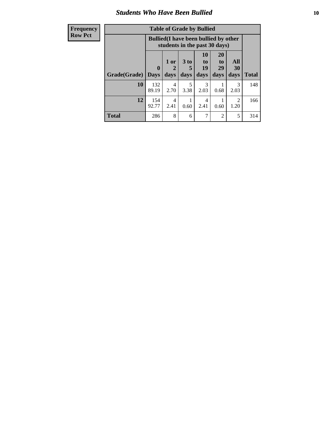### *Students Who Have Been Bullied* **10**

| <b>Frequency</b> | <b>Table of Grade by Bullied</b>                                              |              |                        |                      |                          |                       |                        |              |
|------------------|-------------------------------------------------------------------------------|--------------|------------------------|----------------------|--------------------------|-----------------------|------------------------|--------------|
| <b>Row Pct</b>   | <b>Bullied</b> (I have been bullied by other<br>students in the past 30 days) |              |                        |                      |                          |                       |                        |              |
|                  |                                                                               | $\mathbf{0}$ | 1 or<br>2              | 3 <sub>to</sub><br>5 | 10<br>$\mathbf{t}$<br>19 | <b>20</b><br>to<br>29 | All<br>30              |              |
|                  | Grade(Grade)                                                                  | <b>Days</b>  | days                   | days                 | days                     | days                  | days                   | <b>Total</b> |
|                  | 10                                                                            | 132<br>89.19 | 4<br>2.70              | 5<br>3.38            | 3<br>2.03                | 0.68                  | 3<br>2.03              | 148          |
|                  | 12                                                                            | 154<br>92.77 | $\overline{4}$<br>2.41 | 0.60                 | 4<br>2.41                | 0.60                  | $\mathfrak{D}$<br>1.20 | 166          |
|                  | <b>Total</b>                                                                  | 286          | 8                      | 6                    | 7                        | $\overline{2}$        | 5                      | 314          |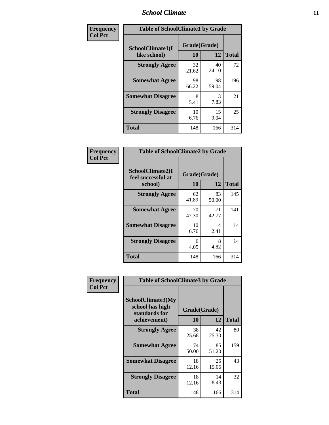### *School Climate* **11**

| Frequency      | <b>Table of SchoolClimate1 by Grade</b> |                    |             |              |  |
|----------------|-----------------------------------------|--------------------|-------------|--------------|--|
| <b>Col Pct</b> | SchoolClimate1(I<br>like school)        | Grade(Grade)<br>10 | 12          | <b>Total</b> |  |
|                | <b>Strongly Agree</b>                   | 32<br>21.62        | 40<br>24.10 | 72           |  |
|                | <b>Somewhat Agree</b>                   | 98<br>66.22        | 98<br>59.04 | 196          |  |
|                | <b>Somewhat Disagree</b>                | 8<br>5.41          | 13<br>7.83  | 21           |  |
|                | <b>Strongly Disagree</b>                | 10<br>6.76         | 15<br>9.04  | 25           |  |
|                | <b>Total</b>                            | 148                | 166         | 314          |  |

| Frequency<br><b>Col Pct</b> | <b>Table of SchoolClimate2 by Grade</b>           |                    |             |              |  |  |
|-----------------------------|---------------------------------------------------|--------------------|-------------|--------------|--|--|
|                             | SchoolClimate2(I<br>feel successful at<br>school) | Grade(Grade)<br>10 | 12          | <b>Total</b> |  |  |
|                             | <b>Strongly Agree</b>                             | 62<br>41.89        | 83<br>50.00 | 145          |  |  |
|                             | <b>Somewhat Agree</b>                             | 70<br>47.30        | 71<br>42.77 | 141          |  |  |
|                             | <b>Somewhat Disagree</b>                          | 10<br>6.76         | 4<br>2.41   | 14           |  |  |
|                             | <b>Strongly Disagree</b>                          | 6<br>4.05          | 8<br>4.82   | 14           |  |  |
|                             | <b>Total</b>                                      | 148                | 166         | 314          |  |  |

| Frequency | <b>Table of SchoolClimate3 by Grade</b>                                      |                    |             |              |
|-----------|------------------------------------------------------------------------------|--------------------|-------------|--------------|
| Col Pct   | <b>SchoolClimate3(My</b><br>school has high<br>standards for<br>achievement) | Grade(Grade)<br>10 | 12          | <b>Total</b> |
|           |                                                                              |                    |             |              |
|           | <b>Strongly Agree</b>                                                        | 38<br>25.68        | 42<br>25.30 | 80           |
|           | <b>Somewhat Agree</b>                                                        | 74<br>50.00        | 85<br>51.20 | 159          |
|           | <b>Somewhat Disagree</b>                                                     | 18<br>12.16        | 25<br>15.06 | 43           |
|           | <b>Strongly Disagree</b>                                                     | 18<br>12.16        | 14<br>8.43  | 32           |
|           | Total                                                                        | 148                | 166         | 314          |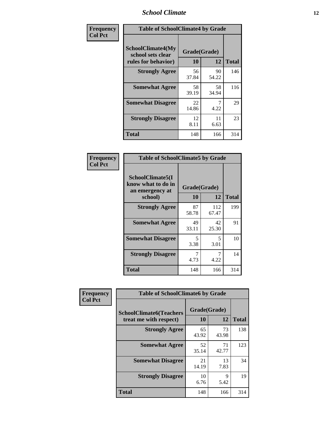### *School Climate* **12**

| Frequency      | <b>Table of SchoolClimate4 by Grade</b>                              |                    |             |              |
|----------------|----------------------------------------------------------------------|--------------------|-------------|--------------|
| <b>Col Pct</b> | <b>SchoolClimate4(My</b><br>school sets clear<br>rules for behavior) | Grade(Grade)<br>10 | 12          | <b>Total</b> |
|                | <b>Strongly Agree</b>                                                | 56<br>37.84        | 90<br>54.22 | 146          |
|                | <b>Somewhat Agree</b>                                                | 58<br>39.19        | 58<br>34.94 | 116          |
|                | <b>Somewhat Disagree</b>                                             | 22<br>14.86        | 4.22        | 29           |
|                | <b>Strongly Disagree</b>                                             | 12<br>8.11         | 11<br>6.63  | 23           |
|                | Total                                                                | 148                | 166         | 314          |

| <b>Table of SchoolClimate5 by Grade</b>                              |                    |             |              |  |
|----------------------------------------------------------------------|--------------------|-------------|--------------|--|
| SchoolClimate5(I<br>know what to do in<br>an emergency at<br>school) | Grade(Grade)<br>10 | 12          | <b>Total</b> |  |
| <b>Strongly Agree</b>                                                | 87                 | 112         | 199          |  |
|                                                                      | 58.78              | 67.47       |              |  |
| <b>Somewhat Agree</b>                                                | 49<br>33.11        | 42<br>25.30 | 91           |  |
| <b>Somewhat Disagree</b>                                             | 5<br>3.38          | 5<br>3.01   | 10           |  |
| <b>Strongly Disagree</b>                                             | 7<br>4.73          | 4.22        | 14           |  |
| <b>Total</b>                                                         | 148                | 166         | 314          |  |

| Frequency      | <b>Table of SchoolClimate6 by Grade</b>                  |                    |             |              |
|----------------|----------------------------------------------------------|--------------------|-------------|--------------|
| <b>Col Pct</b> | <b>SchoolClimate6(Teachers</b><br>treat me with respect) | Grade(Grade)<br>10 | 12          | <b>Total</b> |
|                | <b>Strongly Agree</b>                                    | 65<br>43.92        | 73<br>43.98 | 138          |
|                | <b>Somewhat Agree</b>                                    | 52<br>35.14        | 71<br>42.77 | 123          |
|                | <b>Somewhat Disagree</b>                                 | 21<br>14.19        | 13<br>7.83  | 34           |
|                | <b>Strongly Disagree</b>                                 | 10<br>6.76         | 9<br>5.42   | 19           |
|                | <b>Total</b>                                             | 148                | 166         | 314          |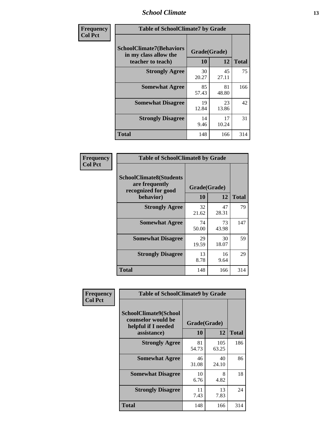### *School Climate* **13**

| Frequency      | <b>Table of SchoolClimate7 by Grade</b>                                       |                           |             |              |
|----------------|-------------------------------------------------------------------------------|---------------------------|-------------|--------------|
| <b>Col Pct</b> | <b>SchoolClimate7(Behaviors</b><br>in my class allow the<br>teacher to teach) | Grade(Grade)<br><b>10</b> | 12          | <b>Total</b> |
|                | <b>Strongly Agree</b>                                                         | 30<br>20.27               | 45<br>27.11 | 75           |
|                | <b>Somewhat Agree</b>                                                         | 85<br>57.43               | 81<br>48.80 | 166          |
|                | <b>Somewhat Disagree</b>                                                      | 19<br>12.84               | 23<br>13.86 | 42           |
|                | <b>Strongly Disagree</b>                                                      | 14<br>9.46                | 17<br>10.24 | 31           |
|                | <b>Total</b>                                                                  | 148                       | 166         | 314          |

| Frequency      | <b>Table of SchoolClimate8 by Grade</b>                                              |                    |             |              |
|----------------|--------------------------------------------------------------------------------------|--------------------|-------------|--------------|
| <b>Col Pct</b> | <b>SchoolClimate8(Students</b><br>are frequently<br>recognized for good<br>behavior) | Grade(Grade)<br>10 | 12          | <b>Total</b> |
|                | <b>Strongly Agree</b>                                                                | 32<br>21.62        | 47<br>28.31 | 79           |
|                | <b>Somewhat Agree</b>                                                                | 74<br>50.00        | 73<br>43.98 | 147          |
|                | <b>Somewhat Disagree</b>                                                             | 29<br>19.59        | 30<br>18.07 | 59           |
|                | <b>Strongly Disagree</b>                                                             | 13<br>8.78         | 16<br>9.64  | 29           |
|                | <b>Total</b>                                                                         | 148                | 166         | 314          |

| Frequency      | <b>Table of SchoolClimate9 by Grade</b>                                           |                    |              |              |
|----------------|-----------------------------------------------------------------------------------|--------------------|--------------|--------------|
| <b>Col Pct</b> | SchoolClimate9(School<br>counselor would be<br>helpful if I needed<br>assistance) | Grade(Grade)<br>10 | 12           | <b>Total</b> |
|                | <b>Strongly Agree</b>                                                             | 81<br>54.73        | 105<br>63.25 | 186          |
|                | <b>Somewhat Agree</b>                                                             | 46<br>31.08        | 40<br>24.10  | 86           |
|                | <b>Somewhat Disagree</b>                                                          | 10<br>6.76         | 8<br>4.82    | 18           |
|                | <b>Strongly Disagree</b>                                                          | 11<br>7.43         | 13<br>7.83   | 24           |
|                | <b>Total</b>                                                                      | 148                | 166          | 314          |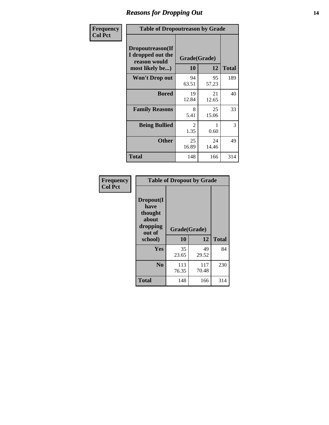### *Reasons for Dropping Out* **14**

| Frequency      | <b>Table of Dropoutreason by Grade</b>                                   |             |                    |              |
|----------------|--------------------------------------------------------------------------|-------------|--------------------|--------------|
| <b>Col Pct</b> | Dropoutreason(If<br>I dropped out the<br>reason would<br>most likely be) | 10          | Grade(Grade)<br>12 | <b>Total</b> |
|                | Won't Drop out                                                           | 94<br>63.51 | 95<br>57.23        | 189          |
|                | <b>Bored</b>                                                             | 19<br>12.84 | 21<br>12.65        | 40           |
|                | <b>Family Reasons</b>                                                    | 8<br>5.41   | 25<br>15.06        | 33           |
|                | <b>Being Bullied</b>                                                     | 2<br>1.35   | 1<br>0.60          | 3            |
|                | <b>Other</b>                                                             | 25<br>16.89 | 24<br>14.46        | 49           |
|                | <b>Total</b>                                                             | 148         | 166                | 314          |

| Frequency      | <b>Table of Dropout by Grade</b>                                       |                    |              |              |  |
|----------------|------------------------------------------------------------------------|--------------------|--------------|--------------|--|
| <b>Col Pct</b> | Dropout(I<br>have<br>thought<br>about<br>dropping<br>out of<br>school) | Grade(Grade)<br>10 | 12           | <b>Total</b> |  |
|                | Yes                                                                    | 35<br>23.65        | 49<br>29.52  | 84           |  |
|                | N <sub>0</sub>                                                         | 113<br>76.35       | 117<br>70.48 | 230          |  |
|                | <b>Total</b>                                                           | 148                | 166          | 314          |  |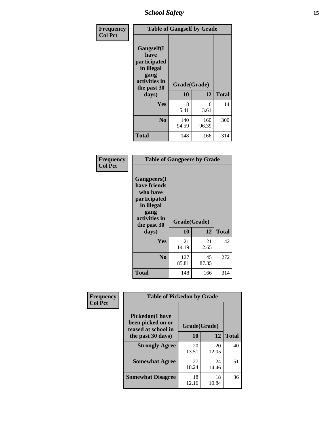*School Safety* **15**

| Frequency      | <b>Table of Gangself by Grade</b>                                                                 |                    |              |              |
|----------------|---------------------------------------------------------------------------------------------------|--------------------|--------------|--------------|
| <b>Col Pct</b> | Gangself(I<br>have<br>participated<br>in illegal<br>gang<br>activities in<br>the past 30<br>days) | Grade(Grade)<br>10 | 12           | <b>Total</b> |
|                | Yes                                                                                               | 8<br>5.41          | 6<br>3.61    | 14           |
|                | N <sub>0</sub>                                                                                    | 140<br>94.59       | 160<br>96.39 | 300          |
|                | <b>Total</b>                                                                                      | 148                | 166          | 314          |

| Frequency<br><b>Col Pct</b> | <b>Table of Gangpeers by Grade</b>                                                                                             |                    |              |              |  |
|-----------------------------|--------------------------------------------------------------------------------------------------------------------------------|--------------------|--------------|--------------|--|
|                             | <b>Gangpeers</b> (I<br>have friends<br>who have<br>participated<br>in illegal<br>gang<br>activities in<br>the past 30<br>days) | Grade(Grade)<br>10 | 12           | <b>Total</b> |  |
|                             | <b>Yes</b>                                                                                                                     | 21<br>14.19        | 21<br>12.65  | 42           |  |
|                             | N <sub>0</sub>                                                                                                                 | 127<br>85.81       | 145<br>87.35 | 272          |  |
|                             | <b>Total</b>                                                                                                                   | 148                | 166          | 314          |  |

| Frequency      | <b>Table of Pickedon by Grade</b>                                  |              |             |              |
|----------------|--------------------------------------------------------------------|--------------|-------------|--------------|
| <b>Col Pct</b> | <b>Pickedon(I have</b><br>been picked on or<br>teased at school in | Grade(Grade) |             |              |
|                | the past 30 days)                                                  | 10           | 12          | <b>Total</b> |
|                | <b>Strongly Agree</b>                                              | 20<br>13.51  | 20<br>12.05 | 40           |
|                | <b>Somewhat Agree</b>                                              | 27<br>18.24  | 24<br>14.46 | 51           |
|                | <b>Somewhat Disagree</b>                                           | 18<br>12.16  | 18<br>10.84 | 36           |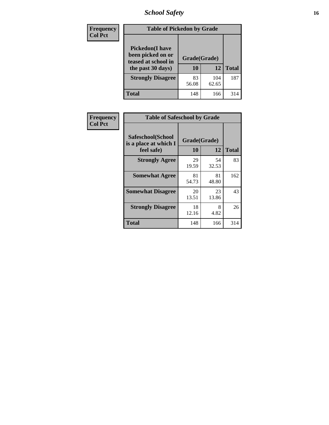# *School Safety* **16**

| <b>Frequency</b> |                                                                                          | <b>Table of Pickedon by Grade</b> |              |              |  |  |  |  |  |  |  |
|------------------|------------------------------------------------------------------------------------------|-----------------------------------|--------------|--------------|--|--|--|--|--|--|--|
| <b>Col Pct</b>   | <b>Pickedon</b> (I have<br>been picked on or<br>teased at school in<br>the past 30 days) | Grade(Grade)<br>10                | 12           | <b>Total</b> |  |  |  |  |  |  |  |
|                  | <b>Strongly Disagree</b>                                                                 | 83<br>56.08                       | 104<br>62.65 | 187          |  |  |  |  |  |  |  |
|                  | <b>Total</b>                                                                             | 148                               | 166          | 314          |  |  |  |  |  |  |  |

| Frequency      | <b>Table of Safeschool by Grade</b>                      |                    |             |              |
|----------------|----------------------------------------------------------|--------------------|-------------|--------------|
| <b>Col Pct</b> | Safeschool(School<br>is a place at which I<br>feel safe) | Grade(Grade)<br>10 | 12          | <b>Total</b> |
|                | <b>Strongly Agree</b>                                    | 29<br>19.59        | 54<br>32.53 | 83           |
|                | <b>Somewhat Agree</b>                                    | 81<br>54.73        | 81<br>48.80 | 162          |
|                | <b>Somewhat Disagree</b>                                 | 20<br>13.51        | 23<br>13.86 | 43           |
|                | <b>Strongly Disagree</b>                                 | 18<br>12.16        | 8<br>4.82   | 26           |
|                | <b>Total</b>                                             | 148                | 166         | 314          |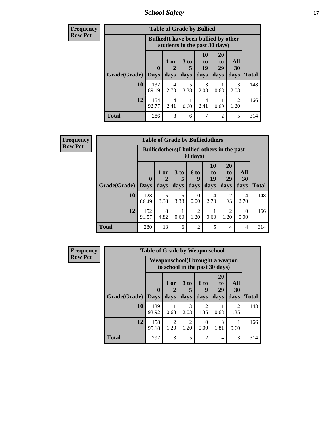*School Safety* **17**

| <b>Frequency</b> |              |                                                                               | <b>Table of Grade by Bullied</b> |                              |                        |                               |                        |              |
|------------------|--------------|-------------------------------------------------------------------------------|----------------------------------|------------------------------|------------------------|-------------------------------|------------------------|--------------|
| <b>Row Pct</b>   |              | <b>Bullied</b> (I have been bullied by other<br>students in the past 30 days) |                                  |                              |                        |                               |                        |              |
|                  | Grade(Grade) | $\mathbf{0}$<br>Days                                                          | 1 or<br>2<br>days                | 3 <sub>to</sub><br>5<br>days | 10<br>to<br>19<br>days | <b>20</b><br>to<br>29<br>days | All<br>30<br>days      | <b>Total</b> |
|                  |              |                                                                               |                                  |                              |                        |                               |                        |              |
|                  | 10           | 132<br>89.19                                                                  | 4<br>2.70                        | 5<br>3.38                    | $\mathcal{R}$<br>2.03  | 0.68                          | 3<br>2.03              | 148          |
|                  | 12           | 154<br>92.77                                                                  | 4<br>2.41                        | 0.60                         | 4<br>2.41              | 0.60                          | $\mathfrak{D}$<br>1.20 | 166          |
|                  | <b>Total</b> | 286                                                                           | 8                                | 6                            | 7                      | $\overline{2}$                | 5                      | 314          |

| Frequency      | <b>Table of Grade by Bulliedothers</b> |                                                                         |           |                      |                        |                |                        |                  |              |  |  |  |
|----------------|----------------------------------------|-------------------------------------------------------------------------|-----------|----------------------|------------------------|----------------|------------------------|------------------|--------------|--|--|--|
| <b>Row Pct</b> |                                        | <b>Bulliedothers</b> (I bullied others in the past<br>$30 \text{ days}$ |           |                      |                        |                |                        |                  |              |  |  |  |
|                |                                        | $\mathbf{0}$                                                            | $1$ or    | 3 <sub>to</sub><br>5 | 6 to<br>9              | 10<br>to<br>19 | <b>20</b><br>to<br>29  | <b>All</b><br>30 |              |  |  |  |
|                | <b>Grade</b> (Grade)   Days            |                                                                         | days      | days                 | days                   | days           | days                   | days             | <b>Total</b> |  |  |  |
|                | 10                                     | 128<br>86.49                                                            | 5<br>3.38 | 5<br>3.38            | 0<br>0.00              | 4<br>2.70      | $\mathfrak{D}$<br>1.35 | 4<br>2.70        | 148          |  |  |  |
|                | 12                                     | 152<br>91.57                                                            | 8<br>4.82 | 0.60                 | $\mathfrak{D}$<br>1.20 | 0.60           | 2<br>1.20              | $\Omega$<br>0.00 | 166          |  |  |  |
|                | <b>Total</b>                           | 280                                                                     | 13        | 6                    | $\mathfrak{D}$         | 5              | 4                      | $\overline{4}$   | 314          |  |  |  |

| <b>Frequency</b> | <b>Table of Grade by Weaponschool</b> |                         |                                                                   |                        |                        |                                           |                        |              |  |
|------------------|---------------------------------------|-------------------------|-------------------------------------------------------------------|------------------------|------------------------|-------------------------------------------|------------------------|--------------|--|
| <b>Row Pct</b>   |                                       |                         | Weaponschool(I brought a weapon<br>to school in the past 30 days) |                        |                        |                                           |                        |              |  |
|                  | Grade(Grade)                          | $\bf{0}$<br><b>Days</b> | 1 or<br>days                                                      | 3 to<br>days           | 6 to<br>q<br>days      | <b>20</b><br>t <sub>0</sub><br>29<br>days | All<br>30<br>days      | <b>Total</b> |  |
|                  | 10                                    | 139<br>93.92            | 0.68                                                              | 3<br>2.03              | $\mathfrak{D}$<br>1.35 | 0.68                                      | $\overline{2}$<br>1.35 | 148          |  |
|                  | 12                                    | 158<br>95.18            | 2<br>1.20                                                         | $\overline{2}$<br>1.20 | 0<br>0.00              | 3<br>1.81                                 | 0.60                   | 166          |  |
|                  | <b>Total</b>                          | 297                     | $\mathcal{R}$                                                     | 5                      | $\mathfrak{D}$         | 4                                         | 3                      | 314          |  |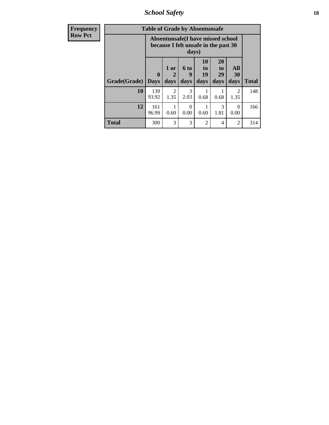*School Safety* **18**

| <b>Frequency</b> |              | <b>Table of Grade by Absentunsafe</b> |                             |                          |                                                                           |                                           |                        |              |  |  |
|------------------|--------------|---------------------------------------|-----------------------------|--------------------------|---------------------------------------------------------------------------|-------------------------------------------|------------------------|--------------|--|--|
| <b>Row Pct</b>   |              |                                       |                             | days)                    | Absentunsafe(I have missed school<br>because I felt unsafe in the past 30 |                                           |                        |              |  |  |
|                  | Grade(Grade) | $\mathbf 0$<br><b>Days</b>            | 1 or<br>$\mathbf 2$<br>days | <b>6 to</b><br>9<br>days | <b>10</b><br>to<br>19<br>days                                             | <b>20</b><br>t <sub>0</sub><br>29<br>days | All<br>30<br>days      | <b>Total</b> |  |  |
|                  | 10           | 139<br>93.92                          | $\mathfrak{D}$<br>1.35      | 3<br>2.03                | 0.68                                                                      | 0.68                                      | $\mathfrak{D}$<br>1.35 | 148          |  |  |
|                  | 12           | 161<br>96.99                          | 0.60                        | ∩<br>0.00                | 0.60                                                                      | 3<br>1.81                                 | $\Omega$<br>0.00       | 166          |  |  |
|                  | <b>Total</b> | 300                                   | 3                           | 3                        | 2                                                                         | 4                                         | 2                      | 314          |  |  |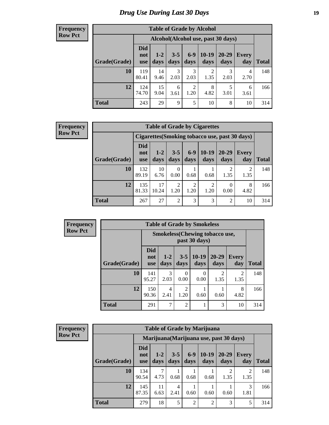### *Drug Use During Last 30 Days* **19**

#### **Frequency Row Pct**

| <b>Table of Grade by Alcohol</b> |                                 |                 |                 |                        |                                     |               |              |              |  |  |  |  |
|----------------------------------|---------------------------------|-----------------|-----------------|------------------------|-------------------------------------|---------------|--------------|--------------|--|--|--|--|
|                                  |                                 |                 |                 |                        | Alcohol (Alcohol use, past 30 days) |               |              |              |  |  |  |  |
| Grade(Grade)                     | <b>Did</b><br>not<br><b>use</b> | $1 - 2$<br>days | $3 - 5$<br>days | $6 - 9$<br>days        | $10-19$<br>days                     | 20-29<br>days | Every<br>day | <b>Total</b> |  |  |  |  |
| 10                               | 119<br>80.41                    | 14<br>9.46      | 3<br>2.03       | 3<br>2.03              | 2<br>1.35                           | 3<br>2.03     | 4<br>2.70    | 148          |  |  |  |  |
| 12                               | 124<br>74.70                    | 15<br>9.04      | 6<br>3.61       | $\overline{2}$<br>1.20 | 8<br>4.82                           | 5<br>3.01     | 6<br>3.61    | 166          |  |  |  |  |
| <b>Total</b>                     | 243                             | 29              | 9               | 5                      | 10                                  | 8             | 10           | 314          |  |  |  |  |

#### **Frequency Row Pct**

| <b>Table of Grade by Cigarettes</b> |                          |                 |                 |               |                 |                        |                                                |       |  |  |  |  |
|-------------------------------------|--------------------------|-----------------|-----------------|---------------|-----------------|------------------------|------------------------------------------------|-------|--|--|--|--|
|                                     |                          |                 |                 |               |                 |                        | Cigarettes (Smoking tobacco use, past 30 days) |       |  |  |  |  |
| Grade(Grade)                        | Did<br>not<br><b>use</b> | $1 - 2$<br>days | $3 - 5$<br>days | $6-9$<br>days | $10-19$<br>days | 20-29<br>days          | Every<br>day                                   | Total |  |  |  |  |
| 10                                  | 132<br>89.19             | 10<br>6.76      | 0<br>0.00       | 0.68          | 0.68            | $\mathfrak{D}$<br>1.35 | $\mathfrak{D}$<br>1.35                         | 148   |  |  |  |  |
| 12                                  | 135<br>81.33             | 17<br>10.24     | 2<br>1.20       | 2<br>1.20     | 2<br>1.20       | 0.00                   | 8<br>4.82                                      | 166   |  |  |  |  |
| <b>Total</b>                        | 267                      | 27              | $\overline{2}$  | 3             | 3               | 2                      | 10                                             | 314   |  |  |  |  |

| <b>Frequency</b> |              |                                 |                                                        |                        | <b>Table of Grade by Smokeless</b> |                   |                     |              |  |  |
|------------------|--------------|---------------------------------|--------------------------------------------------------|------------------------|------------------------------------|-------------------|---------------------|--------------|--|--|
| <b>Row Pct</b>   |              |                                 | <b>Smokeless</b> (Chewing tobaccouse,<br>past 30 days) |                        |                                    |                   |                     |              |  |  |
|                  | Grade(Grade) | <b>Did</b><br>not<br><b>use</b> | $1-2$<br>days                                          | $3 - 5$<br>days        | $10-19$<br>days                    | $20 - 29$<br>days | <b>Every</b><br>day | <b>Total</b> |  |  |
|                  | 10           | 141<br>95.27                    | 3<br>2.03                                              | 0<br>0.00              | $\Omega$<br>0.00                   | 2<br>1.35         | 2<br>1.35           | 148          |  |  |
|                  | 12           | 150<br>90.36                    | 4<br>2.41                                              | $\overline{2}$<br>1.20 | 0.60                               | 0.60              | 8<br>4.82           | 166          |  |  |
|                  | <b>Total</b> | 291                             | 7                                                      | $\overline{2}$         |                                    | 3                 | 10                  | 314          |  |  |

| <b>Frequency</b> |
|------------------|
| <b>Row Pct</b>   |

| <b>Table of Grade by Marijuana</b> |                                 |               |                 |                 |                                         |               |                        |              |  |  |  |  |
|------------------------------------|---------------------------------|---------------|-----------------|-----------------|-----------------------------------------|---------------|------------------------|--------------|--|--|--|--|
|                                    |                                 |               |                 |                 | Marijuana (Marijuana use, past 30 days) |               |                        |              |  |  |  |  |
| Grade(Grade)                       | <b>Did</b><br>not<br><b>use</b> | $1-2$<br>days | $3 - 5$<br>days | $6 - 9$<br>days | $10-19$<br>days                         | 20-29<br>days | <b>Every</b><br>day    | <b>Total</b> |  |  |  |  |
| 10                                 | 134<br>90.54                    | 4.73          | 0.68            | 0.68            | 0.68                                    | ↑<br>1.35     | $\overline{c}$<br>1.35 | 148          |  |  |  |  |
| 12                                 | 145<br>87.35                    | 11<br>6.63    | 4<br>2.41       | 0.60            | 0.60                                    | 0.60          | 3<br>1.81              | 166          |  |  |  |  |
| Total                              | 279                             | 18            | 5               | $\overline{c}$  | $\overline{2}$                          | 3             | 5                      | 314          |  |  |  |  |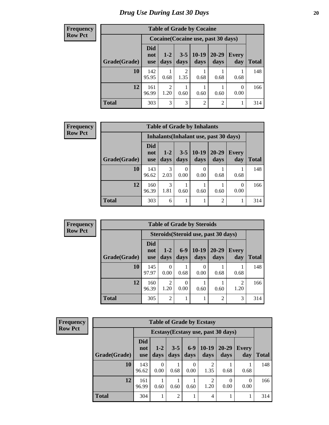#### **Frequency Row Pct**

|              | <b>Table of Grade by Cocaine</b> |                        |                       |                 |                                     |                     |              |  |  |  |  |  |  |
|--------------|----------------------------------|------------------------|-----------------------|-----------------|-------------------------------------|---------------------|--------------|--|--|--|--|--|--|
|              |                                  |                        |                       |                 | Cocaine (Cocaine use, past 30 days) |                     |              |  |  |  |  |  |  |
| Grade(Grade) | <b>Did</b><br>not<br><b>use</b>  | $1 - 2$<br>days        | $3 - 5$<br>days       | $10-19$<br>days | $20 - 29$<br>days                   | <b>Every</b><br>day | <b>Total</b> |  |  |  |  |  |  |
| 10           | 142<br>95.95                     | 0.68                   | $\mathcal{D}$<br>1.35 | 0.68            | 0.68                                | 0.68                | 148          |  |  |  |  |  |  |
| 12           | 161<br>96.99                     | $\mathfrak{D}$<br>1.20 | 0.60                  | 0.60            | 0.60                                | 0<br>0.00           | 166          |  |  |  |  |  |  |
| <b>Total</b> | 303                              | 3                      | 3                     | 2               | 2                                   |                     | 314          |  |  |  |  |  |  |

| <b>Frequency</b> |
|------------------|
| <b>Row Pct</b>   |

| <b>Table of Grade by Inhalants</b>     |                                 |                       |                 |                 |                   |                     |              |  |  |  |
|----------------------------------------|---------------------------------|-----------------------|-----------------|-----------------|-------------------|---------------------|--------------|--|--|--|
| Inhalants (Inhalant use, past 30 days) |                                 |                       |                 |                 |                   |                     |              |  |  |  |
| Grade(Grade)                           | <b>Did</b><br>not<br><b>use</b> | $1 - 2$<br>days       | $3 - 5$<br>days | $10-19$<br>days | $20 - 29$<br>days | <b>Every</b><br>day | <b>Total</b> |  |  |  |
| 10                                     | 143<br>96.62                    | 3<br>2.03             | 0.00            | 0.00            | 0.68              | 0.68                | 148          |  |  |  |
| 12                                     | 160<br>96.39                    | $\mathcal{R}$<br>1.81 | 0.60            | 0.60            | 0.60              | 0<br>0.00           | 166          |  |  |  |
| <b>Total</b>                           | 303                             | 6                     |                 |                 | 2                 |                     | 314          |  |  |  |

**Frequency Row Pct**

| <b>Table of Grade by Steroids</b>    |                          |                 |                 |                 |                   |                        |              |  |  |  |
|--------------------------------------|--------------------------|-----------------|-----------------|-----------------|-------------------|------------------------|--------------|--|--|--|
| Steroids (Steroid use, past 30 days) |                          |                 |                 |                 |                   |                        |              |  |  |  |
| Grade(Grade)                         | Did<br>not<br><b>use</b> | $1 - 2$<br>days | $6 - 9$<br>days | $10-19$<br>days | $20 - 29$<br>days | <b>Every</b><br>day    | <b>Total</b> |  |  |  |
| 10                                   | 145<br>97.97             | 0.00            | 0.68            | 0.00            | 0.68              | 0.68                   | 148          |  |  |  |
| 12                                   | 160<br>96.39             | 2<br>1.20       | 0.00            | 0.60            | 0.60              | $\mathfrak{D}$<br>1.20 | 166          |  |  |  |
| <b>Total</b>                         | 305                      | $\overline{2}$  |                 |                 | $\overline{2}$    | 3                      | 314          |  |  |  |

| <b>Frequency</b> |  |
|------------------|--|
| <b>Row Pct</b>   |  |

| <b>Table of Grade by Ecstasy</b> |                                 |                                     |                 |                 |                        |                   |                  |       |  |  |
|----------------------------------|---------------------------------|-------------------------------------|-----------------|-----------------|------------------------|-------------------|------------------|-------|--|--|
|                                  |                                 | Ecstasy (Ecstasy use, past 30 days) |                 |                 |                        |                   |                  |       |  |  |
| Grade(Grade)                     | <b>Did</b><br>not<br><b>use</b> | $1 - 2$<br>days                     | $3 - 5$<br>days | $6 - 9$<br>days | $10-19$<br>days        | $20 - 29$<br>days | Every<br>day     | Total |  |  |
| 10                               | 143<br>96.62                    | 0<br>0.00                           | 0.68            | 0.00            | $\overline{c}$<br>1.35 | 0.68              | 0.68             | 148   |  |  |
| 12                               | 161<br>96.99                    | 0.60                                | 0.60            | 0.60            | $\overline{c}$<br>1.20 | 0.00              | $\Omega$<br>0.00 | 166   |  |  |
| <b>Total</b>                     | 304                             |                                     | $\overline{c}$  |                 | 4                      |                   |                  | 314   |  |  |

ä,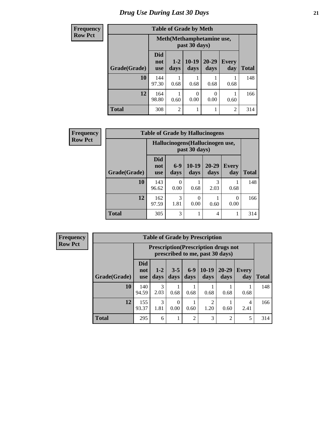# *Drug Use During Last 30 Days* **21**

#### H **Frequency Row Pct**

# **Table of Grade by Meth**

| иенсу            | <b>Table of <i>Grade</i></b> by Meth |                                             |                 |                  |                   |                     |              |  |  |  |  |
|------------------|--------------------------------------|---------------------------------------------|-----------------|------------------|-------------------|---------------------|--------------|--|--|--|--|
| Pct <sup>'</sup> |                                      | Meth (Methamphetamine use,<br>past 30 days) |                 |                  |                   |                     |              |  |  |  |  |
|                  | Grade(Grade)                         | <b>Did</b><br>not<br><b>use</b>             | $1 - 2$<br>days | $10-19$<br>days  | $20 - 29$<br>days | <b>Every</b><br>day | <b>Total</b> |  |  |  |  |
|                  | 10                                   | 144<br>97.30                                | 0.68            | 0.68             | 0.68              | 0.68                | 148          |  |  |  |  |
|                  | 12                                   | 164<br>98.80                                | 0.60            | $\Omega$<br>0.00 | $\theta$<br>0.00  | 0.60                | 166          |  |  |  |  |
|                  | <b>Total</b>                         | 308                                         | $\overline{2}$  |                  |                   | $\overline{2}$      | 314          |  |  |  |  |

| <b>Frequency</b> | <b>Table of Grade by Hallucinogens</b> |                                 |                                  |               |                   |                  |              |  |  |  |
|------------------|----------------------------------------|---------------------------------|----------------------------------|---------------|-------------------|------------------|--------------|--|--|--|
| <b>Row Pct</b>   |                                        |                                 | Hallucinogens (Hallucinogen use, | past 30 days) |                   |                  |              |  |  |  |
|                  | Grade(Grade)                           | <b>Did</b><br>not<br><b>use</b> | $6-9$<br>days                    | 10-19<br>days | $20 - 29$<br>days | Every<br>day     | <b>Total</b> |  |  |  |
|                  | 10                                     | 143<br>96.62                    | 0<br>0.00                        | 0.68          | 3<br>2.03         | 0.68             | 148          |  |  |  |
|                  | 12                                     | 162<br>97.59                    | 3<br>1.81                        | 0.00          | 0.60              | $\Omega$<br>0.00 | 166          |  |  |  |
|                  | <b>Total</b>                           | 305                             | 3                                |               | 4                 | 1                | 314          |  |  |  |

| <b>Frequency</b> |  |
|------------------|--|
| <b>Row Pct</b>   |  |

| <b>Table of Grade by Prescription</b> |                                 |                                                                                |                 |                |                 |                   |              |       |  |  |
|---------------------------------------|---------------------------------|--------------------------------------------------------------------------------|-----------------|----------------|-----------------|-------------------|--------------|-------|--|--|
|                                       |                                 | <b>Prescription</b> (Prescription drugs not<br>prescribed to me, past 30 days) |                 |                |                 |                   |              |       |  |  |
| Grade(Grade)                          | <b>Did</b><br>not<br><b>use</b> | $1-2$<br>days                                                                  | $3 - 5$<br>days | $6-9$<br>days  | $10-19$<br>days | $20 - 29$<br>days | Every<br>day | Total |  |  |
| 10                                    | 140<br>94.59                    | 3<br>2.03                                                                      | 0.68            | 0.68           | 0.68            | 0.68              | 0.68         | 148   |  |  |
| 12                                    | 155<br>93.37                    | 3<br>1.81                                                                      | 0<br>0.00       | 0.60           | 2<br>1.20       | 0.60              | 4<br>2.41    | 166   |  |  |
| <b>Total</b>                          | 295                             | 6                                                                              | 1               | $\overline{c}$ | 3               | $\overline{2}$    | 5            | 314   |  |  |

٦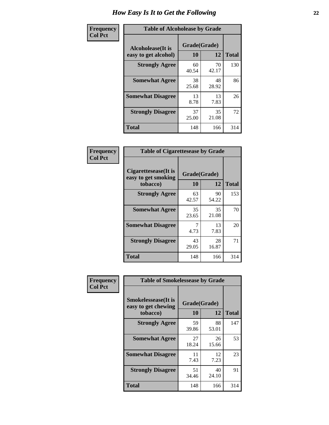| Frequency      | <b>Table of Alcoholease by Grade</b>              |                    |             |              |  |  |  |  |
|----------------|---------------------------------------------------|--------------------|-------------|--------------|--|--|--|--|
| <b>Col Pct</b> | <b>Alcoholease</b> (It is<br>easy to get alcohol) | Grade(Grade)<br>10 | 12          | <b>Total</b> |  |  |  |  |
|                | <b>Strongly Agree</b>                             | 60<br>40.54        | 70<br>42.17 | 130          |  |  |  |  |
|                | <b>Somewhat Agree</b>                             | 38<br>25.68        | 48<br>28.92 | 86           |  |  |  |  |
|                | <b>Somewhat Disagree</b>                          | 13<br>8.78         | 13<br>7.83  | 26           |  |  |  |  |
|                | <b>Strongly Disagree</b>                          | 37<br>25.00        | 35<br>21.08 | 72           |  |  |  |  |
|                | <b>Total</b>                                      | 148                | 166         | 314          |  |  |  |  |

| Frequency      | <b>Table of Cigarettesease by Grade</b>                  |                    |             |              |  |  |  |
|----------------|----------------------------------------------------------|--------------------|-------------|--------------|--|--|--|
| <b>Col Pct</b> | Cigarettesease (It is<br>easy to get smoking<br>tobacco) | Grade(Grade)<br>10 | 12          | <b>Total</b> |  |  |  |
|                | <b>Strongly Agree</b>                                    | 63<br>42.57        | 90<br>54.22 | 153          |  |  |  |
|                | <b>Somewhat Agree</b>                                    | 35<br>23.65        | 35<br>21.08 | 70           |  |  |  |
|                | <b>Somewhat Disagree</b>                                 | 7<br>4.73          | 13<br>7.83  | 20           |  |  |  |
|                | <b>Strongly Disagree</b>                                 | 43<br>29.05        | 28<br>16.87 | 71           |  |  |  |
|                | Total                                                    | 148                | 166         | 314          |  |  |  |

| Frequency      | <b>Table of Smokelessease by Grade</b>             |              |             |              |  |  |  |  |  |
|----------------|----------------------------------------------------|--------------|-------------|--------------|--|--|--|--|--|
| <b>Col Pct</b> | <b>Smokelessease</b> (It is<br>easy to get chewing | Grade(Grade) |             |              |  |  |  |  |  |
|                | tobacco)                                           | <b>10</b>    | 12          | <b>Total</b> |  |  |  |  |  |
|                | <b>Strongly Agree</b>                              | 59<br>39.86  | 88<br>53.01 | 147          |  |  |  |  |  |
|                | <b>Somewhat Agree</b>                              | 27<br>18.24  | 26<br>15.66 | 53           |  |  |  |  |  |
|                | <b>Somewhat Disagree</b>                           | 11<br>7.43   | 12<br>7.23  | 23           |  |  |  |  |  |
|                | <b>Strongly Disagree</b>                           | 51<br>34.46  | 40<br>24.10 | 91           |  |  |  |  |  |
|                | <b>Total</b>                                       | 148          | 166         | 314          |  |  |  |  |  |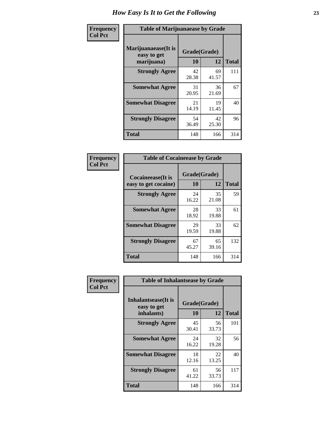| Frequency      | <b>Table of Marijuanaease by Grade</b>           |                    |             |              |  |  |  |  |  |  |
|----------------|--------------------------------------------------|--------------------|-------------|--------------|--|--|--|--|--|--|
| <b>Col Pct</b> | Marijuanaease(It is<br>easy to get<br>marijuana) | Grade(Grade)<br>10 | 12          | <b>Total</b> |  |  |  |  |  |  |
|                | <b>Strongly Agree</b>                            | 42<br>28.38        | 69<br>41.57 | 111          |  |  |  |  |  |  |
|                | <b>Somewhat Agree</b>                            | 31<br>20.95        | 36<br>21.69 | 67           |  |  |  |  |  |  |
|                | <b>Somewhat Disagree</b>                         | 21<br>14.19        | 19<br>11.45 | 40           |  |  |  |  |  |  |
|                | <b>Strongly Disagree</b>                         | 54<br>36.49        | 42<br>25.30 | 96           |  |  |  |  |  |  |
|                | <b>Total</b>                                     | 148                | 166         | 314          |  |  |  |  |  |  |

| <b>Table of Cocaineease by Grade</b>              |                    |             |              |  |  |  |  |  |  |  |
|---------------------------------------------------|--------------------|-------------|--------------|--|--|--|--|--|--|--|
| <b>Cocaineease</b> (It is<br>easy to get cocaine) | Grade(Grade)<br>10 | 12          | <b>Total</b> |  |  |  |  |  |  |  |
| <b>Strongly Agree</b>                             | 24<br>16.22        | 35<br>21.08 | 59           |  |  |  |  |  |  |  |
| <b>Somewhat Agree</b>                             | 28<br>18.92        | 33<br>19.88 | 61           |  |  |  |  |  |  |  |
| <b>Somewhat Disagree</b>                          | 29<br>19.59        | 33<br>19.88 | 62           |  |  |  |  |  |  |  |
| <b>Strongly Disagree</b>                          | 67<br>45.27        | 65<br>39.16 | 132          |  |  |  |  |  |  |  |
| <b>Total</b>                                      | 148                | 166         | 314          |  |  |  |  |  |  |  |

| Frequency      | <b>Table of Inhalantsease by Grade</b>           |                    |             |              |  |  |  |  |  |  |
|----------------|--------------------------------------------------|--------------------|-------------|--------------|--|--|--|--|--|--|
| <b>Col Pct</b> | Inhalantsease(It is<br>easy to get<br>inhalants) | Grade(Grade)<br>10 | 12          | <b>Total</b> |  |  |  |  |  |  |
|                | <b>Strongly Agree</b>                            | 45<br>30.41        | 56<br>33.73 | 101          |  |  |  |  |  |  |
|                | <b>Somewhat Agree</b>                            | 24<br>16.22        | 32<br>19.28 | 56           |  |  |  |  |  |  |
|                | <b>Somewhat Disagree</b>                         | 18<br>12.16        | 22<br>13.25 | 40           |  |  |  |  |  |  |
|                | <b>Strongly Disagree</b>                         | 61<br>41.22        | 56<br>33.73 | 117          |  |  |  |  |  |  |
|                | <b>Total</b>                                     | 148                | 166         | 314          |  |  |  |  |  |  |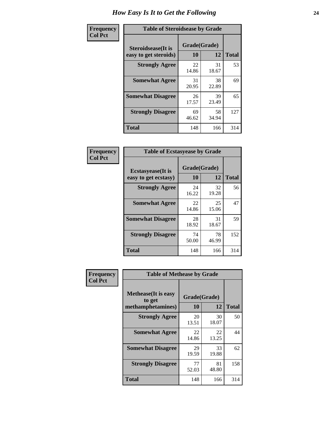| Frequency      | <b>Table of Steroidsease by Grade</b>               |                    |             |                              |  |  |  |  |  |  |  |
|----------------|-----------------------------------------------------|--------------------|-------------|------------------------------|--|--|--|--|--|--|--|
| <b>Col Pct</b> | <b>Steroidsease</b> (It is<br>easy to get steroids) | Grade(Grade)<br>10 | 12          | <b>Total</b>                 |  |  |  |  |  |  |  |
|                | <b>Strongly Agree</b>                               | 22<br>14.86        | 31<br>18.67 | 53<br>69<br>65<br>127<br>314 |  |  |  |  |  |  |  |
|                | <b>Somewhat Agree</b>                               | 31<br>20.95        | 38<br>22.89 |                              |  |  |  |  |  |  |  |
|                | <b>Somewhat Disagree</b>                            | 26<br>17.57        | 39<br>23.49 |                              |  |  |  |  |  |  |  |
|                | <b>Strongly Disagree</b>                            | 69<br>46.62        | 58<br>34.94 |                              |  |  |  |  |  |  |  |
|                | <b>Total</b>                                        | 148                | 166         |                              |  |  |  |  |  |  |  |

| Frequency      | <b>Table of Ecstasyease by Grade</b>              |                           |             |              |
|----------------|---------------------------------------------------|---------------------------|-------------|--------------|
| <b>Col Pct</b> | <b>Ecstasyease</b> (It is<br>easy to get ecstasy) | Grade(Grade)<br><b>10</b> | 12          | <b>Total</b> |
|                | <b>Strongly Agree</b>                             | 24<br>16.22               | 32<br>19.28 | 56           |
|                | <b>Somewhat Agree</b>                             | 22<br>14.86               | 25<br>15.06 | 47           |
|                | <b>Somewhat Disagree</b>                          | 28<br>18.92               | 31<br>18.67 | 59           |
|                | <b>Strongly Disagree</b>                          | 74<br>50.00               | 78<br>46.99 | 152          |
|                | <b>Total</b>                                      | 148                       | 166         | 314          |

| Frequency      | <b>Table of Methease by Grade</b>                          |                    |             |                                              |  |  |
|----------------|------------------------------------------------------------|--------------------|-------------|----------------------------------------------|--|--|
| <b>Col Pct</b> | <b>Methease</b> (It is easy<br>to get<br>methamphetamines) | Grade(Grade)<br>10 | 12          | <b>Total</b><br>50<br>44<br>62<br>158<br>314 |  |  |
|                | <b>Strongly Agree</b>                                      | 20<br>13.51        | 30<br>18.07 |                                              |  |  |
|                | <b>Somewhat Agree</b>                                      | 22<br>14.86        | 22<br>13.25 |                                              |  |  |
|                | <b>Somewhat Disagree</b>                                   | 29<br>19.59        | 33<br>19.88 |                                              |  |  |
|                | <b>Strongly Disagree</b>                                   | 77<br>52.03        | 81<br>48.80 |                                              |  |  |
|                | <b>Total</b>                                               | 148                | 166         |                                              |  |  |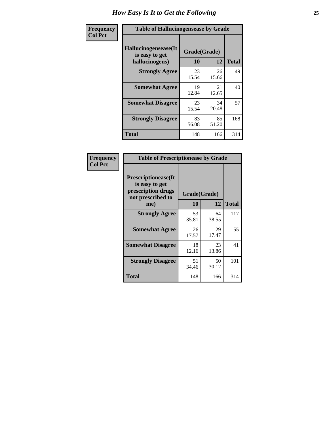| <b>Frequency</b> | <b>Table of Hallucinogensease by Grade</b>               |                    |             |              |  |  |  |  |  |  |
|------------------|----------------------------------------------------------|--------------------|-------------|--------------|--|--|--|--|--|--|
| <b>Col Pct</b>   | Hallucinogensease(It<br>is easy to get<br>hallucinogens) | Grade(Grade)<br>10 | 12          | <b>Total</b> |  |  |  |  |  |  |
|                  | <b>Strongly Agree</b>                                    | 23<br>15.54        | 26<br>15.66 | 49           |  |  |  |  |  |  |
|                  | <b>Somewhat Agree</b>                                    | 19<br>12.84        | 21<br>12.65 | 40           |  |  |  |  |  |  |
|                  | <b>Somewhat Disagree</b>                                 | 23<br>15.54        | 34<br>20.48 | 57           |  |  |  |  |  |  |
|                  | <b>Strongly Disagree</b>                                 | 83<br>56.08        | 85<br>51.20 | 168          |  |  |  |  |  |  |
|                  | <b>Total</b>                                             | 148                | 166         | 314          |  |  |  |  |  |  |

| Frequency<br>Col Pct |
|----------------------|
|                      |

| <b>Table of Prescriptionease by Grade</b>                                                |             |              |              |  |  |  |  |  |  |  |
|------------------------------------------------------------------------------------------|-------------|--------------|--------------|--|--|--|--|--|--|--|
| <b>Prescriptionease</b> (It<br>is easy to get<br>prescription drugs<br>not prescribed to |             | Grade(Grade) |              |  |  |  |  |  |  |  |
| me)                                                                                      | 10          | 12           | <b>Total</b> |  |  |  |  |  |  |  |
| <b>Strongly Agree</b>                                                                    | 53<br>35.81 | 64<br>38.55  | 117          |  |  |  |  |  |  |  |
| <b>Somewhat Agree</b>                                                                    | 26<br>17.57 | 29<br>17.47  | 55           |  |  |  |  |  |  |  |
| <b>Somewhat Disagree</b>                                                                 | 18<br>12.16 | 23<br>13.86  | 41           |  |  |  |  |  |  |  |
| <b>Strongly Disagree</b>                                                                 | 51<br>34.46 | 50<br>30.12  | 101          |  |  |  |  |  |  |  |
| Total                                                                                    | 148         | 166          | 314          |  |  |  |  |  |  |  |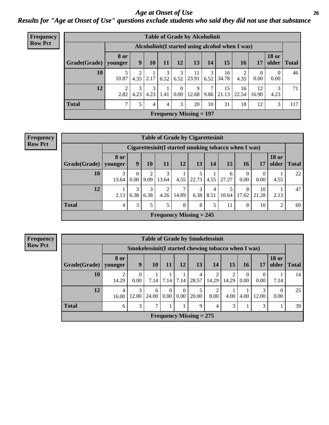*Age at Onset of Use* **26** *Results for "Age at Onset of Use" questions exclude students who said they did not use that substance*

| Frequency      |              | <b>Table of Grade by Alcoholinit</b> |                                                  |           |                |                  |                           |           |             |             |                  |                       |              |
|----------------|--------------|--------------------------------------|--------------------------------------------------|-----------|----------------|------------------|---------------------------|-----------|-------------|-------------|------------------|-----------------------|--------------|
| <b>Row Pct</b> |              |                                      | Alcoholinit (I started using alcohol when I was) |           |                |                  |                           |           |             |             |                  |                       |              |
|                | Grade(Grade) | <b>8 or</b><br>vounger               | 9                                                | <b>10</b> | 11             | 12               | 13                        | 14        | 15          | <b>16</b>   | 17               | <b>18 or</b><br>older | <b>Total</b> |
|                | 10           | 10.87                                | 2<br>4.35                                        | 2.17      | 3<br>6.52      |                  | 11<br>$6.52$   23.91      | 3<br>6.52 | 16<br>34.78 | 2<br>4.35   | $\Omega$<br>0.00 | $\theta$<br>0.00      | 46           |
|                | 12           | 2<br>2.82                            | 3<br>4.23                                        | 3<br>4.23 | 1.41           | $\Omega$<br>0.00 | 9<br>12.68                | 7<br>9.86 | 15<br>21.13 | 16<br>22.54 | 12<br>16.90      | 3<br>4.23             | 71           |
|                | <b>Total</b> | $\mathcal{L}$                        | 5                                                | 4         | $\overline{4}$ | 3                | 20                        | 10        | 31          | 18          | 12               | 3                     | 117          |
|                |              |                                      |                                                  |           |                |                  | Frequency Missing $= 197$ |           |             |             |                  |                       |              |

#### **Frequency Row Pct**

| <b>Table of Grade by Cigarettesinit</b> |                                                      |                                                                                         |           |            |                           |           |           |            |            |             |      |    |  |
|-----------------------------------------|------------------------------------------------------|-----------------------------------------------------------------------------------------|-----------|------------|---------------------------|-----------|-----------|------------|------------|-------------|------|----|--|
|                                         | Cigarettesinit(I started smoking tobacco when I was) |                                                                                         |           |            |                           |           |           |            |            |             |      |    |  |
| Grade(Grade)                            | 8 or<br>younger                                      | <b>18 or</b><br>9<br>older Total<br><b>12</b><br>13<br>14<br>15<br>11<br>10<br>16<br>17 |           |            |                           |           |           |            |            |             |      |    |  |
| 10                                      | 3<br>13.64                                           | 0.00                                                                                    | 9.09      | 3<br>13.64 | 4.55                      | 22.73     | 4.55      | 6<br>27.27 | 0.00       | 0<br>0.00   | 4.55 | 22 |  |
| 12                                      | 2.13                                                 | 3<br>6.38                                                                               | 3<br>6.38 | 2<br>4.26  | 7<br>14.89                | 3<br>6.38 | 4<br>8.51 | 5<br>10.64 | 8<br>17.02 | 10<br>21.28 | 2.13 | 47 |  |
| <b>Total</b>                            | 4                                                    | 3                                                                                       | 5         | 5          | 8                         | 8         |           | 11         | 8          | 10          | 2    | 69 |  |
|                                         |                                                      |                                                                                         |           |            | Frequency Missing $= 245$ |           |           |            |            |             |      |    |  |

**Frequency Row Pct**

| <b>Table of Grade by Smokelessinit</b> |                 |                                                     |            |                         |                  |                           |                         |            |           |                  |                       |              |
|----------------------------------------|-----------------|-----------------------------------------------------|------------|-------------------------|------------------|---------------------------|-------------------------|------------|-----------|------------------|-----------------------|--------------|
|                                        |                 | Smokelessinit(I started chewing tobacco when I was) |            |                         |                  |                           |                         |            |           |                  |                       |              |
| Grade(Grade)                           | 8 or<br>younger | 9                                                   | 10         | 11                      | 12               | 13                        | 14                      | 15         | 16        | <b>17</b>        | <b>18 or</b><br>older | <b>Total</b> |
| 10                                     | 14.29           | $\theta$<br>0.00                                    | 7.14       | 7.14                    | 7.14             | $\overline{4}$<br>28.57   | $\overline{2}$<br>14.29 | 2<br>14.29 | 0<br>0.00 | $\Omega$<br>0.00 | 7.14                  | 14           |
| 12                                     | 4<br>16.00      | 3<br>12.00                                          | 6<br>24.00 | $\Omega$<br>$0.00\vert$ | $\Omega$<br>0.00 | 20.00                     | 2<br>8.00               | 4.00       | 4.00      | 3<br>12.00       | $\Omega$<br>0.00      | 25           |
| <b>Total</b>                           | 6               | 3                                                   | ⇁          |                         |                  | 9                         | 4                       | 3          |           | 3                |                       | 39           |
|                                        |                 |                                                     |            |                         |                  | Frequency Missing $= 275$ |                         |            |           |                  |                       |              |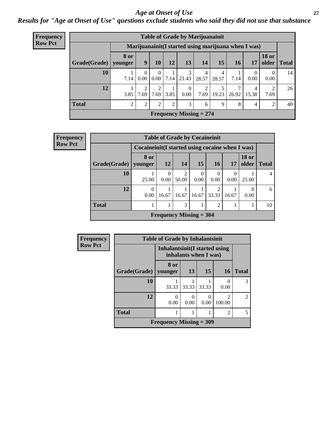#### *Age at Onset of Use* **27**

*Results for "Age at Onset of Use" questions exclude students who said they did not use that substance*

| <b>Frequency</b> | <b>Table of Grade by Marijuanainit</b> |             |                         |                           |                |                  |                                                     |            |       |                  |                        |              |
|------------------|----------------------------------------|-------------|-------------------------|---------------------------|----------------|------------------|-----------------------------------------------------|------------|-------|------------------|------------------------|--------------|
| <b>Row Pct</b>   |                                        |             |                         |                           |                |                  | Marijuanainit(I started using marijuana when I was) |            |       |                  |                        |              |
|                  | Grade(Grade)   younger                 | <b>8 or</b> | 9                       | 10                        | 12             | 13               | 14                                                  | 15         | 16    | 17               | <b>18 or</b><br>older  | <b>Total</b> |
|                  | 10                                     | 7.14        | $\Omega$<br>$0.00\vert$ | $\theta$<br>$0.00\degree$ | 7.14           | 3<br>21.43       | 4<br>28.57                                          | 4<br>28.57 | 7.14  | $\Omega$<br>0.00 | $\Omega$<br>0.00       | 14           |
|                  | 12                                     |             | $3.85$   7.69           | 7.69                      | 3.85           | $\Omega$<br>0.00 | $\mathfrak{D}$<br>7.69                              | 5<br>19.23 | 26.92 | 4<br>15.38       | $\overline{2}$<br>7.69 | 26           |
|                  | <b>Total</b>                           | 2           | 2                       | 2                         | $\overline{2}$ | 3                | 6                                                   | 9          | 8     | 4                | $\overline{2}$         | 40           |
|                  |                                        |             |                         |                           |                |                  | Frequency Missing $= 274$                           |            |       |                  |                        |              |

| Frequency      | <b>Table of Grade by Cocaineinit</b> |                                                  |                         |                         |                  |                                      |       |                       |              |
|----------------|--------------------------------------|--------------------------------------------------|-------------------------|-------------------------|------------------|--------------------------------------|-------|-----------------------|--------------|
| <b>Row Pct</b> |                                      | Cocaineinit (I started using cocaine when I was) |                         |                         |                  |                                      |       |                       |              |
|                | Grade(Grade)   younger               | 8 or                                             | 12                      | <b>14</b>               | 15               | 16 <sup>1</sup>                      | 17    | <b>18 or</b><br>older | <b>Total</b> |
|                | 10                                   | 25.00                                            | $\theta$<br>$0.00\vert$ | $\overline{c}$<br>50.00 | $\theta$<br>0.00 | 0.00                                 | 0.00  | 25.00                 | 4            |
|                | 12                                   | $\Omega$<br>0.00                                 | 16.67                   | 16.67                   | 16.67            | $\mathcal{D}_{\mathcal{L}}$<br>33.33 | 16.67 | 0.00                  | 6            |
|                | <b>Total</b>                         |                                                  |                         | 3                       |                  | $\mathcal{D}$                        |       |                       | 10           |
|                | Frequency Missing $=$ 304            |                                                  |                         |                         |                  |                                      |       |                       |              |

| <b>Frequency</b> | <b>Table of Grade by Inhalantsinit</b> |                           |       |                                                         |                         |                |  |  |  |
|------------------|----------------------------------------|---------------------------|-------|---------------------------------------------------------|-------------------------|----------------|--|--|--|
| <b>Row Pct</b>   |                                        |                           |       | Inhalantsinit (I started using<br>inhalants when I was) |                         |                |  |  |  |
|                  | Grade(Grade)                           | 8 or<br>  younger         | 13    | 15                                                      | <b>16</b>               | <b>Total</b>   |  |  |  |
|                  | 10                                     | 33.33                     | 33.33 | 33.33                                                   | 0<br>0.00               | 3              |  |  |  |
|                  | 12                                     | 0<br>0.00                 | 0.00  | 0<br>0.00                                               | $\mathcal{D}$<br>100.00 | $\mathfrak{D}$ |  |  |  |
|                  | <b>Total</b>                           |                           |       |                                                         | 2                       | 5              |  |  |  |
|                  |                                        | Frequency Missing $=$ 309 |       |                                                         |                         |                |  |  |  |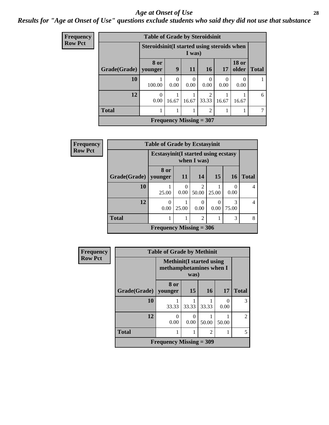#### *Age at Onset of Use* **28**

### *Results for "Age at Onset of Use" questions exclude students who said they did not use that substance*

| Frequency      |                        | <b>Table of Grade by Steroidsinit</b>      |                  |                  |                           |           |                       |              |
|----------------|------------------------|--------------------------------------------|------------------|------------------|---------------------------|-----------|-----------------------|--------------|
| <b>Row Pct</b> |                        | Steroidsinit(I started using steroids when |                  | I was)           |                           |           |                       |              |
|                | Grade(Grade)   younger | 8 or                                       | 9                | <b>11</b>        | 16                        | 17        | <b>18 or</b><br>older | <b>Total</b> |
|                | 10                     | 100.00                                     | $\Omega$<br>0.00 | $\Omega$<br>0.00 | 0<br>0.00                 | 0<br>0.00 | 0<br>0.00             |              |
|                | 12                     | 0<br>0.00                                  | 16.67            | 16.67            | 2<br>33.33                | 16.67     | 16.67                 | 6            |
|                | <b>Total</b>           |                                            |                  |                  | $\overline{2}$            |           |                       |              |
|                |                        |                                            |                  |                  | Frequency Missing $= 307$ |           |                       |              |

| Frequency      |              | <b>Table of Grade by Ecstasyinit</b>       |                  |                          |       |            |                |  |  |  |
|----------------|--------------|--------------------------------------------|------------------|--------------------------|-------|------------|----------------|--|--|--|
| <b>Row Pct</b> |              | <b>Ecstasyinit(I started using ecstasy</b> |                  | when I was)              |       |            |                |  |  |  |
|                | Grade(Grade) | 8 or<br>vounger                            | <b>11</b>        | 14                       | 15    | <b>16</b>  | <b>Total</b>   |  |  |  |
|                | 10           | 25.00                                      | $\Omega$<br>0.00 | $\mathfrak{D}$<br>50.00  | 25.00 | 0<br>0.00  | $\overline{4}$ |  |  |  |
|                | 12           | 0.00                                       | 25.00            | $\left( \right)$<br>0.00 | 0.00  | 3<br>75.00 | $\overline{4}$ |  |  |  |
|                | <b>Total</b> |                                            |                  | $\overline{c}$           |       | 3          | 8              |  |  |  |
|                |              | Frequency Missing $=$ 306                  |                  |                          |       |            |                |  |  |  |

| <b>Frequency</b> |              |                                                             |       | <b>Table of Grade by Methinit</b> |           |                |  |  |  |
|------------------|--------------|-------------------------------------------------------------|-------|-----------------------------------|-----------|----------------|--|--|--|
| <b>Row Pct</b>   |              | <b>Methinit</b> (I started using<br>methamphetamines when I | was)  |                                   |           |                |  |  |  |
|                  | Grade(Grade) | 8 or<br>vounger                                             | 15    | 16 <sup>1</sup>                   | <b>17</b> | <b>Total</b>   |  |  |  |
|                  | 10           | 33.33                                                       | 33.33 | 33.33                             | 0<br>0.00 | 3              |  |  |  |
|                  | 12           | 0<br>0.00                                                   | 0.00  | 50.00                             | 50.00     | $\overline{2}$ |  |  |  |
|                  | <b>Total</b> |                                                             |       | $\mathfrak{D}$                    |           | 5              |  |  |  |
|                  |              | Frequency Missing $=$ 309                                   |       |                                   |           |                |  |  |  |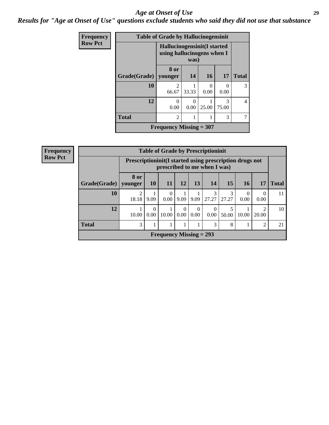#### *Age at Onset of Use* **29**

*Results for "Age at Onset of Use" questions exclude students who said they did not use that substance*

| Frequency      |              | <b>Table of Grade by Hallucinogensinit</b>                       |           |           |            |                |
|----------------|--------------|------------------------------------------------------------------|-----------|-----------|------------|----------------|
| <b>Row Pct</b> |              | <b>Hallucinogensinit(I started</b><br>using hallucinogens when I | was)      |           |            |                |
|                | Grade(Grade) | 8 or<br>younger                                                  | 14        | <b>16</b> | 17         | <b>Total</b>   |
|                | 10           | $\mathfrak{D}$<br>66.67                                          | 33.33     | 0<br>0.00 | 0.00       | 3              |
|                | 12           | $\Omega$<br>0.00                                                 | 0<br>0.00 | 25.00     | 3<br>75.00 | $\overline{4}$ |
|                | <b>Total</b> | $\overline{2}$                                                   | 1         |           | 3          |                |
|                |              | <b>Frequency Missing = 307</b>                                   |           |           |            |                |

| <b>Frequency</b> |              |                                                            |                  |                           |                  |                      | <b>Table of Grade by Prescriptioninit</b> |            |                  |                  |              |
|------------------|--------------|------------------------------------------------------------|------------------|---------------------------|------------------|----------------------|-------------------------------------------|------------|------------------|------------------|--------------|
| <b>Row Pct</b>   |              | Prescription in it (I started using prescription drugs not |                  |                           |                  |                      | prescribed to me when I was)              |            |                  |                  |              |
|                  | Grade(Grade) | 8 or<br>younger                                            | 10               | 11                        | 12               | 13                   | <b>14</b>                                 | 15         | <b>16</b>        | 17               | <b>Total</b> |
|                  | 10           | 2<br>18.18                                                 | 9.09             | $\Omega$<br>0.00          | 9.09             | 9.09                 | 3<br>27.27                                | 3<br>27.27 | $\Omega$<br>0.00 | $\Omega$<br>0.00 | 11           |
|                  | 12           | 10.00                                                      | $\Omega$<br>0.00 | 10.00                     | $\Omega$<br>0.00 | $\Omega$<br>$0.00\,$ | $\Omega$<br>0.00                          | 5<br>50.00 | 10.00            | 2<br>20.00       | 10           |
|                  | <b>Total</b> | 3                                                          |                  |                           |                  |                      | 3                                         | 8          |                  | 2                | 21           |
|                  |              |                                                            |                  | Frequency Missing $= 293$ |                  |                      |                                           |            |                  |                  |              |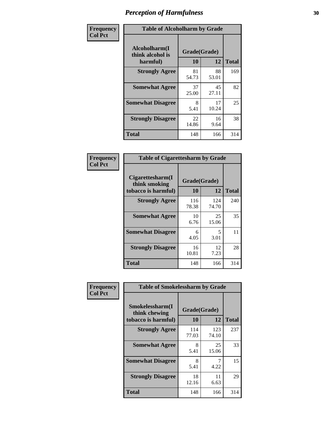| Frequency      | <b>Table of Alcoholharm by Grade</b>          |                    |             |              |  |  |  |
|----------------|-----------------------------------------------|--------------------|-------------|--------------|--|--|--|
| <b>Col Pct</b> | Alcoholharm(I<br>think alcohol is<br>harmful) | Grade(Grade)<br>10 | 12          | <b>Total</b> |  |  |  |
|                | <b>Strongly Agree</b>                         | 81<br>54.73        | 88<br>53.01 | 169          |  |  |  |
|                | <b>Somewhat Agree</b>                         | 37<br>25.00        | 45<br>27.11 | 82           |  |  |  |
|                | <b>Somewhat Disagree</b>                      | 8<br>5.41          | 17<br>10.24 | 25           |  |  |  |
|                | <b>Strongly Disagree</b>                      | 22<br>14.86        | 16<br>9.64  | 38           |  |  |  |
|                | <b>Total</b>                                  | 148                | 166         | 314          |  |  |  |

|                                                          | <b>Table of Cigarettesharm by Grade</b> |              |              |  |  |  |  |  |
|----------------------------------------------------------|-----------------------------------------|--------------|--------------|--|--|--|--|--|
| Cigarettesharm(I<br>think smoking<br>tobacco is harmful) | Grade(Grade)<br>10                      | 12           | <b>Total</b> |  |  |  |  |  |
| <b>Strongly Agree</b>                                    | 116<br>78.38                            | 124<br>74.70 | 240          |  |  |  |  |  |
| <b>Somewhat Agree</b>                                    | 10<br>6.76                              | 25<br>15.06  | 35           |  |  |  |  |  |
| <b>Somewhat Disagree</b>                                 | 6<br>4.05                               | 5<br>3.01    | 11           |  |  |  |  |  |
| <b>Strongly Disagree</b>                                 | 16<br>10.81                             | 12<br>7.23   | 28           |  |  |  |  |  |
| <b>Total</b>                                             | 148                                     | 166          | 314          |  |  |  |  |  |

| Frequency      | <b>Table of Smokelessharm by Grade</b>                  |                    |              |              |
|----------------|---------------------------------------------------------|--------------------|--------------|--------------|
| <b>Col Pct</b> | Smokelessharm(I<br>think chewing<br>tobacco is harmful) | Grade(Grade)<br>10 | 12           | <b>Total</b> |
|                | <b>Strongly Agree</b>                                   | 114<br>77.03       | 123<br>74.10 | 237          |
|                | <b>Somewhat Agree</b>                                   | 8<br>5.41          | 25<br>15.06  | 33           |
|                | <b>Somewhat Disagree</b>                                | 8<br>5.41          | 4.22         | 15           |
|                | <b>Strongly Disagree</b>                                | 18<br>12.16        | 11<br>6.63   | 29           |
|                | <b>Total</b>                                            | 148                | 166          | 314          |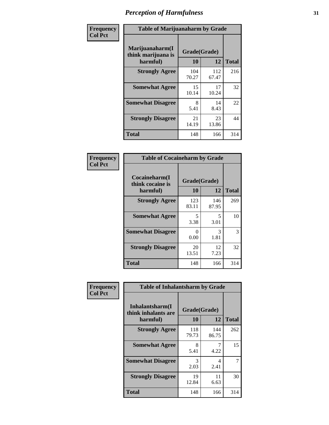| Frequency      |                                                   | <b>Table of Marijuanaharm by Grade</b> |              |              |  |  |  |  |  |
|----------------|---------------------------------------------------|----------------------------------------|--------------|--------------|--|--|--|--|--|
| <b>Col Pct</b> | Marijuanaharm(I<br>think marijuana is<br>harmful) | Grade(Grade)<br>10                     | 12           | <b>Total</b> |  |  |  |  |  |
|                | <b>Strongly Agree</b>                             | 104<br>70.27                           | 112<br>67.47 | 216          |  |  |  |  |  |
|                | <b>Somewhat Agree</b>                             | 15<br>10.14                            | 17<br>10.24  | 32           |  |  |  |  |  |
|                | <b>Somewhat Disagree</b>                          | 8<br>5.41                              | 14<br>8.43   | 22           |  |  |  |  |  |
|                | <b>Strongly Disagree</b>                          | 21<br>14.19                            | 23<br>13.86  | 44           |  |  |  |  |  |
|                | <b>Total</b>                                      | 148                                    | 166          | 314          |  |  |  |  |  |

| <b>Table of Cocaineharm by Grade</b>          |                    |              |     |  |  |  |
|-----------------------------------------------|--------------------|--------------|-----|--|--|--|
| Cocaineharm(I<br>think cocaine is<br>harmful) | Grade(Grade)<br>10 | <b>Total</b> |     |  |  |  |
| <b>Strongly Agree</b>                         | 123<br>83.11       | 146<br>87.95 | 269 |  |  |  |
| <b>Somewhat Agree</b>                         | 5<br>3.38          | 5<br>3.01    | 10  |  |  |  |
| <b>Somewhat Disagree</b>                      | 0<br>0.00          | 3<br>1.81    | 3   |  |  |  |
| <b>Strongly Disagree</b>                      | 20<br>13.51        | 12<br>7.23   | 32  |  |  |  |
| <b>Total</b>                                  | 148                | 166          | 314 |  |  |  |

| Frequency      | <b>Table of Inhalantsharm by Grade</b>             |                           |              |              |
|----------------|----------------------------------------------------|---------------------------|--------------|--------------|
| <b>Col Pct</b> | Inhalantsharm(I<br>think inhalants are<br>harmful) | Grade(Grade)<br><b>10</b> | 12           | <b>Total</b> |
|                | <b>Strongly Agree</b>                              | 118<br>79.73              | 144<br>86.75 | 262          |
|                | <b>Somewhat Agree</b>                              | 8<br>5.41                 | 4.22         | 15           |
|                | <b>Somewhat Disagree</b>                           | 3<br>2.03                 | 4<br>2.41    | 7            |
|                | <b>Strongly Disagree</b>                           | 19<br>12.84               | 11<br>6.63   | 30           |
|                | <b>Total</b>                                       | 148                       | 166          | 314          |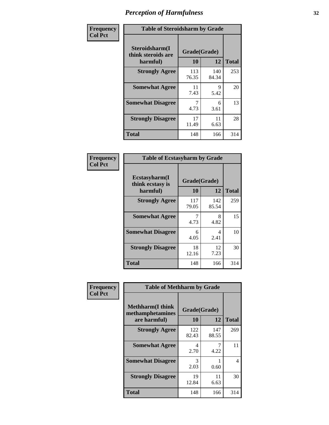| Frequency      | <b>Table of Steroidsharm by Grade</b>            |                    |              |              |
|----------------|--------------------------------------------------|--------------------|--------------|--------------|
| <b>Col Pct</b> | Steroidsharm(I<br>think steroids are<br>harmful) | Grade(Grade)<br>10 | 12           | <b>Total</b> |
|                | <b>Strongly Agree</b>                            | 113<br>76.35       | 140<br>84.34 | 253          |
|                | <b>Somewhat Agree</b>                            | 11<br>7.43         | 9<br>5.42    | 20           |
|                | <b>Somewhat Disagree</b>                         | 4.73               | 6<br>3.61    | 13           |
|                | <b>Strongly Disagree</b>                         | 17<br>11.49        | 11<br>6.63   | 28           |
|                | <b>Total</b>                                     | 148                | 166          | 314          |

| <b>Table of Ecstasyharm by Grade</b>          |                    |              |              |  |  |
|-----------------------------------------------|--------------------|--------------|--------------|--|--|
| Ecstasyharm(I<br>think ecstasy is<br>harmful) | Grade(Grade)<br>10 | 12           | <b>Total</b> |  |  |
| <b>Strongly Agree</b>                         | 117<br>79.05       | 142<br>85.54 | 259          |  |  |
| <b>Somewhat Agree</b>                         | 7<br>4.73          | 8<br>4.82    | 15           |  |  |
| <b>Somewhat Disagree</b>                      | 6<br>4.05          | 4<br>2.41    | 10           |  |  |
| <b>Strongly Disagree</b>                      | 18<br>12.16        | 12<br>7.23   | 30           |  |  |
| <b>Total</b>                                  | 148                | 166          | 314          |  |  |

| Frequency      | <b>Table of Methharm by Grade</b>                            |                    |              |              |
|----------------|--------------------------------------------------------------|--------------------|--------------|--------------|
| <b>Col Pct</b> | <b>Methharm</b> (I think<br>methamphetamines<br>are harmful) | Grade(Grade)<br>10 | 12           | <b>Total</b> |
|                | <b>Strongly Agree</b>                                        | 122<br>82.43       | 147<br>88.55 | 269          |
|                | <b>Somewhat Agree</b>                                        | 4<br>2.70          | 4.22         | 11           |
|                | <b>Somewhat Disagree</b>                                     | 3<br>2.03          | 0.60         | 4            |
|                | <b>Strongly Disagree</b>                                     | 19<br>12.84        | 11<br>6.63   | 30           |
|                | <b>Total</b>                                                 | 148                | 166          | 314          |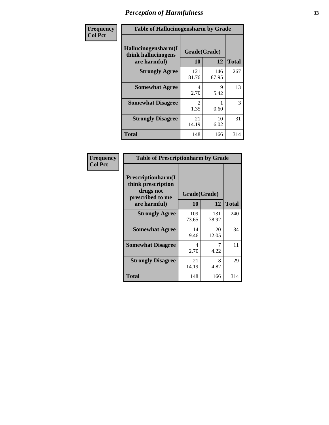| Frequency | <b>Table of Hallucinogensharm by Grade</b>                 |                    |              |              |
|-----------|------------------------------------------------------------|--------------------|--------------|--------------|
| Col Pct   | Hallucinogensharm(I<br>think hallucinogens<br>are harmful) | Grade(Grade)<br>10 | 12           | <b>Total</b> |
|           | <b>Strongly Agree</b>                                      | 121<br>81.76       | 146<br>87.95 | 267          |
|           | <b>Somewhat Agree</b>                                      | 4<br>2.70          | 9<br>5.42    | 13           |
|           | <b>Somewhat Disagree</b>                                   | 2<br>1.35          | 0.60         | 3            |
|           | <b>Strongly Disagree</b>                                   | 21<br>14.19        | 10<br>6.02   | 31           |
|           | <b>Total</b>                                               | 148                | 166          | 314          |

| <b>Table of Prescriptionharm by Grade</b>                                         |              |              |              |  |
|-----------------------------------------------------------------------------------|--------------|--------------|--------------|--|
| <b>Prescriptionharm</b> (I<br>think prescription<br>drugs not<br>prescribed to me | Grade(Grade) |              |              |  |
| are harmful)                                                                      | 10           | 12           | <b>Total</b> |  |
| <b>Strongly Agree</b>                                                             | 109<br>73.65 | 131<br>78.92 | 240          |  |
| <b>Somewhat Agree</b>                                                             | 14<br>9.46   | 20<br>12.05  | 34           |  |
| <b>Somewhat Disagree</b>                                                          | 4<br>2.70    | 4.22         | 11           |  |
| <b>Strongly Disagree</b>                                                          | 21<br>14.19  | 8<br>4.82    | 29           |  |
| <b>Total</b>                                                                      | 148          | 166          | 314          |  |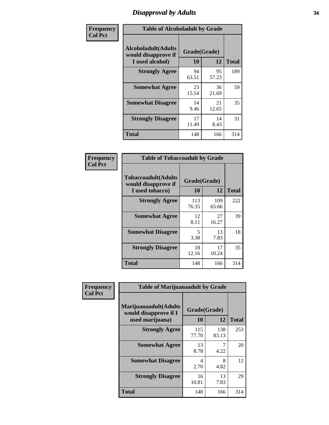### *Disapproval by Adults* **34**

| Frequency      |                                                                       | <b>Table of Alcoholadult by Grade</b> |             |              |
|----------------|-----------------------------------------------------------------------|---------------------------------------|-------------|--------------|
| <b>Col Pct</b> | <b>Alcoholadult</b> (Adults<br>would disapprove if<br>I used alcohol) | Grade(Grade)<br>10                    | 12          | <b>Total</b> |
|                | <b>Strongly Agree</b>                                                 | 94<br>63.51                           | 95<br>57.23 | 189          |
|                | <b>Somewhat Agree</b>                                                 | 23<br>15.54                           | 36<br>21.69 | 59           |
|                | <b>Somewhat Disagree</b>                                              | 14<br>9.46                            | 21<br>12.65 | 35           |
|                | <b>Strongly Disagree</b>                                              | 17<br>11.49                           | 14<br>8.43  | 31           |
|                | <b>Total</b>                                                          | 148                                   | 166         | 314          |

| <b>Table of Tobaccoadult by Grade</b>                                 |                                  |              |              |  |  |
|-----------------------------------------------------------------------|----------------------------------|--------------|--------------|--|--|
| <b>Tobaccoadult</b> (Adults<br>would disapprove if<br>I used tobacco) | Grade(Grade)<br>10               | 12           | <b>Total</b> |  |  |
| <b>Strongly Agree</b>                                                 | 113<br>76.35                     | 109<br>65.66 | 222          |  |  |
| <b>Somewhat Agree</b>                                                 | 12<br>8.11                       | 27<br>16.27  | 39           |  |  |
| <b>Somewhat Disagree</b>                                              | $\overline{\phantom{0}}$<br>3.38 | 13<br>7.83   | 18           |  |  |
| <b>Strongly Disagree</b>                                              | 18<br>12.16                      | 17<br>10.24  | 35           |  |  |
| <b>Total</b>                                                          | 148                              | 166          | 314          |  |  |

| Frequency      | <b>Table of Marijuanaadult by Grade</b>                           |                    |              |              |
|----------------|-------------------------------------------------------------------|--------------------|--------------|--------------|
| <b>Col Pct</b> | Marijuanaadult(Adults<br>would disapprove if I<br>used marijuana) | Grade(Grade)<br>10 | 12           | <b>Total</b> |
|                | <b>Strongly Agree</b>                                             | 115<br>77.70       | 138<br>83.13 | 253          |
|                | <b>Somewhat Agree</b>                                             | 13<br>8.78         | 7<br>4.22    | 20           |
|                | <b>Somewhat Disagree</b>                                          | 4<br>2.70          | 8<br>4.82    | 12           |
|                | <b>Strongly Disagree</b>                                          | 16<br>10.81        | 13<br>7.83   | 29           |
|                | <b>Total</b>                                                      | 148                | 166          | 314          |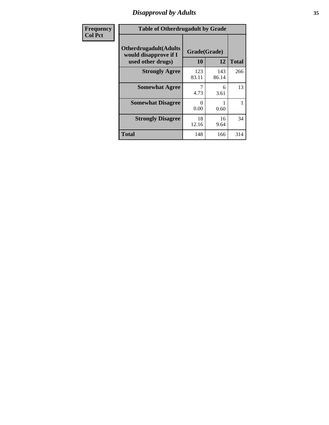# *Disapproval by Adults* **35**

| <b>Frequency</b> | <b>Table of Otherdrugadult by Grade</b>                                     |                    |              |              |
|------------------|-----------------------------------------------------------------------------|--------------------|--------------|--------------|
| <b>Col Pct</b>   | <b>Otherdrugadult</b> (Adults<br>would disapprove if I<br>used other drugs) | Grade(Grade)<br>10 | 12           | <b>Total</b> |
|                  | <b>Strongly Agree</b>                                                       | 123<br>83.11       | 143<br>86.14 | 266          |
|                  | <b>Somewhat Agree</b>                                                       | 4.73               | 6<br>3.61    | 13           |
|                  | <b>Somewhat Disagree</b>                                                    | 0<br>0.00          | 0.60         |              |
|                  | <b>Strongly Disagree</b>                                                    | 18<br>12.16        | 16<br>9.64   | 34           |
|                  | <b>Total</b>                                                                | 148                | 166          | 314          |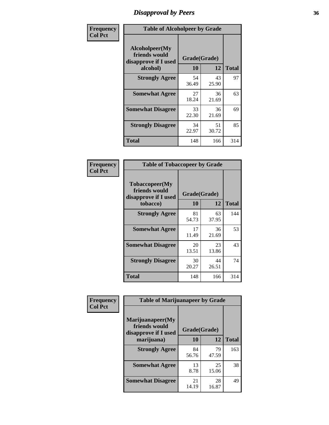### *Disapproval by Peers* **36**

| Frequency      | <b>Table of Alcoholpeer by Grade</b>                    |              |             |              |
|----------------|---------------------------------------------------------|--------------|-------------|--------------|
| <b>Col Pct</b> | Alcoholpeer(My<br>friends would<br>disapprove if I used | Grade(Grade) |             |              |
|                | alcohol)                                                | 10           | 12          | <b>Total</b> |
|                | <b>Strongly Agree</b>                                   | 54<br>36.49  | 43<br>25.90 | 97           |
|                | <b>Somewhat Agree</b>                                   | 27<br>18.24  | 36<br>21.69 | 63           |
|                | <b>Somewhat Disagree</b>                                | 33<br>22.30  | 36<br>21.69 | 69           |
|                | <b>Strongly Disagree</b>                                | 34<br>22.97  | 51<br>30.72 | 85           |
|                | Total                                                   | 148          | 166         | 314          |

| Frequency      | <b>Table of Tobaccopeer by Grade</b>                                |                    |             |              |
|----------------|---------------------------------------------------------------------|--------------------|-------------|--------------|
| <b>Col Pct</b> | Tobaccopeer(My<br>friends would<br>disapprove if I used<br>tobacco) | Grade(Grade)<br>10 | 12          | <b>Total</b> |
|                | <b>Strongly Agree</b>                                               | 81<br>54.73        | 63<br>37.95 | 144          |
|                | <b>Somewhat Agree</b>                                               | 17<br>11.49        | 36<br>21.69 | 53           |
|                | <b>Somewhat Disagree</b>                                            | 20<br>13.51        | 23<br>13.86 | 43           |
|                | <b>Strongly Disagree</b>                                            | 30<br>20.27        | 44<br>26.51 | 74           |
|                | Total                                                               | 148                | 166         | 314          |

| Frequency      | <b>Table of Marijuanapeer by Grade</b> |              |             |              |  |
|----------------|----------------------------------------|--------------|-------------|--------------|--|
| <b>Col Pct</b> | Marijuanapeer(My<br>friends would      | Grade(Grade) |             |              |  |
|                | disapprove if I used<br>marijuana)     | 10           | 12          | <b>Total</b> |  |
|                | <b>Strongly Agree</b>                  | 84<br>56.76  | 79<br>47.59 | 163          |  |
|                | <b>Somewhat Agree</b>                  | 13<br>8.78   | 25<br>15.06 | 38           |  |
|                | <b>Somewhat Disagree</b>               | 21<br>14.19  | 28<br>16.87 | 49           |  |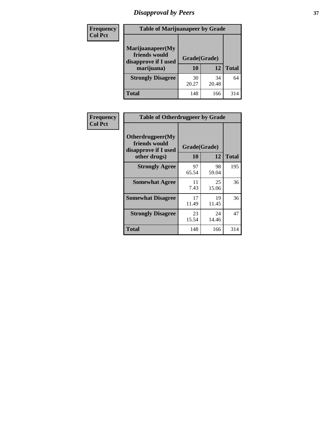# *Disapproval by Peers* **37**

| Frequency<br><b>Col Pct</b> | <b>Table of Marijuanapeer by Grade</b>                                  |                    |             |              |
|-----------------------------|-------------------------------------------------------------------------|--------------------|-------------|--------------|
|                             | Marijuanapeer(My<br>friends would<br>disapprove if I used<br>marijuana) | Grade(Grade)<br>10 | 12          | <b>Total</b> |
|                             | <b>Strongly Disagree</b>                                                | 30<br>20.27        | 34<br>20.48 | 64           |
|                             | Total                                                                   | 148                | 166         | 314          |

| Frequency      | <b>Table of Otherdrugpeer by Grade</b>                                    |                    |             |              |
|----------------|---------------------------------------------------------------------------|--------------------|-------------|--------------|
| <b>Col Pct</b> | Otherdrugpeer(My<br>friends would<br>disapprove if I used<br>other drugs) | Grade(Grade)<br>10 | 12          | <b>Total</b> |
|                | <b>Strongly Agree</b>                                                     | 97<br>65.54        | 98<br>59.04 | 195          |
|                | <b>Somewhat Agree</b>                                                     | 11<br>7.43         | 25<br>15.06 | 36           |
|                | <b>Somewhat Disagree</b>                                                  | 17<br>11.49        | 19<br>11.45 | 36           |
|                | <b>Strongly Disagree</b>                                                  | 23<br>15.54        | 24<br>14.46 | 47           |
|                | <b>Total</b>                                                              | 148                | 166         | 314          |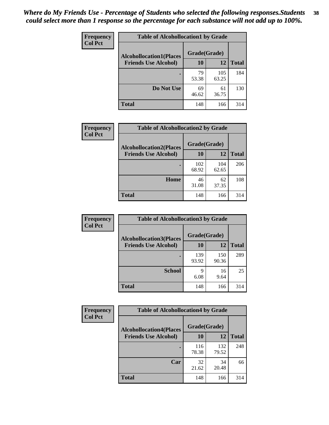| Frequency<br><b>Col Pct</b> | <b>Table of Alcohollocation1 by Grade</b> |              |              |              |
|-----------------------------|-------------------------------------------|--------------|--------------|--------------|
|                             | <b>Alcohollocation1(Places</b>            | Grade(Grade) |              |              |
|                             | <b>Friends Use Alcohol)</b>               | 10           | 12           | <b>Total</b> |
|                             |                                           | 79<br>53.38  | 105<br>63.25 | 184          |
|                             | Do Not Use                                | 69<br>46.62  | 61<br>36.75  | 130          |
|                             | <b>Total</b>                              | 148          | 166          | 314          |

| <b>Frequency</b> | <b>Table of Alcohollocation2 by Grade</b>                     |                           |              |              |
|------------------|---------------------------------------------------------------|---------------------------|--------------|--------------|
| <b>Col Pct</b>   | <b>Alcohollocation2(Places</b><br><b>Friends Use Alcohol)</b> | Grade(Grade)<br><b>10</b> | 12           | <b>Total</b> |
|                  |                                                               | 102<br>68.92              | 104<br>62.65 | 206          |
|                  | Home                                                          | 46<br>31.08               | 62<br>37.35  | 108          |
|                  | <b>Total</b>                                                  | 148                       | 166          | 314          |

| Frequency<br><b>Col Pct</b> | <b>Table of Alcohollocation 3 by Grade</b>                    |                    |              |              |
|-----------------------------|---------------------------------------------------------------|--------------------|--------------|--------------|
|                             | <b>Alcohollocation3(Places</b><br><b>Friends Use Alcohol)</b> | Grade(Grade)<br>10 | 12           | <b>Total</b> |
|                             |                                                               | 139<br>93.92       | 150<br>90.36 | 289          |
|                             | <b>School</b>                                                 | 9<br>6.08          | 16<br>9.64   | 25           |
|                             | <b>Total</b>                                                  | 148                | 166          | 314          |

| <b>Frequency</b> | <b>Table of Alcohollocation4 by Grade</b> |              |              |              |
|------------------|-------------------------------------------|--------------|--------------|--------------|
| <b>Col Pct</b>   | <b>Alcohollocation4(Places</b>            | Grade(Grade) |              |              |
|                  | <b>Friends Use Alcohol)</b>               | 10           | 12           | <b>Total</b> |
|                  |                                           | 116<br>78.38 | 132<br>79.52 | 248          |
|                  | Car                                       | 32<br>21.62  | 34<br>20.48  | 66           |
|                  | <b>Total</b>                              | 148          | 166          | 314          |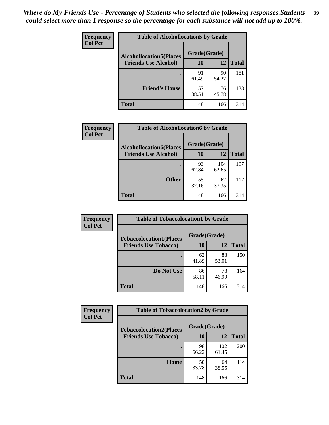| Frequency<br><b>Col Pct</b> | <b>Table of Alcohollocation5 by Grade</b> |              |             |              |  |
|-----------------------------|-------------------------------------------|--------------|-------------|--------------|--|
|                             | <b>Alcohollocation5</b> (Places           | Grade(Grade) |             |              |  |
|                             | <b>Friends Use Alcohol)</b>               | 10           | 12          | <b>Total</b> |  |
|                             |                                           | 91<br>61.49  | 90<br>54.22 | 181          |  |
|                             | <b>Friend's House</b>                     | 57<br>38.51  | 76<br>45.78 | 133          |  |
|                             | <b>Total</b>                              | 148          | 166         | 314          |  |

| <b>Frequency</b> |                                | <b>Table of Alcohollocation6 by Grade</b> |              |              |  |
|------------------|--------------------------------|-------------------------------------------|--------------|--------------|--|
| <b>Col Pct</b>   | <b>Alcohollocation6(Places</b> | Grade(Grade)                              |              |              |  |
|                  | <b>Friends Use Alcohol)</b>    | 10                                        | 12           | <b>Total</b> |  |
|                  |                                | 93<br>62.84                               | 104<br>62.65 | 197          |  |
|                  | <b>Other</b>                   | 55<br>37.16                               | 62<br>37.35  | 117          |  |
|                  | <b>Total</b>                   | 148                                       | 166          | 314          |  |

| <b>Frequency</b> | <b>Table of Tobaccolocation1 by Grade</b> |              |             |              |
|------------------|-------------------------------------------|--------------|-------------|--------------|
| <b>Col Pct</b>   | <b>Tobaccolocation1(Places</b>            | Grade(Grade) |             |              |
|                  | <b>Friends Use Tobacco)</b>               | 10           | 12          | <b>Total</b> |
|                  |                                           | 62<br>41.89  | 88<br>53.01 | 150          |
|                  | Do Not Use                                | 86<br>58.11  | 78<br>46.99 | 164          |
|                  | <b>Total</b>                              | 148          | 166         | 314          |

| <b>Frequency</b> | <b>Table of Tobaccolocation2 by Grade</b> |              |              |              |
|------------------|-------------------------------------------|--------------|--------------|--------------|
| <b>Col Pct</b>   | <b>Tobaccolocation2(Places</b>            | Grade(Grade) |              |              |
|                  | <b>Friends Use Tobacco)</b>               | 10           | 12           | <b>Total</b> |
|                  |                                           | 98<br>66.22  | 102<br>61.45 | 200          |
|                  | Home                                      | 50<br>33.78  | 64<br>38.55  | 114          |
|                  | <b>Total</b>                              | 148          | 166          | 314          |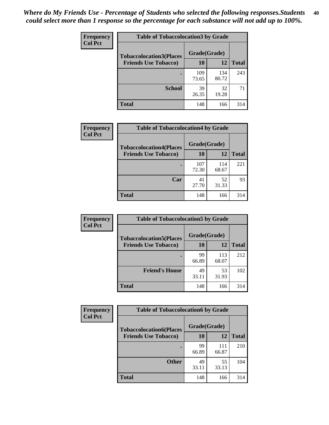| Frequency      | <b>Table of Tobaccolocation 3 by Grade</b> |              |              |              |
|----------------|--------------------------------------------|--------------|--------------|--------------|
| <b>Col Pct</b> | <b>Tobaccolocation3(Places</b>             | Grade(Grade) |              |              |
|                | <b>Friends Use Tobacco)</b>                | 10           | 12           | <b>Total</b> |
|                |                                            | 109<br>73.65 | 134<br>80.72 | 243          |
|                | <b>School</b>                              | 39<br>26.35  | 32<br>19.28  | 71           |
|                | <b>Total</b>                               | 148          | 166          | 314          |

| Frequency<br><b>Col Pct</b> | <b>Table of Tobaccolocation4 by Grade</b> |              |              |              |
|-----------------------------|-------------------------------------------|--------------|--------------|--------------|
|                             | <b>Tobaccolocation4(Places</b>            | Grade(Grade) |              |              |
|                             | <b>Friends Use Tobacco)</b>               | 10           | 12           | <b>Total</b> |
|                             |                                           | 107<br>72.30 | 114<br>68.67 | 221          |
|                             | Car                                       | 41<br>27.70  | 52<br>31.33  | 93           |
|                             | <b>Total</b>                              | 148          | 166          | 314          |

| Frequency      | <b>Table of Tobaccolocation5 by Grade</b> |              |              |              |
|----------------|-------------------------------------------|--------------|--------------|--------------|
| <b>Col Pct</b> | <b>Tobaccolocation5(Places</b>            | Grade(Grade) |              |              |
|                | <b>Friends Use Tobacco)</b>               | 10           | 12           | <b>Total</b> |
|                |                                           | 99<br>66.89  | 113<br>68.07 | 212          |
|                | <b>Friend's House</b>                     | 49<br>33.11  | 53<br>31.93  | 102          |
|                | <b>Total</b>                              | 148          | 166          | 314          |

| <b>Frequency</b><br><b>Col Pct</b> | <b>Table of Tobaccolocation6 by Grade</b> |              |              |              |  |
|------------------------------------|-------------------------------------------|--------------|--------------|--------------|--|
|                                    | <b>Tobaccolocation6(Places</b>            | Grade(Grade) |              |              |  |
|                                    | <b>Friends Use Tobacco)</b>               | 10           | 12           | <b>Total</b> |  |
|                                    |                                           | 99<br>66.89  | 111<br>66.87 | 210          |  |
|                                    | <b>Other</b>                              | 49<br>33.11  | 55<br>33.13  | 104          |  |
|                                    | <b>Total</b>                              | 148          | 166          | 314          |  |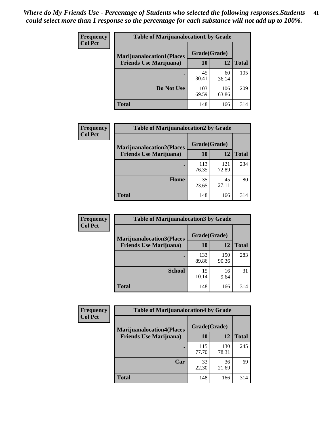| <b>Frequency</b> | <b>Table of Marijuanalocation1 by Grade</b> |              |              |              |
|------------------|---------------------------------------------|--------------|--------------|--------------|
| <b>Col Pct</b>   | <b>Marijuanalocation1(Places</b>            | Grade(Grade) |              |              |
|                  | <b>Friends Use Marijuana</b> )              | <b>10</b>    | 12           | <b>Total</b> |
|                  |                                             | 45<br>30.41  | 60<br>36.14  | 105          |
|                  | Do Not Use                                  | 103<br>69.59 | 106<br>63.86 | 209          |
|                  | <b>Total</b>                                | 148          | 166          | 314          |

| <b>Frequency</b> | <b>Table of Marijuanalocation2 by Grade</b>                        |                    |              |              |
|------------------|--------------------------------------------------------------------|--------------------|--------------|--------------|
| <b>Col Pct</b>   | <b>Marijuanalocation2(Places</b><br><b>Friends Use Marijuana</b> ) | Grade(Grade)<br>10 | 12           | <b>Total</b> |
|                  |                                                                    | 113<br>76.35       | 121<br>72.89 | 234          |
|                  | Home                                                               | 35<br>23.65        | 45<br>27.11  | 80           |
|                  | <b>Total</b>                                                       | 148                | 166          | 314          |

| <b>Frequency</b><br><b>Col Pct</b> | <b>Table of Marijuanalocation3 by Grade</b>                         |                    |              |              |
|------------------------------------|---------------------------------------------------------------------|--------------------|--------------|--------------|
|                                    | <b>Marijuanalocation3</b> (Places<br><b>Friends Use Marijuana</b> ) | Grade(Grade)<br>10 | 12           | <b>Total</b> |
|                                    |                                                                     | 133<br>89.86       | 150<br>90.36 | 283          |
|                                    | <b>School</b>                                                       | 15<br>10.14        | 16<br>9.64   | 31           |
|                                    | <b>Total</b>                                                        | 148                | 166          | 314          |

| <b>Frequency</b> | <b>Table of Marijuanalocation4 by Grade</b> |              |              |              |  |
|------------------|---------------------------------------------|--------------|--------------|--------------|--|
| <b>Col Pct</b>   | <b>Marijuanalocation4(Places</b>            | Grade(Grade) |              |              |  |
|                  | <b>Friends Use Marijuana</b> )              | <b>10</b>    | 12           | <b>Total</b> |  |
|                  |                                             | 115<br>77.70 | 130<br>78.31 | 245          |  |
|                  | Car                                         | 33<br>22.30  | 36<br>21.69  | 69           |  |
|                  | <b>Total</b>                                | 148          | 166          | 314          |  |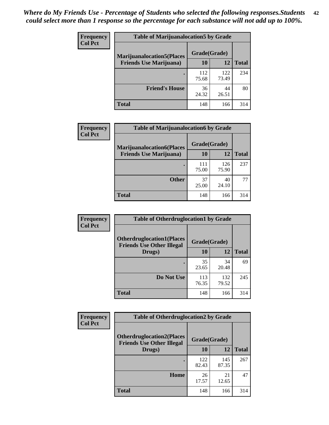| <b>Frequency</b> | <b>Table of Marijuanalocation5 by Grade</b> |              |              |       |
|------------------|---------------------------------------------|--------------|--------------|-------|
| <b>Col Pct</b>   | <b>Marijuanalocation5(Places</b>            | Grade(Grade) |              |       |
|                  | <b>Friends Use Marijuana</b> )              | 10           | 12           | Total |
|                  |                                             | 112<br>75.68 | 122<br>73.49 | 234   |
|                  | <b>Friend's House</b>                       | 36<br>24.32  | 44<br>26.51  | 80    |
|                  | <b>Total</b>                                | 148          | 166          | 314   |

| <b>Frequency</b> | <b>Table of Marijuanalocation6 by Grade</b>                        |                    |              |              |
|------------------|--------------------------------------------------------------------|--------------------|--------------|--------------|
| <b>Col Pct</b>   | <b>Marijuanalocation6(Places</b><br><b>Friends Use Marijuana</b> ) | Grade(Grade)<br>10 | 12           | <b>Total</b> |
|                  |                                                                    | 111<br>75.00       | 126<br>75.90 | 237          |
|                  | <b>Other</b>                                                       | 37<br>25.00        | 40<br>24.10  | 77           |
|                  | <b>Total</b>                                                       | 148                | 166          | 314          |

| <b>Frequency</b> | <b>Table of Otherdruglocation1 by Grade</b>                          |              |              |              |
|------------------|----------------------------------------------------------------------|--------------|--------------|--------------|
| <b>Col Pct</b>   | <b>Otherdruglocation1(Places</b><br><b>Friends Use Other Illegal</b> | Grade(Grade) |              |              |
|                  | Drugs)                                                               | 10           | 12           | <b>Total</b> |
|                  |                                                                      | 35<br>23.65  | 34<br>20.48  | 69           |
|                  | Do Not Use                                                           | 113<br>76.35 | 132<br>79.52 | 245          |
|                  | <b>Total</b>                                                         | 148          | 166          | 314          |

| <b>Frequency</b> | <b>Table of Otherdruglocation2 by Grade</b>                          |              |              |              |
|------------------|----------------------------------------------------------------------|--------------|--------------|--------------|
| <b>Col Pct</b>   | <b>Otherdruglocation2(Places</b><br><b>Friends Use Other Illegal</b> | Grade(Grade) |              |              |
|                  | Drugs)                                                               | 10           | 12           | <b>Total</b> |
|                  |                                                                      | 122<br>82.43 | 145<br>87.35 | 267          |
|                  | Home                                                                 | 26<br>17.57  | 21<br>12.65  | 47           |
|                  | <b>Total</b>                                                         | 148          | 166          | 314          |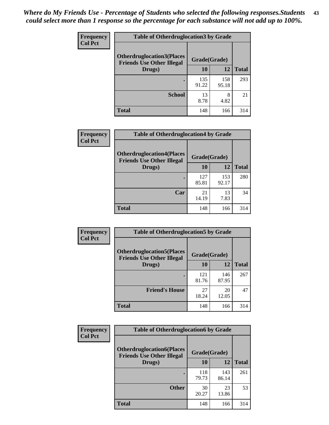| <b>Frequency</b> | <b>Table of Otherdruglocation3 by Grade</b>                          |              |              |              |
|------------------|----------------------------------------------------------------------|--------------|--------------|--------------|
| <b>Col Pct</b>   | <b>Otherdruglocation3(Places</b><br><b>Friends Use Other Illegal</b> | Grade(Grade) |              |              |
|                  | Drugs)                                                               | <b>10</b>    | 12           | <b>Total</b> |
|                  |                                                                      | 135<br>91.22 | 158<br>95.18 | 293          |
|                  | <b>School</b>                                                        | 13<br>8.78   | 8<br>4.82    | 21           |
|                  | <b>Total</b>                                                         | 148          | 166          | 314          |

| <b>Frequency</b> | <b>Table of Otherdruglocation4 by Grade</b>                          |              |              |              |
|------------------|----------------------------------------------------------------------|--------------|--------------|--------------|
| <b>Col Pct</b>   | <b>Otherdruglocation4(Places</b><br><b>Friends Use Other Illegal</b> | Grade(Grade) |              |              |
|                  | Drugs)                                                               | 10           | 12           | <b>Total</b> |
|                  |                                                                      | 127<br>85.81 | 153<br>92.17 | 280          |
|                  | Car                                                                  | 21<br>14.19  | 13<br>7.83   | 34           |
|                  | <b>Total</b>                                                         | 148          | 166          | 314          |

| <b>Frequency</b> | <b>Table of Otherdruglocation5 by Grade</b>                          |              |              |              |
|------------------|----------------------------------------------------------------------|--------------|--------------|--------------|
| <b>Col Pct</b>   | <b>Otherdruglocation5(Places</b><br><b>Friends Use Other Illegal</b> | Grade(Grade) |              |              |
|                  | Drugs)                                                               | 10           | 12           | <b>Total</b> |
|                  |                                                                      | 121<br>81.76 | 146<br>87.95 | 267          |
|                  | <b>Friend's House</b>                                                | 27<br>18.24  | 20<br>12.05  | 47           |
|                  | <b>Total</b>                                                         | 148          | 166          | 314          |

| Frequency      | <b>Table of Otherdruglocation6 by Grade</b>                          |              |              |              |
|----------------|----------------------------------------------------------------------|--------------|--------------|--------------|
| <b>Col Pct</b> | <b>Otherdruglocation6(Places</b><br><b>Friends Use Other Illegal</b> | Grade(Grade) |              |              |
|                | Drugs)                                                               | 10           | 12           | <b>Total</b> |
|                |                                                                      | 118<br>79.73 | 143<br>86.14 | 261          |
|                | <b>Other</b>                                                         | 30<br>20.27  | 23<br>13.86  | 53           |
|                | <b>Total</b>                                                         | 148          | 166          | 314          |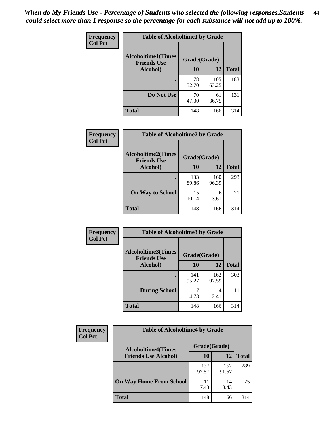| Frequency      | <b>Table of Alcoholtime1 by Grade</b> |                          |             |              |
|----------------|---------------------------------------|--------------------------|-------------|--------------|
| <b>Col Pct</b> | <b>Alcoholtime1(Times</b>             |                          |             |              |
|                | <b>Friends Use</b><br>Alcohol)        | Grade(Grade)<br>10<br>12 |             | <b>Total</b> |
|                |                                       | 78                       | 105         | 183          |
|                |                                       | 52.70                    | 63.25       |              |
|                | Do Not Use                            | 70<br>47.30              | 61<br>36.75 | 131          |
|                | <b>Total</b>                          | 148                      | 166         | 314          |

| Frequency      | <b>Table of Alcoholtime2 by Grade</b>           |              |              |              |  |
|----------------|-------------------------------------------------|--------------|--------------|--------------|--|
| <b>Col Pct</b> | <b>Alcoholtime2(Times</b><br><b>Friends Use</b> | Grade(Grade) |              |              |  |
|                | Alcohol)                                        | 10           | 12           | <b>Total</b> |  |
|                |                                                 | 133<br>89.86 | 160<br>96.39 | 293          |  |
|                | <b>On Way to School</b>                         | 15<br>10.14  | 6<br>3.61    | 21           |  |
|                | <b>Total</b>                                    | 148          | 166          | 314          |  |

| Frequency      | <b>Table of Alcoholtime3 by Grade</b>           |              |              |              |
|----------------|-------------------------------------------------|--------------|--------------|--------------|
| <b>Col Pct</b> | <b>Alcoholtime3(Times</b><br><b>Friends Use</b> | Grade(Grade) |              |              |
|                | Alcohol)                                        | 10           | 12           | <b>Total</b> |
|                |                                                 | 141<br>95.27 | 162<br>97.59 | 303          |
|                | <b>During School</b>                            | 4.73         | 4<br>2.41    | 11           |
|                | <b>Total</b>                                    | 148          | 166          | 314          |

| <b>Frequency</b> | <b>Table of Alcoholtime4 by Grade</b> |              |              |              |  |
|------------------|---------------------------------------|--------------|--------------|--------------|--|
| <b>Col Pct</b>   | <b>Alcoholtime4(Times</b>             | Grade(Grade) |              |              |  |
|                  | <b>Friends Use Alcohol)</b>           | 10           | 12           | <b>Total</b> |  |
|                  | ٠                                     | 137<br>92.57 | 152<br>91.57 | 289          |  |
|                  | <b>On Way Home From School</b>        | 11<br>7.43   | 14<br>8.43   | 25           |  |
|                  | <b>Total</b>                          | 148          | 166          | 314          |  |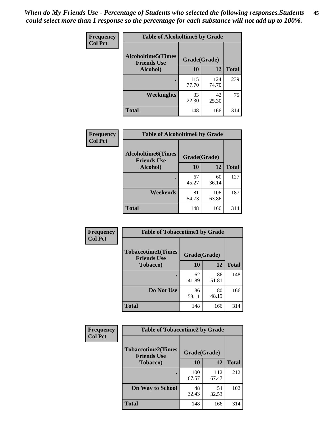*When do My Friends Use - Percentage of Students who selected the following responses.Students could select more than 1 response so the percentage for each substance will not add up to 100%.* **45**

| Frequency      | <b>Table of Alcoholtime5 by Grade</b>           |              |              |              |
|----------------|-------------------------------------------------|--------------|--------------|--------------|
| <b>Col Pct</b> | <b>Alcoholtime5(Times</b><br><b>Friends Use</b> | Grade(Grade) |              |              |
|                | Alcohol)                                        | 10           | <b>12</b>    | <b>Total</b> |
|                |                                                 | 115<br>77.70 | 124<br>74.70 | 239          |
|                | Weeknights                                      | 33<br>22.30  | 42<br>25.30  | 75           |
|                | <b>Total</b>                                    | 148          | 166          | 314          |

| Frequency      | <b>Table of Alcoholtime6 by Grade</b>           |              |              |              |
|----------------|-------------------------------------------------|--------------|--------------|--------------|
| <b>Col Pct</b> | <b>Alcoholtime6(Times</b><br><b>Friends Use</b> | Grade(Grade) |              |              |
|                | Alcohol)                                        | 10           | 12           | <b>Total</b> |
|                |                                                 | 67<br>45.27  | 60<br>36.14  | 127          |
|                | Weekends                                        | 81<br>54.73  | 106<br>63.86 | 187          |
|                | <b>Total</b>                                    | 148          | 166          | 314          |

| Frequency<br><b>Col Pct</b> | <b>Table of Tobaccotime1 by Grade</b>           |              |             |              |
|-----------------------------|-------------------------------------------------|--------------|-------------|--------------|
|                             | <b>Tobaccotime1(Times</b><br><b>Friends Use</b> | Grade(Grade) |             |              |
|                             | <b>Tobacco</b> )                                | 10           | 12          | <b>Total</b> |
|                             |                                                 | 62<br>41.89  | 86<br>51.81 | 148          |
|                             | Do Not Use                                      | 86<br>58.11  | 80<br>48.19 | 166          |
|                             | <b>Total</b>                                    | 148          | 166         | 314          |

| <b>Frequency</b> | <b>Table of Tobaccotime2 by Grade</b>           |              |              |              |
|------------------|-------------------------------------------------|--------------|--------------|--------------|
| <b>Col Pct</b>   | <b>Tobaccotime2(Times</b><br><b>Friends Use</b> | Grade(Grade) |              |              |
|                  | <b>Tobacco</b> )                                | 10           | 12           | <b>Total</b> |
|                  |                                                 | 100<br>67.57 | 112<br>67.47 | 212          |
|                  | <b>On Way to School</b>                         | 48<br>32.43  | 54<br>32.53  | 102          |
|                  | <b>Total</b>                                    | 148          | 166          | 314          |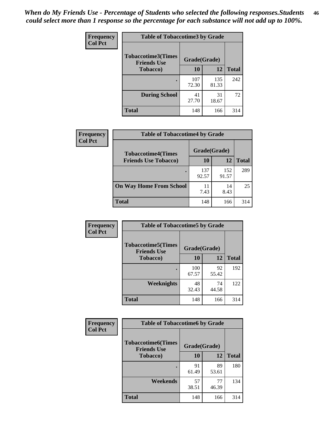*When do My Friends Use - Percentage of Students who selected the following responses.Students could select more than 1 response so the percentage for each substance will not add up to 100%.* **46**

| <b>Frequency</b> | <b>Table of Tobaccotime3 by Grade</b>           |              |              |              |
|------------------|-------------------------------------------------|--------------|--------------|--------------|
| <b>Col Pct</b>   | <b>Tobaccotime3(Times</b><br><b>Friends Use</b> | Grade(Grade) |              |              |
|                  | <b>Tobacco</b> )                                | 10           | 12           | <b>Total</b> |
|                  |                                                 | 107<br>72.30 | 135<br>81.33 | 242          |
|                  | <b>During School</b>                            | 41<br>27.70  | 31<br>18.67  | 72           |
|                  | <b>Total</b>                                    | 148          | 166          | 314          |

| <b>Frequency</b><br><b>Col Pct</b> | <b>Table of Tobaccotime4 by Grade</b> |              |              |              |
|------------------------------------|---------------------------------------|--------------|--------------|--------------|
|                                    | <b>Tobaccotime4(Times</b>             | Grade(Grade) |              |              |
|                                    | <b>Friends Use Tobacco)</b>           | 10           | 12           | <b>Total</b> |
|                                    |                                       | 137<br>92.57 | 152<br>91.57 | 289          |
|                                    | <b>On Way Home From School</b>        | 11<br>7.43   | 14<br>8.43   | 25           |
|                                    | <b>Total</b>                          | 148          | 166          | 314          |

| <b>Frequency</b> | <b>Table of Tobaccotime5 by Grade</b>           |              |             |              |
|------------------|-------------------------------------------------|--------------|-------------|--------------|
| <b>Col Pct</b>   | <b>Tobaccotime5(Times</b><br><b>Friends Use</b> | Grade(Grade) |             |              |
|                  | <b>Tobacco</b> )                                | 10           | 12          | <b>Total</b> |
|                  |                                                 | 100<br>67.57 | 92<br>55.42 | 192          |
|                  | Weeknights                                      | 48<br>32.43  | 74<br>44.58 | 122          |
|                  | <b>Total</b>                                    | 148          | 166         | 314          |

| Frequency      | <b>Table of Tobaccotime6 by Grade</b>           |              |             |              |
|----------------|-------------------------------------------------|--------------|-------------|--------------|
| <b>Col Pct</b> | <b>Tobaccotime6(Times</b><br><b>Friends Use</b> | Grade(Grade) |             |              |
|                | <b>Tobacco</b> )                                | 10           | <b>12</b>   | <b>Total</b> |
|                | ٠                                               | 91<br>61.49  | 89<br>53.61 | 180          |
|                | Weekends                                        | 57<br>38.51  | 77<br>46.39 | 134          |
|                | <b>Total</b>                                    | 148          | 166         | 314          |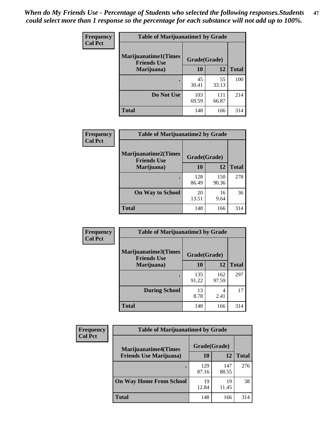| Frequency      | <b>Table of Marijuanatime1 by Grade</b>           |              |              |              |
|----------------|---------------------------------------------------|--------------|--------------|--------------|
| <b>Col Pct</b> | <b>Marijuanatime1(Times</b><br><b>Friends Use</b> | Grade(Grade) |              |              |
|                | Marijuana)                                        | 10           | 12           | <b>Total</b> |
|                |                                                   | 45<br>30.41  | 55<br>33.13  | 100          |
|                | Do Not Use                                        | 103<br>69.59 | 111<br>66.87 | 214          |
|                | <b>Total</b>                                      | 148          | 166          | 314          |

| Frequency      | <b>Table of Marijuanatime2 by Grade</b>           |              |              |              |
|----------------|---------------------------------------------------|--------------|--------------|--------------|
| <b>Col Pct</b> | <b>Marijuanatime2(Times</b><br><b>Friends Use</b> | Grade(Grade) |              |              |
|                | Marijuana)                                        | 10           | 12           | <b>Total</b> |
|                |                                                   | 128<br>86.49 | 150<br>90.36 | 278          |
|                | <b>On Way to School</b>                           | 20<br>13.51  | 16<br>9.64   | 36           |
|                | <b>Total</b>                                      | 148          | 166          | 314          |

| Frequency      | <b>Table of Marijuanatime3 by Grade</b>    |              |              |              |
|----------------|--------------------------------------------|--------------|--------------|--------------|
| <b>Col Pct</b> | Marijuanatime3(Times<br><b>Friends Use</b> | Grade(Grade) |              |              |
|                | Marijuana)                                 | 10           | 12           | <b>Total</b> |
|                |                                            | 135<br>91.22 | 162<br>97.59 | 297          |
|                | <b>During School</b>                       | 13<br>8.78   | 4<br>2.41    | 17           |
|                | <b>Total</b>                               | 148          | 166          | 314          |

| <b>Frequency</b><br><b>Col Pct</b> | <b>Table of Marijuanatime4 by Grade</b> |              |              |              |
|------------------------------------|-----------------------------------------|--------------|--------------|--------------|
|                                    | <b>Marijuanatime4</b> (Times            | Grade(Grade) |              |              |
|                                    | <b>Friends Use Marijuana</b> )          | 10           | 12           | <b>Total</b> |
|                                    |                                         | 129<br>87.16 | 147<br>88.55 | 276          |
|                                    | <b>On Way Home From School</b>          | 19<br>12.84  | 19<br>11.45  | 38           |
|                                    | <b>Total</b>                            | 148          | 166          | 314          |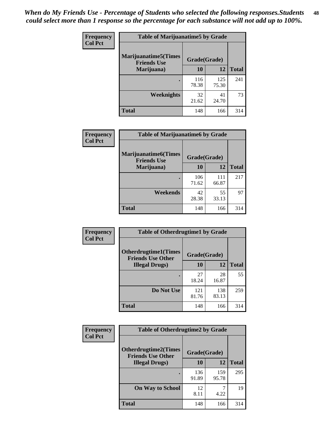| Frequency      | <b>Table of Marijuanatime5 by Grade</b>            |              |              |              |  |
|----------------|----------------------------------------------------|--------------|--------------|--------------|--|
| <b>Col Pct</b> | <b>Marijuanatime5</b> (Times<br><b>Friends Use</b> | Grade(Grade) |              |              |  |
|                | Marijuana)                                         | 10           | 12           | <b>Total</b> |  |
|                |                                                    | 116<br>78.38 | 125<br>75.30 | 241          |  |
|                | Weeknights                                         | 32<br>21.62  | 41<br>24.70  | 73           |  |
|                | <b>Total</b>                                       | 148          | 166          | 314          |  |

| Frequency      | <b>Table of Marijuanatime6 by Grade</b>           |              |              |              |
|----------------|---------------------------------------------------|--------------|--------------|--------------|
| <b>Col Pct</b> | <b>Marijuanatime6(Times</b><br><b>Friends Use</b> | Grade(Grade) |              |              |
|                | Marijuana)                                        | 10           | 12           | <b>Total</b> |
|                |                                                   | 106<br>71.62 | 111<br>66.87 | 217          |
|                | Weekends                                          | 42<br>28.38  | 55<br>33.13  | 97           |
|                | <b>Total</b>                                      | 148          | 166          | 314          |

| Frequency      | <b>Table of Otherdrugtime1 by Grade</b>                 |              |              |              |
|----------------|---------------------------------------------------------|--------------|--------------|--------------|
| <b>Col Pct</b> | <b>Otherdrugtime1(Times</b><br><b>Friends Use Other</b> | Grade(Grade) |              |              |
|                | <b>Illegal Drugs)</b>                                   | 10           | 12           | <b>Total</b> |
|                |                                                         | 27<br>18.24  | 28<br>16.87  | 55           |
|                | Do Not Use                                              | 121<br>81.76 | 138<br>83.13 | 259          |
|                | <b>Total</b>                                            | 148          | 166          | 314          |

| Frequency      | <b>Table of Otherdrugtime2 by Grade</b>                 |              |              |              |
|----------------|---------------------------------------------------------|--------------|--------------|--------------|
| <b>Col Pct</b> | <b>Otherdrugtime2(Times</b><br><b>Friends Use Other</b> |              | Grade(Grade) |              |
|                | <b>Illegal Drugs</b> )                                  | 10           | 12           | <b>Total</b> |
|                |                                                         | 136<br>91.89 | 159<br>95.78 | 295          |
|                | <b>On Way to School</b>                                 | 12<br>8.11   | 4.22         | 19           |
|                | Total                                                   | 148          | 166          | 314          |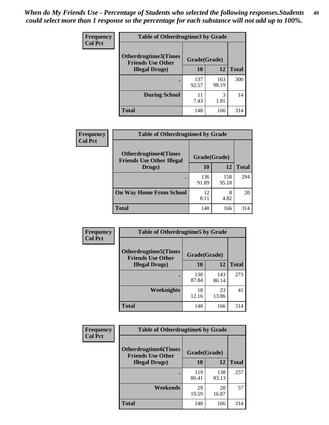| <b>Frequency</b> | <b>Table of Otherdrugtime3 by Grade</b>          |              |              |              |
|------------------|--------------------------------------------------|--------------|--------------|--------------|
| <b>Col Pct</b>   | Otherdrugtime3(Times<br><b>Friends Use Other</b> | Grade(Grade) |              |              |
|                  | <b>Illegal Drugs</b> )                           | 10           | 12           | <b>Total</b> |
|                  |                                                  | 137<br>92.57 | 163<br>98.19 | 300          |
|                  | <b>During School</b>                             | 11<br>7.43   | 3<br>1.81    | 14           |
|                  | Total                                            | 148          | 166          | 314          |

| Frequency      | <b>Table of Otherdrugtime4 by Grade</b>                         |              |              |              |
|----------------|-----------------------------------------------------------------|--------------|--------------|--------------|
| <b>Col Pct</b> | <b>Otherdrugtime4(Times</b><br><b>Friends Use Other Illegal</b> | Grade(Grade) |              |              |
|                | Drugs)                                                          | 10           | 12           | <b>Total</b> |
|                | $\bullet$                                                       | 136<br>91.89 | 158<br>95.18 | 294          |
|                | <b>On Way Home From School</b>                                  | 12<br>8.11   | 8<br>4.82    | 20           |
|                | <b>Total</b>                                                    | 148          | 166          | 314          |

| <b>Frequency</b> | <b>Table of Otherdrugtime5 by Grade</b>                  |              |              |              |  |  |
|------------------|----------------------------------------------------------|--------------|--------------|--------------|--|--|
| <b>Col Pct</b>   | <b>Otherdrugtime5</b> (Times<br><b>Friends Use Other</b> | Grade(Grade) |              |              |  |  |
|                  | <b>Illegal Drugs</b> )                                   | 10           | 12           | <b>Total</b> |  |  |
|                  |                                                          | 130<br>87.84 | 143<br>86.14 | 273          |  |  |
|                  | Weeknights                                               | 18<br>12.16  | 23<br>13.86  | 41           |  |  |
|                  | Total                                                    | 148          | 166          | 314          |  |  |

| Frequency      | <b>Table of Otherdrugtime6 by Grade</b>                 |              |              |              |  |  |  |
|----------------|---------------------------------------------------------|--------------|--------------|--------------|--|--|--|
| <b>Col Pct</b> | <b>Otherdrugtime6(Times</b><br><b>Friends Use Other</b> | Grade(Grade) |              |              |  |  |  |
|                | <b>Illegal Drugs</b> )                                  | 10           | 12           | <b>Total</b> |  |  |  |
|                |                                                         | 119<br>80.41 | 138<br>83.13 | 257          |  |  |  |
|                | Weekends                                                | 29<br>19.59  | 28<br>16.87  | 57           |  |  |  |
|                | Total                                                   | 148          | 166          | 314          |  |  |  |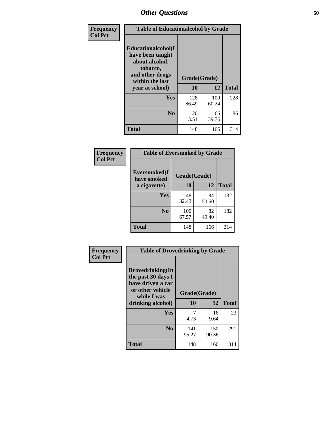| Frequency      | <b>Table of Educationalcohol by Grade</b>                                                                  |              |              |              |  |
|----------------|------------------------------------------------------------------------------------------------------------|--------------|--------------|--------------|--|
| <b>Col Pct</b> | Educationalcohol(I<br>have been taught<br>about alcohol,<br>tobacco,<br>and other drugs<br>within the last | Grade(Grade) |              |              |  |
|                | year at school)                                                                                            | 10           | 12           | <b>Total</b> |  |
|                | <b>Yes</b>                                                                                                 | 128<br>86.49 | 100<br>60.24 | 228          |  |
|                | N <sub>0</sub>                                                                                             | 20<br>13.51  | 66<br>39.76  | 86           |  |
|                | <b>Total</b>                                                                                               | 148          | 166          | 314          |  |

| Frequency      | <b>Table of Eversmoked by Grade</b> |              |             |              |  |  |  |
|----------------|-------------------------------------|--------------|-------------|--------------|--|--|--|
| <b>Col Pct</b> | Eversmoked(I<br>have smoked         | Grade(Grade) |             |              |  |  |  |
|                | a cigarette)                        | 10           | 12          | <b>Total</b> |  |  |  |
|                | <b>Yes</b>                          | 48<br>32.43  | 84<br>50.60 | 132          |  |  |  |
|                | N <sub>0</sub>                      | 100<br>67.57 | 82<br>49.40 | 182          |  |  |  |
|                | <b>Total</b>                        | 148          | 166         | 314          |  |  |  |

| Frequency      | <b>Table of Drovedrinking by Grade</b>                                                                              |                    |              |              |
|----------------|---------------------------------------------------------------------------------------------------------------------|--------------------|--------------|--------------|
| <b>Col Pct</b> | Drovedrinking(In<br>the past 30 days I<br>have driven a car<br>or other vehicle<br>while I was<br>drinking alcohol) | Grade(Grade)<br>10 | 12           | <b>Total</b> |
|                | <b>Yes</b>                                                                                                          | 7<br>4.73          | 16<br>9.64   | 23           |
|                | N <sub>0</sub>                                                                                                      | 141<br>95.27       | 150<br>90.36 | 291          |
|                | <b>Total</b>                                                                                                        | 148                | 166          | 314          |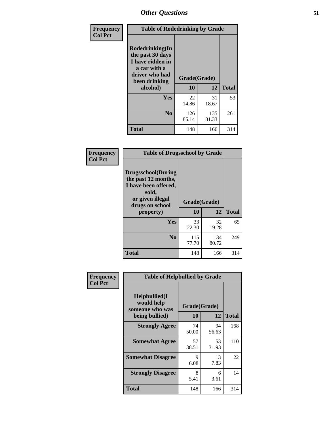| Frequency<br><b>Col Pct</b> | <b>Table of Rodedrinking by Grade</b>                                                                                      |              |              |              |  |  |
|-----------------------------|----------------------------------------------------------------------------------------------------------------------------|--------------|--------------|--------------|--|--|
|                             | Rodedrinking(In<br>the past 30 days<br>I have ridden in<br>a car with a<br>driver who had<br>Grade(Grade)<br>been drinking |              |              |              |  |  |
|                             | alcohol)                                                                                                                   | 10           | 12           | <b>Total</b> |  |  |
|                             | <b>Yes</b>                                                                                                                 | 22<br>14.86  | 31<br>18.67  | 53           |  |  |
|                             | N <sub>0</sub>                                                                                                             | 126<br>85.14 | 135<br>81.33 | 261          |  |  |
|                             | <b>Total</b>                                                                                                               | 148          | 166          | 314          |  |  |

#### **Frequency Col Pct**

| <b>Table of Drugsschool by Grade</b>                                                                                      |              |              |              |  |  |  |
|---------------------------------------------------------------------------------------------------------------------------|--------------|--------------|--------------|--|--|--|
| <b>Drugsschool</b> (During<br>the past 12 months,<br>I have been offered,<br>sold,<br>or given illegal<br>drugs on school | Grade(Grade) |              |              |  |  |  |
| property)                                                                                                                 | 10           | 12           | <b>Total</b> |  |  |  |
| Yes                                                                                                                       | 33<br>22.30  | 32<br>19.28  | 65           |  |  |  |
| N <sub>0</sub>                                                                                                            | 115<br>77.70 | 134<br>80.72 | 249          |  |  |  |
| <b>Total</b>                                                                                                              | 148          | 166          | 314          |  |  |  |

| Frequency      | <b>Table of Helpbullied by Grade</b>                                   |                           |                   |     |
|----------------|------------------------------------------------------------------------|---------------------------|-------------------|-----|
| <b>Col Pct</b> | $Helpb$ ullied $(I$<br>would help<br>someone who was<br>being bullied) | Grade(Grade)<br><b>10</b> | <b>Total</b>      |     |
|                | <b>Strongly Agree</b>                                                  | 74<br>50.00               | 12<br>94<br>56.63 | 168 |
|                | <b>Somewhat Agree</b>                                                  | 57<br>38.51               | 53<br>31.93       | 110 |
|                | <b>Somewhat Disagree</b>                                               | 9<br>6.08                 | 13<br>7.83        | 22  |
|                | <b>Strongly Disagree</b>                                               | 8<br>5.41                 | 6<br>3.61         | 14  |
|                | Total                                                                  | 148                       | 166               | 314 |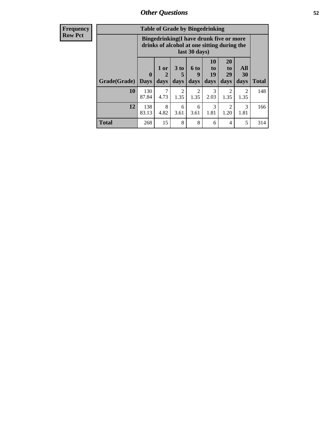| <b>Frequency</b> | <b>Table of Grade by Bingedrinking</b> |                                 |                                                                                        |                         |                          |                               |                        |                          |              |
|------------------|----------------------------------------|---------------------------------|----------------------------------------------------------------------------------------|-------------------------|--------------------------|-------------------------------|------------------------|--------------------------|--------------|
| Row Pct          |                                        |                                 | Bingedrinking(I have drunk five or more<br>drinks of alcohol at one sitting during the |                         | last 30 days)            |                               |                        |                          |              |
|                  | Grade(Grade)                           | $\boldsymbol{0}$<br><b>Days</b> | 1 or<br>2<br>days                                                                      | 3 <sub>to</sub><br>days | <b>6 to</b><br>9<br>days | <b>10</b><br>to<br>19<br>days | 20<br>to<br>29<br>days | All<br><b>30</b><br>days | <b>Total</b> |
|                  | 10                                     | 130<br>87.84                    | 7<br>4.73                                                                              | $\overline{2}$<br>1.35  | 2<br>1.35                | 3<br>2.03                     | $\mathfrak{D}$<br>1.35 | $\mathfrak{D}$<br>1.35   | 148          |
|                  | 12                                     | 138<br>83.13                    | 8<br>4.82                                                                              | 6<br>3.61               | 6<br>3.61                | 3<br>1.81                     | 2<br>1.20              | 3<br>1.81                | 166          |
|                  | <b>Total</b>                           | 268                             | 15                                                                                     | 8                       | 8                        | 6                             | 4                      | 5                        | 314          |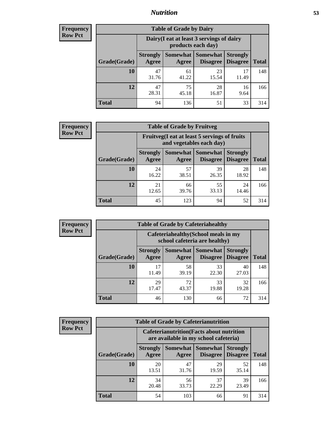## *Nutrition* **53**

| <b>Frequency</b> |
|------------------|
| <b>Row Pct</b>   |

| <b>Table of Grade by Dairy</b> |                          |                                                                 |                             |                                    |              |  |  |
|--------------------------------|--------------------------|-----------------------------------------------------------------|-----------------------------|------------------------------------|--------------|--|--|
|                                |                          | Dairy (I eat at least 3 servings of dairy<br>products each day) |                             |                                    |              |  |  |
| Grade(Grade)                   | <b>Strongly</b><br>Agree | Somewhat<br>Agree                                               | <b>Somewhat</b><br>Disagree | <b>Strongly</b><br><b>Disagree</b> | <b>Total</b> |  |  |
| 10                             | 47<br>31.76              | 61<br>41.22                                                     | 23<br>15.54                 | 17<br>11.49                        | 148          |  |  |
| 12                             | 47<br>28.31              | 75<br>45.18                                                     | 28<br>16.87                 | 16<br>9.64                         | 166          |  |  |
| <b>Total</b>                   | 94                       | 136                                                             | 51                          | 33                                 | 314          |  |  |

| <b>Frequency</b> |  |
|------------------|--|
| <b>Row Pct</b>   |  |

| <b>Table of Grade by Fruitveg</b> |                          |                                                                          |                               |                                    |              |  |  |
|-----------------------------------|--------------------------|--------------------------------------------------------------------------|-------------------------------|------------------------------------|--------------|--|--|
|                                   |                          | Fruitveg(I eat at least 5 servings of fruits<br>and vegetables each day) |                               |                                    |              |  |  |
| Grade(Grade)                      | <b>Strongly</b><br>Agree | Agree                                                                    | Somewhat Somewhat<br>Disagree | <b>Strongly</b><br><b>Disagree</b> | <b>Total</b> |  |  |
| 10                                | 24<br>16.22              | 57<br>38.51                                                              | 39<br>26.35                   | 28<br>18.92                        | 148          |  |  |
| 12                                | 21<br>12.65              | 66<br>39.76                                                              | 55<br>33.13                   | 24<br>14.46                        | 166          |  |  |
| <b>Total</b>                      | 45                       | 123                                                                      | 94                            | 52                                 | 314          |  |  |

| Frequency      | <b>Table of Grade by Cafeteriahealthy</b> |                                                                       |             |                                   |                                    |              |  |  |  |
|----------------|-------------------------------------------|-----------------------------------------------------------------------|-------------|-----------------------------------|------------------------------------|--------------|--|--|--|
| <b>Row Pct</b> |                                           | Cafeteriahealthy (School meals in my<br>school cafeteria are healthy) |             |                                   |                                    |              |  |  |  |
|                | Grade(Grade)                              | <b>Strongly</b><br>Agree                                              | Agree       | Somewhat   Somewhat  <br>Disagree | <b>Strongly</b><br><b>Disagree</b> | <b>Total</b> |  |  |  |
|                | 10                                        | 17<br>11.49                                                           | 58<br>39.19 | 33<br>22.30                       | 40<br>27.03                        | 148          |  |  |  |
|                | 12                                        | 29<br>17.47                                                           | 72<br>43.37 | 33<br>19.88                       | 32<br>19.28                        | 166          |  |  |  |
|                | <b>Total</b>                              | 46                                                                    | 130         | 66                                | 72                                 | 314          |  |  |  |

| <b>Frequency</b> |  |
|------------------|--|
| <b>Row Pct</b>   |  |

| <b>Table of Grade by Cafeterianutrition</b> |              |                                                                                           |                          |                 |                                             |              |  |
|---------------------------------------------|--------------|-------------------------------------------------------------------------------------------|--------------------------|-----------------|---------------------------------------------|--------------|--|
|                                             |              | <b>Cafeterianutrition</b> (Facts about nutrition<br>are available in my school cafeteria) |                          |                 |                                             |              |  |
|                                             | Grade(Grade) | <b>Strongly</b><br>Agree                                                                  | <b>Somewhat</b><br>Agree | <b>Somewhat</b> | <b>Strongly</b><br><b>Disagree</b> Disagree | <b>Total</b> |  |
|                                             | 10           | 20<br>13.51                                                                               | 47<br>31.76              | 29<br>19.59     | 52<br>35.14                                 | 148          |  |
|                                             | 12           | 34<br>20.48                                                                               | 56<br>33.73              | 37<br>22.29     | 39<br>23.49                                 | 166          |  |
|                                             | <b>Total</b> | 54                                                                                        | 103                      | 66              | 91                                          | 314          |  |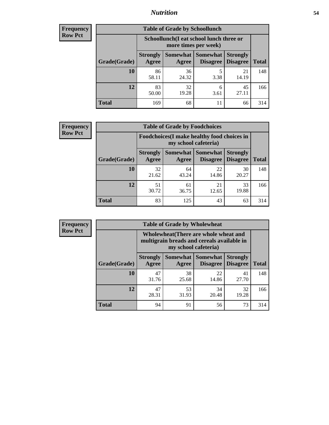## *Nutrition* **54**

| Frequency |
|-----------|
| Row Pct   |

| <b>Table of Grade by Schoollunch</b> |                                                                                                                      |                                                                 |           |             |     |  |  |
|--------------------------------------|----------------------------------------------------------------------------------------------------------------------|-----------------------------------------------------------------|-----------|-------------|-----|--|--|
|                                      |                                                                                                                      | Schoollunch(I eat school lunch three or<br>more times per week) |           |             |     |  |  |
| Grade(Grade)                         | Somewhat  <br><b>Somewhat</b><br><b>Strongly</b><br><b>Strongly</b><br><b>Disagree</b><br>Disagree<br>Agree<br>Agree |                                                                 |           |             |     |  |  |
| 10                                   | 86<br>58.11                                                                                                          | 36<br>24.32                                                     | 5<br>3.38 | 21<br>14.19 | 148 |  |  |
| 12                                   | 83<br>50.00                                                                                                          | 32<br>19.28                                                     | 6<br>3.61 | 45<br>27.11 | 166 |  |  |
| <b>Total</b>                         | 169                                                                                                                  | 68                                                              | 11        | 66          | 314 |  |  |

| <b>Frequency</b> |  |
|------------------|--|
| <b>Row Pct</b>   |  |

| <b>Table of Grade by Foodchoices</b> |                                                                     |             |                                 |                                    |              |  |
|--------------------------------------|---------------------------------------------------------------------|-------------|---------------------------------|------------------------------------|--------------|--|
|                                      | Foodchoices (I make healthy food choices in<br>my school cafeteria) |             |                                 |                                    |              |  |
| Grade(Grade)                         | <b>Strongly</b><br>Agree                                            | Agree       | Somewhat   Somewhat<br>Disagree | <b>Strongly</b><br><b>Disagree</b> | <b>Total</b> |  |
| 10                                   | 32<br>21.62                                                         | 64<br>43.24 | 22<br>14.86                     | 30<br>20.27                        | 148          |  |
| 12                                   | 51<br>30.72                                                         | 61<br>36.75 | 21<br>12.65                     | 33<br>19.88                        | 166          |  |
| <b>Total</b>                         | 83                                                                  | 125         | 43                              | 63                                 | 314          |  |

| Frequency      | <b>Table of Grade by Wholewheat</b> |                                                                                                             |             |                                   |                                    |              |  |  |  |
|----------------|-------------------------------------|-------------------------------------------------------------------------------------------------------------|-------------|-----------------------------------|------------------------------------|--------------|--|--|--|
| <b>Row Pct</b> |                                     | Wholewheat (There are whole wheat and<br>multigrain breads and cereals available in<br>my school cafeteria) |             |                                   |                                    |              |  |  |  |
|                | Grade(Grade)                        | <b>Strongly</b><br>Agree                                                                                    | Agree       | Somewhat   Somewhat  <br>Disagree | <b>Strongly</b><br><b>Disagree</b> | <b>Total</b> |  |  |  |
|                | 10                                  | 47<br>31.76                                                                                                 | 38<br>25.68 | 22<br>14.86                       | 41<br>27.70                        | 148          |  |  |  |
|                | 12                                  | 47<br>28.31                                                                                                 | 53<br>31.93 | 34<br>20.48                       | 32<br>19.28                        | 166          |  |  |  |
|                | <b>Total</b>                        | 94                                                                                                          | 91          | 56                                | 73                                 | 314          |  |  |  |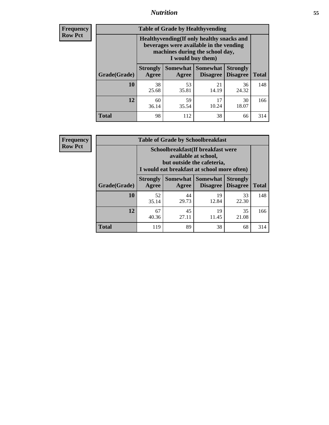## *Nutrition* **55**

**Frequency Row Pct**

| <b>Table of Grade by Healthyvending</b> |                                                                                                                                               |                          |                                    |                                    |              |  |  |
|-----------------------------------------|-----------------------------------------------------------------------------------------------------------------------------------------------|--------------------------|------------------------------------|------------------------------------|--------------|--|--|
|                                         | Healthyvending (If only healthy snacks and<br>beverages were available in the vending<br>machines during the school day,<br>I would buy them) |                          |                                    |                                    |              |  |  |
| Grade(Grade)                            | <b>Strongly</b><br>Agree                                                                                                                      | <b>Somewhat</b><br>Agree | <b>Somewhat</b><br><b>Disagree</b> | <b>Strongly</b><br><b>Disagree</b> | <b>Total</b> |  |  |
| 10                                      | 38<br>25.68                                                                                                                                   | 53<br>35.81              | 21<br>14.19                        | 36<br>24.32                        | 148          |  |  |
| 12                                      | 60<br>36.14                                                                                                                                   | 59<br>35.54              | 17<br>10.24                        | 30<br>18.07                        | 166          |  |  |
| <b>Total</b>                            | 98                                                                                                                                            | 112                      | 38                                 | 66                                 | 314          |  |  |

**Frequency Row Pct**

| <b>Table of Grade by Schoolbreakfast</b> |                                                                                                                                         |             |                                        |                                    |              |  |  |
|------------------------------------------|-----------------------------------------------------------------------------------------------------------------------------------------|-------------|----------------------------------------|------------------------------------|--------------|--|--|
|                                          | Schoolbreakfast (If breakfast were<br>available at school,<br>but outside the cafeteria,<br>I would eat breakfast at school more often) |             |                                        |                                    |              |  |  |
| Grade(Grade)                             | <b>Strongly</b><br>Agree                                                                                                                | Agree       | Somewhat   Somewhat<br><b>Disagree</b> | <b>Strongly</b><br><b>Disagree</b> | <b>Total</b> |  |  |
| 10                                       | 52<br>35.14                                                                                                                             | 44<br>29.73 | 19<br>12.84                            | 33<br>22.30                        | 148          |  |  |
| 12                                       | 67<br>40.36                                                                                                                             | 45<br>27.11 | 19<br>11.45                            | 35<br>21.08                        | 166          |  |  |
| <b>Total</b>                             | 119                                                                                                                                     | 89          | 38                                     | 68                                 | 314          |  |  |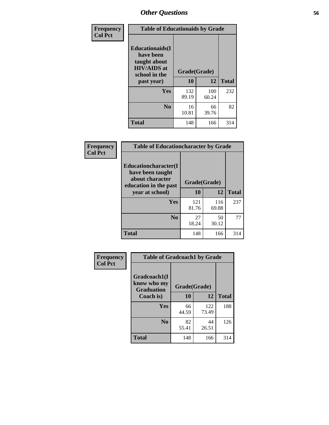| Frequency<br><b>Col Pct</b> | <b>Table of Educationaids by Grade</b>                                                                    |                    |              |     |  |  |
|-----------------------------|-----------------------------------------------------------------------------------------------------------|--------------------|--------------|-----|--|--|
|                             | <b>Educationaids</b> (I<br>have been<br>taught about<br><b>HIV/AIDS</b> at<br>school in the<br>past year) | Grade(Grade)<br>10 | <b>Total</b> |     |  |  |
|                             | Yes                                                                                                       | 132<br>89.19       | 100<br>60.24 | 232 |  |  |
|                             | N <sub>0</sub>                                                                                            | 16<br>10.81        | 66<br>39.76  | 82  |  |  |
|                             | <b>Total</b>                                                                                              | 148                | 166          | 314 |  |  |

| Frequency      | <b>Table of Educationcharacter by Grade</b>                                          |              |              |              |
|----------------|--------------------------------------------------------------------------------------|--------------|--------------|--------------|
| <b>Col Pct</b> | Educationcharacter(I<br>have been taught<br>about character<br>education in the past |              | Grade(Grade) |              |
|                | year at school)                                                                      | 10           | 12           | <b>Total</b> |
|                | <b>Yes</b>                                                                           | 121<br>81.76 | 116<br>69.88 | 237          |
|                | N <sub>0</sub>                                                                       | 27<br>18.24  | 50<br>30.12  | 77           |
|                | <b>Total</b>                                                                         | 148          | 166          | 314          |

| Frequency      | <b>Table of Gradcoach1 by Grade</b>              |              |              |              |
|----------------|--------------------------------------------------|--------------|--------------|--------------|
| <b>Col Pct</b> | Gradcoach1(I<br>know who my<br><b>Graduation</b> | Grade(Grade) |              |              |
|                | Coach is)                                        | 10           | 12           | <b>Total</b> |
|                | Yes                                              | 66<br>44.59  | 122<br>73.49 | 188          |
|                | N <sub>0</sub>                                   | 82<br>55.41  | 44<br>26.51  | 126          |
|                | <b>Total</b>                                     | 148          | 166          | 314          |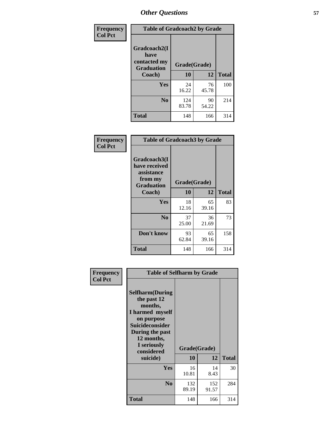| Frequency      | <b>Table of Gradcoach2 by Grade</b> |              |             |              |
|----------------|-------------------------------------|--------------|-------------|--------------|
| <b>Col Pct</b> | Gradcoach2(I<br>have                |              |             |              |
|                | contacted my<br><b>Graduation</b>   | Grade(Grade) |             |              |
|                | Coach)                              | 10           | 12          | <b>Total</b> |
|                | Yes                                 | 24<br>16.22  | 76<br>45.78 | 100          |
|                | N <sub>0</sub>                      | 124<br>83.78 | 90<br>54.22 | 214          |
|                | <b>Total</b>                        | 148          | 166         | 314          |

| <b>Frequency</b><br><b>Col Pct</b> | <b>Table of Gradcoach3 by Grade</b>                                         |              |             |              |
|------------------------------------|-----------------------------------------------------------------------------|--------------|-------------|--------------|
|                                    | Gradcoach3(I<br>have received<br>assistance<br>from my<br><b>Graduation</b> | Grade(Grade) |             |              |
|                                    | Coach)                                                                      | 10           | 12          | <b>Total</b> |
|                                    | Yes                                                                         | 18<br>12.16  | 65<br>39.16 | 83           |
|                                    | N <sub>0</sub>                                                              | 37<br>25.00  | 36<br>21.69 | 73           |
|                                    | Don't know                                                                  | 93<br>62.84  | 65<br>39.16 | 158          |
|                                    | <b>Total</b>                                                                | 148          | 166         | 314          |

| Frequency      | <b>Table of Selfharm by Grade</b>                                                                                                                                          |              |              |              |
|----------------|----------------------------------------------------------------------------------------------------------------------------------------------------------------------------|--------------|--------------|--------------|
| <b>Col Pct</b> | <b>Selfharm</b> (During<br>the past 12<br>months,<br>I harmed myself<br>on purpose<br><b>Suicideconsider</b><br>During the past<br>12 months,<br>I seriously<br>considered |              | Grade(Grade) |              |
|                | suicide)                                                                                                                                                                   | 10           | 12           | <b>Total</b> |
|                | Yes                                                                                                                                                                        | 16<br>10.81  | 14<br>8.43   | 30           |
|                | N <sub>0</sub>                                                                                                                                                             | 132<br>89.19 | 152<br>91.57 | 284          |
|                | <b>Total</b>                                                                                                                                                               | 148          | 166          | 314          |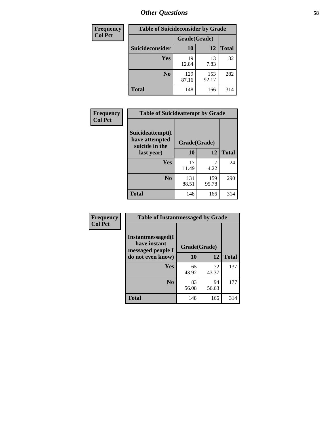| <b>Frequency</b> | <b>Table of Suicideconsider by Grade</b> |              |              |              |
|------------------|------------------------------------------|--------------|--------------|--------------|
| <b>Col Pct</b>   |                                          | Grade(Grade) |              |              |
|                  | Suicideconsider                          | <b>10</b>    | 12           | <b>Total</b> |
|                  | Yes                                      | 19<br>12.84  | 13<br>7.83   | 32           |
|                  | N <sub>0</sub>                           | 129<br>87.16 | 153<br>92.17 | 282          |
|                  | <b>Total</b>                             | 148          | 166          | 314          |

| Frequency      | <b>Table of Suicideattempt by Grade</b>              |              |              |              |
|----------------|------------------------------------------------------|--------------|--------------|--------------|
| <b>Col Pct</b> | Suicideattempt(I<br>have attempted<br>suicide in the | Grade(Grade) |              |              |
|                | last year)                                           | 10           | 12           | <b>Total</b> |
|                | Yes                                                  | 17<br>11.49  | 4.22         | 24           |
|                | $\bf No$                                             | 131<br>88.51 | 159<br>95.78 | 290          |
|                | <b>Total</b>                                         | 148          | 166          | 314          |

| Frequency      | <b>Table of Instantmessaged by Grade</b>               |              |             |              |
|----------------|--------------------------------------------------------|--------------|-------------|--------------|
| <b>Col Pct</b> | Instantmessaged(I<br>have instant<br>messaged people I | Grade(Grade) |             |              |
|                | do not even know)                                      | 10           | 12          | <b>Total</b> |
|                | Yes                                                    | 65<br>43.92  | 72<br>43.37 | 137          |
|                | N <sub>0</sub>                                         | 83<br>56.08  | 94<br>56.63 | 177          |
|                | <b>Total</b>                                           | 148          | 166         | 314          |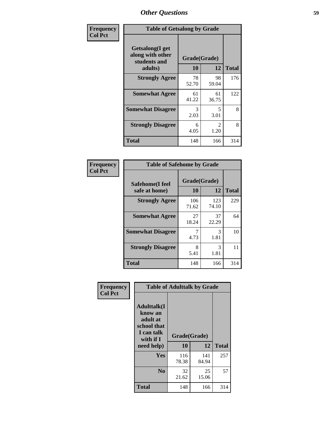| Frequency      | <b>Table of Getsalong by Grade</b>                          |              |                       |              |
|----------------|-------------------------------------------------------------|--------------|-----------------------|--------------|
| <b>Col Pct</b> | <b>Getsalong</b> (I get<br>along with other<br>students and | Grade(Grade) |                       |              |
|                | adults)                                                     | 10           | 12                    | <b>Total</b> |
|                | <b>Strongly Agree</b>                                       | 78<br>52.70  | 98<br>59.04           | 176          |
|                | <b>Somewhat Agree</b>                                       | 61<br>41.22  | 61<br>36.75           | 122          |
|                | <b>Somewhat Disagree</b>                                    | 3<br>2.03    | 5<br>3.01             | 8            |
|                | <b>Strongly Disagree</b>                                    | 6<br>4.05    | $\mathcal{L}$<br>1.20 | 8            |
|                | <b>Total</b>                                                | 148          | 166                   | 314          |

| <b>Frequency</b> |  |
|------------------|--|
| <b>Col Pct</b>   |  |

| <b>Table of Safehome by Grade</b> |                    |              |              |  |
|-----------------------------------|--------------------|--------------|--------------|--|
| Safehome(I feel<br>safe at home)  | Grade(Grade)<br>10 | 12           | <b>Total</b> |  |
| <b>Strongly Agree</b>             | 106<br>71.62       | 123<br>74.10 | 229          |  |
| <b>Somewhat Agree</b>             | 27<br>18.24        | 37<br>22.29  | 64           |  |
| <b>Somewhat Disagree</b>          | 4.73               | 3<br>1.81    | 10           |  |
| <b>Strongly Disagree</b>          | 8<br>5.41          | 3<br>1.81    | 11           |  |
| <b>Total</b>                      | 148                | 166          | 314          |  |

| Frequency      | <b>Table of Adulttalk by Grade</b>                                                                 |                    |              |              |  |
|----------------|----------------------------------------------------------------------------------------------------|--------------------|--------------|--------------|--|
| <b>Col Pct</b> | <b>Adulttalk</b> (I<br>know an<br>adult at<br>school that<br>I can talk<br>with if I<br>need help) | Grade(Grade)<br>10 | 12           | <b>Total</b> |  |
|                | <b>Yes</b>                                                                                         | 116<br>78.38       | 141<br>84.94 | 257          |  |
|                | N <sub>0</sub>                                                                                     | 32<br>21.62        | 25<br>15.06  | 57           |  |
|                | <b>Total</b>                                                                                       | 148                | 166          | 314          |  |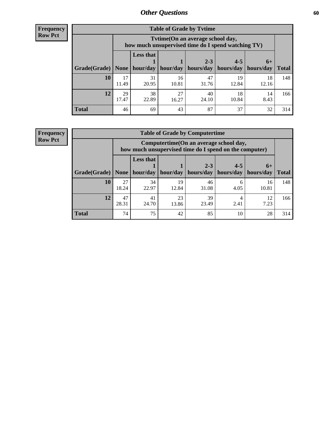**Frequency Row Pct**

| <b>Table of Grade by Tytime</b> |             |                                                                                         |             |             |             |             |              |  |  |
|---------------------------------|-------------|-----------------------------------------------------------------------------------------|-------------|-------------|-------------|-------------|--------------|--|--|
|                                 |             | Tytime (On an average school day,<br>how much unsupervised time do I spend watching TV) |             |             |             |             |              |  |  |
|                                 |             | <b>Less that</b><br>$2 - 3$<br>$4 - 5$<br>$6+$                                          |             |             |             |             |              |  |  |
| Grade(Grade)                    | None        | hour/day                                                                                | hour/day    | hours/day   | hours/day   | hours/day   | <b>Total</b> |  |  |
| 10                              | 17<br>11.49 | 31<br>20.95                                                                             | 16<br>10.81 | 47<br>31.76 | 19<br>12.84 | 18<br>12.16 | 148          |  |  |
| 12                              | 29<br>17.47 | 38<br>22.89                                                                             | 27<br>16.27 | 40<br>24.10 | 18<br>10.84 | 14<br>8.43  | 166          |  |  |
| <b>Total</b>                    | 46          | 69                                                                                      | 43          | 87          | 37          | 32          | 314          |  |  |

**Frequency Row Pct**

| <b>Table of Grade by Computertime</b> |             |                                                                                                                              |             |             |           |             |     |  |  |
|---------------------------------------|-------------|------------------------------------------------------------------------------------------------------------------------------|-------------|-------------|-----------|-------------|-----|--|--|
|                                       |             | Computertime (On an average school day,<br>how much unsupervised time do I spend on the computer)                            |             |             |           |             |     |  |  |
| Grade(Grade)                          | None $ $    | <b>Less that</b><br>$4 - 5$<br>$2 - 3$<br>$6+$<br>hours/day<br>hour/day   hour/day<br>hours/day<br>hours/day<br><b>Total</b> |             |             |           |             |     |  |  |
| 10                                    | 27<br>18.24 | 34<br>22.97                                                                                                                  | 19<br>12.84 | 46<br>31.08 | 6<br>4.05 | 16<br>10.81 | 148 |  |  |
| 12                                    | 47<br>28.31 | 39<br>23<br>41<br>12<br>23.49<br>2.41<br>24.70<br>7.23<br>13.86                                                              |             |             |           |             |     |  |  |
| <b>Total</b>                          | 74          | 75                                                                                                                           | 42          | 85          | 10        | 28          | 314 |  |  |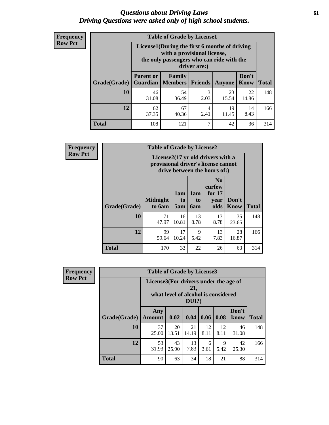#### *Questions about Driving Laws* **61** *Driving Questions were asked only of high school students.*

| <b>Frequency</b> |
|------------------|
| <b>Row Pct</b>   |

| <b>Table of Grade by License1</b> |                                                                      |                                                                                                                                           |                |               |               |              |  |  |  |
|-----------------------------------|----------------------------------------------------------------------|-------------------------------------------------------------------------------------------------------------------------------------------|----------------|---------------|---------------|--------------|--|--|--|
|                                   |                                                                      | License1(During the first 6 months of driving<br>with a provisional license,<br>the only passengers who can ride with the<br>driver are:) |                |               |               |              |  |  |  |
| Grade(Grade)                      | <b>Parent or</b><br><b>Guardian</b>                                  | Family<br><b>Members</b>                                                                                                                  | <b>Friends</b> | <b>Anyone</b> | Don't<br>Know | <b>Total</b> |  |  |  |
| 10                                | 46<br>31.08                                                          | 54<br>36.49                                                                                                                               | 3<br>2.03      | 23<br>15.54   | 22<br>14.86   | 148          |  |  |  |
| 12                                | 67<br>19<br>62<br>14<br>4<br>2.41<br>8.43<br>11.45<br>37.35<br>40.36 |                                                                                                                                           |                |               |               |              |  |  |  |
| <b>Total</b>                      | 108                                                                  | 121                                                                                                                                       | 7              | 42            | 36            | 314          |  |  |  |

| <b>Frequency</b> |              | <b>Table of Grade by License2</b> |                  |                         |                                                                                                          |                      |              |
|------------------|--------------|-----------------------------------|------------------|-------------------------|----------------------------------------------------------------------------------------------------------|----------------------|--------------|
| <b>Row Pct</b>   |              |                                   |                  |                         | License2(17 yr old drivers with a<br>provisional driver's license cannot<br>drive between the hours of:) |                      |              |
|                  | Grade(Grade) | <b>Midnight</b><br>to 6am         | 1am<br>to<br>5am | 1am<br>to<br><b>6am</b> | N <sub>0</sub><br>curfew<br>for $17$<br>year<br>olds                                                     | Don't<br><b>Know</b> | <b>Total</b> |
|                  | 10           | 71<br>47.97                       | 16<br>10.81      | 13<br>8.78              | 13<br>8.78                                                                                               | 35<br>23.65          | 148          |
|                  | 12           | 99<br>59.64                       | 17<br>10.24      | 9<br>5.42               | 13<br>7.83                                                                                               | 28<br>16.87          | 166          |
|                  | <b>Total</b> | 170                               | 33               | 22                      | 26                                                                                                       | 63                   | 314          |

| Frequency      |              | <b>Table of Grade by License3</b>     |             |                                                        |            |            |               |              |  |
|----------------|--------------|---------------------------------------|-------------|--------------------------------------------------------|------------|------------|---------------|--------------|--|
| <b>Row Pct</b> |              | License3(For drivers under the age of |             | 21,<br>what level of alcohol is considered<br>$DUI$ ?) |            |            |               |              |  |
|                | Grade(Grade) | Any<br><b>Amount</b>                  | 0.02        | 0.04                                                   | 0.06       | 0.08       | Don't<br>know | <b>Total</b> |  |
|                | <b>10</b>    | 37<br>25.00                           | 20<br>13.51 | 21<br>14.19                                            | 12<br>8.11 | 12<br>8.11 | 46<br>31.08   | 148          |  |
|                | 12           | 53<br>31.93                           | 43<br>25.90 | 13<br>7.83                                             | 6<br>3.61  | 9<br>5.42  | 42<br>25.30   | 166          |  |
|                | <b>Total</b> | 90                                    | 63          | 34                                                     | 18         | 21         | 88            | 314          |  |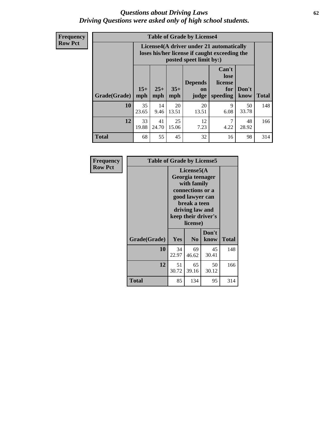#### *Questions about Driving Laws* **62** *Driving Questions were asked only of high school students.*

**Frequency Row Pct**

| <b>Table of Grade by License4</b> |             |                                                                                                                                                                                                                                                                                |             |             |           |             |     |  |
|-----------------------------------|-------------|--------------------------------------------------------------------------------------------------------------------------------------------------------------------------------------------------------------------------------------------------------------------------------|-------------|-------------|-----------|-------------|-----|--|
|                                   |             | License4(A driver under 21 automatically<br>loses his/her license if caught exceeding the<br>posted speet limit by:)<br>Can't<br>lose<br>license<br><b>Depends</b><br>$15+$<br>$35+$<br>$25+$<br>Don't<br>for<br>on<br><b>Total</b><br>speeding<br>mph<br>know<br>mph<br>judge |             |             |           |             |     |  |
| Grade(Grade)                      | mph         |                                                                                                                                                                                                                                                                                |             |             |           |             |     |  |
| 10                                | 35<br>23.65 | 14<br>9.46                                                                                                                                                                                                                                                                     | 20<br>13.51 | 20<br>13.51 | 9<br>6.08 | 50<br>33.78 | 148 |  |
| 12                                | 33<br>19.88 | 41<br>24.70                                                                                                                                                                                                                                                                    | 25<br>15.06 | 12<br>7.23  | 7<br>4.22 | 48<br>28.92 | 166 |  |
| <b>Total</b>                      | 68          | 55                                                                                                                                                                                                                                                                             | 45          | 32          | 16        | 98          | 314 |  |

| Frequency      | <b>Table of Grade by License5</b> |             |                                                                                                                                                             |               |       |
|----------------|-----------------------------------|-------------|-------------------------------------------------------------------------------------------------------------------------------------------------------------|---------------|-------|
| <b>Row Pct</b> |                                   |             | License5(A)<br>Georgia teenager<br>with family<br>connections or a<br>good lawyer can<br>break a teen<br>driving law and<br>keep their driver's<br>license) |               |       |
|                | Grade(Grade)                      | <b>Yes</b>  | N <sub>0</sub>                                                                                                                                              | Don't<br>know | Total |
|                | 10                                | 34<br>22.97 | 69<br>46.62                                                                                                                                                 | 45<br>30.41   | 148   |
|                | 12                                | 51<br>30.72 | 65<br>39.16                                                                                                                                                 | 50<br>30.12   | 166   |
|                | Total                             | 85          | 134                                                                                                                                                         | 95            | 314   |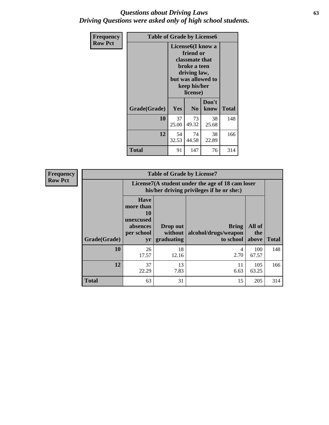### *Questions about Driving Laws* **63** *Driving Questions were asked only of high school students.*

| <b>Frequency</b> | <b>Table of Grade by License6</b> |             |                                                                                                                           |                    |              |
|------------------|-----------------------------------|-------------|---------------------------------------------------------------------------------------------------------------------------|--------------------|--------------|
| <b>Row Pct</b>   |                                   |             | License <sub>6</sub> (I know a<br>friend or<br>classmate that<br>broke a teen<br>driving law,<br>keep his/her<br>license) | but was allowed to |              |
|                  | Grade(Grade)                      | Yes         | N <sub>0</sub>                                                                                                            | Don't<br>know      | <b>Total</b> |
|                  | 10                                | 37<br>25.00 | 73<br>49.32                                                                                                               | 38<br>25.68        | 148          |
|                  | 12                                | 54<br>32.53 | 74<br>44.58                                                                                                               | 38<br>22.89        | 166          |
|                  | <b>Total</b>                      | 91          | 147                                                                                                                       | 76                 | 314          |

| <b>Frequency</b> | <b>Table of Grade by License7</b> |                                                                             |                                                                                               |                                                   |                        |              |  |  |
|------------------|-----------------------------------|-----------------------------------------------------------------------------|-----------------------------------------------------------------------------------------------|---------------------------------------------------|------------------------|--------------|--|--|
| <b>Row Pct</b>   |                                   |                                                                             | License7(A student under the age of 18 cam loser<br>his/her driving privileges if he or she:) |                                                   |                        |              |  |  |
|                  | Grade(Grade)                      | <b>Have</b><br>more than<br>10<br>unexcused<br>absences<br>per school<br>yr | Drop out<br>without  <br>graduating                                                           | <b>Bring</b><br>alcohol/drugs/weapon<br>to school | All of<br>the<br>above | <b>Total</b> |  |  |
|                  | 10                                | 26<br>17.57                                                                 | 18<br>12.16                                                                                   | 4<br>2.70                                         | 100<br>67.57           | 148          |  |  |
|                  | 12                                | 37<br>22.29                                                                 | 13<br>7.83                                                                                    | 11<br>6.63                                        | 105<br>63.25           | 166          |  |  |
|                  | <b>Total</b>                      | 63                                                                          | 31                                                                                            | 15                                                | 205                    | 314          |  |  |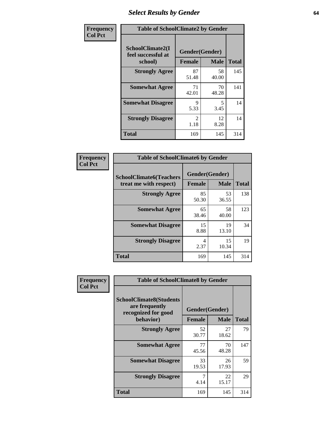# *Select Results by Gender* **64**

| Frequency      |                                                   | <b>Table of SchoolClimate2 by Gender</b> |             |              |  |  |  |  |
|----------------|---------------------------------------------------|------------------------------------------|-------------|--------------|--|--|--|--|
| <b>Col Pct</b> | SchoolClimate2(I<br>feel successful at<br>school) | Gender(Gender)<br><b>Female</b>          | <b>Male</b> | <b>Total</b> |  |  |  |  |
|                | <b>Strongly Agree</b>                             | 87<br>51.48                              | 58<br>40.00 | 145          |  |  |  |  |
|                | <b>Somewhat Agree</b>                             | 71<br>42.01                              | 70<br>48.28 | 141          |  |  |  |  |
|                | <b>Somewhat Disagree</b>                          | 9<br>5.33                                | 5<br>3.45   | 14           |  |  |  |  |
|                | <b>Strongly Disagree</b>                          | $\mathcal{L}$<br>1.18                    | 12<br>8.28  | 14           |  |  |  |  |
|                | <b>Total</b>                                      | 169                                      | 145         | 314          |  |  |  |  |

| Frequency      | <b>Table of SchoolClimate6 by Gender</b>                 |                                 |             |              |  |  |  |
|----------------|----------------------------------------------------------|---------------------------------|-------------|--------------|--|--|--|
| <b>Col Pct</b> | <b>SchoolClimate6(Teachers</b><br>treat me with respect) | Gender(Gender)<br><b>Female</b> | <b>Male</b> | <b>Total</b> |  |  |  |
|                | <b>Strongly Agree</b>                                    | 85<br>50.30                     | 53<br>36.55 | 138          |  |  |  |
|                | <b>Somewhat Agree</b>                                    | 65<br>38.46                     | 58<br>40.00 | 123          |  |  |  |
|                | <b>Somewhat Disagree</b>                                 | 15<br>8.88                      | 19<br>13.10 | 34           |  |  |  |
|                | <b>Strongly Disagree</b>                                 | 4<br>2.37                       | 15<br>10.34 | 19           |  |  |  |
|                | <b>Total</b>                                             | 169                             | 145         | 314          |  |  |  |

| <b>Frequency</b> | <b>Table of SchoolClimate8 by Gender</b>                                             |                                                |             |              |
|------------------|--------------------------------------------------------------------------------------|------------------------------------------------|-------------|--------------|
| <b>Col Pct</b>   | <b>SchoolClimate8(Students</b><br>are frequently<br>recognized for good<br>behavior) | Gender(Gender)<br><b>Female</b><br><b>Male</b> |             | <b>Total</b> |
|                  | <b>Strongly Agree</b>                                                                | 52<br>30.77                                    | 27<br>18.62 | 79           |
|                  | <b>Somewhat Agree</b>                                                                | 77<br>45.56                                    | 70<br>48.28 | 147          |
|                  | <b>Somewhat Disagree</b>                                                             | 33<br>19.53                                    | 26<br>17.93 | 59           |
|                  | <b>Strongly Disagree</b>                                                             | 7<br>4.14                                      | 22<br>15.17 | 29           |
|                  | Total                                                                                | 169                                            | 145         | 314          |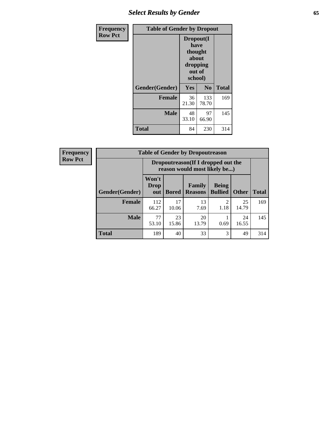# *Select Results by Gender* **65**

| <b>Frequency</b> | <b>Table of Gender by Dropout</b> |                                                                        |              |              |
|------------------|-----------------------------------|------------------------------------------------------------------------|--------------|--------------|
| <b>Row Pct</b>   |                                   | Dropout(I<br>have<br>thought<br>about<br>dropping<br>out of<br>school) |              |              |
|                  | Gender(Gender)                    | Yes                                                                    | No           | <b>Total</b> |
|                  | <b>Female</b>                     | 36<br>21.30                                                            | 133<br>78.70 | 169          |
|                  | <b>Male</b>                       | 48<br>33.10                                                            | 97<br>66.90  | 145          |
|                  | <b>Total</b>                      | 84                                                                     | 230          | 314          |

| <b>Frequency</b> |                | <b>Table of Gender by Dropoutreason</b>                            |              |                                 |                                |              |              |
|------------------|----------------|--------------------------------------------------------------------|--------------|---------------------------------|--------------------------------|--------------|--------------|
| <b>Row Pct</b>   |                | Dropoutreason(If I dropped out the<br>reason would most likely be) |              |                                 |                                |              |              |
|                  | Gender(Gender) | Won't<br><b>Drop</b><br>out                                        | <b>Bored</b> | <b>Family</b><br><b>Reasons</b> | <b>Being</b><br><b>Bullied</b> | <b>Other</b> | <b>Total</b> |
|                  | Female         | 112<br>66.27                                                       | 17<br>10.06  | 13<br>7.69                      | າ<br>1.18                      | 25<br>14.79  | 169          |
|                  | <b>Male</b>    | 77<br>53.10                                                        | 23<br>15.86  | 20<br>13.79                     | 0.69                           | 24<br>16.55  | 145          |
|                  | <b>Total</b>   | 189                                                                | 40           | 33                              | 3                              | 49           | 314          |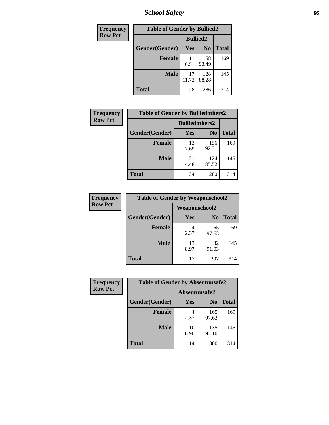*School Safety* **66**

| Frequency      | <b>Table of Gender by Bullied2</b> |                 |                |              |
|----------------|------------------------------------|-----------------|----------------|--------------|
| <b>Row Pct</b> |                                    | <b>Bullied2</b> |                |              |
|                | Gender(Gender)                     | Yes             | N <sub>0</sub> | <b>Total</b> |
|                | <b>Female</b>                      | 11<br>6.51      | 158<br>93.49   | 169          |
|                | <b>Male</b>                        | 17<br>11.72     | 128<br>88.28   | 145          |
|                | <b>Total</b>                       | 28              | 286            | 314          |

| Frequency      | <b>Table of Gender by Bulliedothers2</b> |                       |                |              |
|----------------|------------------------------------------|-----------------------|----------------|--------------|
| <b>Row Pct</b> |                                          | <b>Bulliedothers2</b> |                |              |
|                | Gender(Gender)                           | Yes                   | N <sub>0</sub> | <b>Total</b> |
|                | <b>Female</b>                            | 13<br>7.69            | 156<br>92.31   | 169          |
|                | <b>Male</b>                              | 21<br>14.48           | 124<br>85.52   | 145          |
|                | <b>Total</b>                             | 34                    | 280            | 314          |

| Frequency      | <b>Table of Gender by Weaponschool2</b> |                      |                |              |
|----------------|-----------------------------------------|----------------------|----------------|--------------|
| <b>Row Pct</b> |                                         | <b>Weaponschool2</b> |                |              |
|                | Gender(Gender)                          | Yes                  | N <sub>0</sub> | <b>Total</b> |
|                | <b>Female</b>                           | 2.37                 | 165<br>97.63   | 169          |
|                | <b>Male</b>                             | 13<br>8.97           | 132<br>91.03   | 145          |
|                | <b>Total</b>                            | 17                   | 297            | 314          |

| Frequency      | <b>Table of Gender by Absentunsafe2</b> |               |                |              |
|----------------|-----------------------------------------|---------------|----------------|--------------|
| <b>Row Pct</b> |                                         | Absentunsafe2 |                |              |
|                | Gender(Gender)                          | Yes           | N <sub>0</sub> | <b>Total</b> |
|                | <b>Female</b>                           | 4<br>2.37     | 165<br>97.63   | 169          |
|                | <b>Male</b>                             | 10<br>6.90    | 135<br>93.10   | 145          |
|                | <b>Total</b>                            | 14            | 300            | 314          |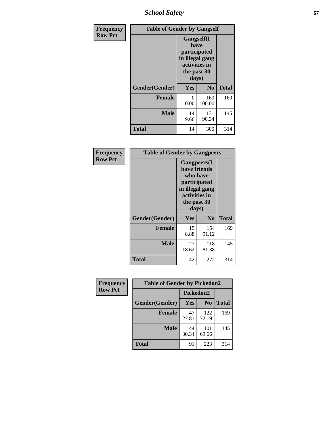*School Safety* **67**

| Frequency      | <b>Table of Gender by Gangself</b> |                                                                                                        |               |              |
|----------------|------------------------------------|--------------------------------------------------------------------------------------------------------|---------------|--------------|
| <b>Row Pct</b> |                                    | <b>Gangself</b> (I<br>have<br>participated<br>in illegal gang<br>activities in<br>the past 30<br>days) |               |              |
|                | Gender(Gender)                     | Yes                                                                                                    | $\bf No$      | <b>Total</b> |
|                | <b>Female</b>                      | 0<br>0.00                                                                                              | 169<br>100.00 | 169          |
|                | <b>Male</b>                        | 14<br>9.66                                                                                             | 131<br>90.34  | 145          |
|                | <b>Total</b>                       | 14                                                                                                     | 300           | 314          |

| Frequency      | <b>Table of Gender by Gangpeers</b> |                                                                                                                             |                |              |
|----------------|-------------------------------------|-----------------------------------------------------------------------------------------------------------------------------|----------------|--------------|
| <b>Row Pct</b> |                                     | <b>Gangpeers</b> (I<br>have friends<br>who have<br>participated<br>in illegal gang<br>activities in<br>the past 30<br>days) |                |              |
|                | Gender(Gender)                      | Yes                                                                                                                         | N <sub>0</sub> | <b>Total</b> |
|                | <b>Female</b>                       | 15<br>8.88                                                                                                                  | 154<br>91.12   | 169          |
|                | <b>Male</b>                         | 27<br>18.62                                                                                                                 | 118<br>81.38   | 145          |
|                | Total                               | 42                                                                                                                          | 272            | 314          |

| Frequency      | <b>Table of Gender by Pickedon2</b> |             |                |              |
|----------------|-------------------------------------|-------------|----------------|--------------|
| <b>Row Pct</b> |                                     | Pickedon2   |                |              |
|                | Gender(Gender)                      | Yes         | N <sub>0</sub> | <b>Total</b> |
|                | <b>Female</b>                       | 47<br>27.81 | 122<br>72.19   | 169          |
|                | <b>Male</b>                         | 44<br>30.34 | 101<br>69.66   | 145          |
|                | <b>Total</b>                        | 91          | 223            | 314          |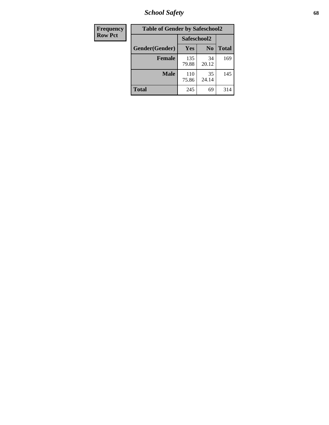*School Safety* **68**

| Frequency      | <b>Table of Gender by Safeschool2</b> |              |                |              |
|----------------|---------------------------------------|--------------|----------------|--------------|
| <b>Row Pct</b> |                                       | Safeschool2  |                |              |
|                | Gender(Gender)                        | Yes          | N <sub>0</sub> | <b>Total</b> |
|                | <b>Female</b>                         | 135<br>79.88 | 34<br>20.12    | 169          |
|                | <b>Male</b>                           | 110<br>75.86 | 35<br>24.14    | 145          |
|                | <b>Total</b>                          | 245          | 69             | 314          |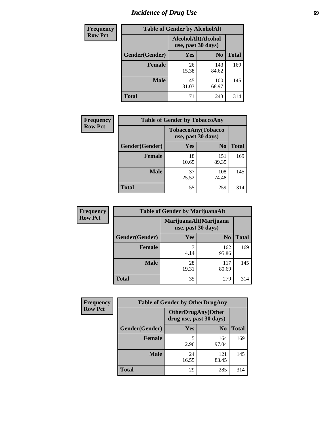# *Incidence of Drug Use* 69

| <b>Frequency</b> | <b>Table of Gender by AlcoholAlt</b>     |             |                |              |  |
|------------------|------------------------------------------|-------------|----------------|--------------|--|
| <b>Row Pct</b>   | AlcoholAlt(Alcohol<br>use, past 30 days) |             |                |              |  |
|                  | Gender(Gender)                           | Yes         | N <sub>0</sub> | <b>Total</b> |  |
|                  | <b>Female</b>                            | 26<br>15.38 | 143<br>84.62   | 169          |  |
|                  | <b>Male</b>                              | 45<br>31.03 | 100<br>68.97   | 145          |  |
|                  | <b>Total</b>                             | 71          | 243            | 314          |  |

| Frequency      | <b>Table of Gender by TobaccoAny</b> |                                          |                |              |
|----------------|--------------------------------------|------------------------------------------|----------------|--------------|
| <b>Row Pct</b> |                                      | TobaccoAny(Tobacco<br>use, past 30 days) |                |              |
|                | Gender(Gender)                       | Yes                                      | N <sub>0</sub> | <b>Total</b> |
|                | <b>Female</b>                        | 18<br>10.65                              | 151<br>89.35   | 169          |
|                | <b>Male</b>                          | 37<br>25.52                              | 108<br>74.48   | 145          |
|                | Total                                | 55                                       | 259            | 314          |

| <b>Frequency</b> | <b>Table of Gender by MarijuanaAlt</b> |                                              |                |              |
|------------------|----------------------------------------|----------------------------------------------|----------------|--------------|
| <b>Row Pct</b>   |                                        | MarijuanaAlt(Marijuana<br>use, past 30 days) |                |              |
|                  | Gender(Gender)                         | <b>Yes</b>                                   | N <sub>0</sub> | <b>Total</b> |
|                  | <b>Female</b>                          | 4.14                                         | 162<br>95.86   | 169          |
|                  | <b>Male</b>                            | 28<br>19.31                                  | 117<br>80.69   | 145          |
|                  | <b>Total</b>                           | 35                                           | 279            | 314          |

| <b>Frequency</b> | <b>Table of Gender by OtherDrugAny</b> |                                                      |                |              |
|------------------|----------------------------------------|------------------------------------------------------|----------------|--------------|
| <b>Row Pct</b>   |                                        | <b>OtherDrugAny(Other</b><br>drug use, past 30 days) |                |              |
|                  | Gender(Gender)                         | <b>Yes</b>                                           | N <sub>0</sub> | <b>Total</b> |
|                  | <b>Female</b>                          | 5<br>2.96                                            | 164<br>97.04   | 169          |
|                  | <b>Male</b>                            | 24<br>16.55                                          | 121<br>83.45   | 145          |
|                  | <b>Total</b>                           | 29                                                   | 285            | 314          |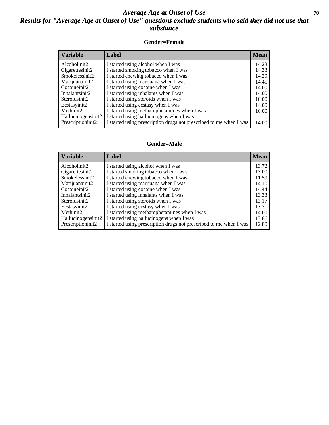### *Average Age at Onset of Use* **70** *Results for "Average Age at Onset of Use" questions exclude students who said they did not use that substance*

#### **Gender=Female**

| <b>Variable</b>    | <b>Label</b>                                                       | <b>Mean</b> |
|--------------------|--------------------------------------------------------------------|-------------|
| Alcoholinit2       | I started using alcohol when I was                                 | 14.23       |
| Cigarettesinit2    | I started smoking tobacco when I was                               | 14.33       |
| Smokelessinit2     | I started chewing tobacco when I was                               | 14.29       |
| Marijuanainit2     | I started using marijuana when I was                               | 14.45       |
| Cocaineinit2       | I started using cocaine when I was                                 | 14.00       |
| Inhalantsinit2     | I started using inhalants when I was                               | 14.00       |
| Steroidsinit2      | I started using steroids when I was                                | 16.00       |
| Ecstasyinit2       | I started using ecstasy when I was                                 | 14.00       |
| Methinit2          | I started using methamphetamines when I was                        | 16.00       |
| Hallucinogensinit2 | I started using hallucinogens when I was                           |             |
| Prescription in t2 | I started using prescription drugs not prescribed to me when I was | 14.00       |

#### **Gender=Male**

| <b>Variable</b>                 | Label                                                              | <b>Mean</b> |
|---------------------------------|--------------------------------------------------------------------|-------------|
| Alcoholinit2                    | I started using alcohol when I was                                 | 13.72       |
| Cigarettesinit2                 | I started smoking tobacco when I was                               | 13.00       |
| Smokelessinit2                  | I started chewing tobacco when I was                               | 11.59       |
| Marijuanainit2                  | I started using marijuana when I was                               | 14.10       |
| Cocaineinit2                    | I started using cocaine when I was                                 | 14.44       |
| Inhalantsinit2                  | I started using inhalants when I was                               | 13.33       |
| Steroidsinit2                   | I started using steroids when I was                                | 13.17       |
| Ecstasyinit2                    | I started using ecstasy when I was                                 | 13.71       |
| Methinit2                       | I started using methamphetamines when I was                        | 14.00       |
| Hallucinogensinit2              | I started using hallucinogens when I was                           | 13.86       |
| Prescription in it <sub>2</sub> | I started using prescription drugs not prescribed to me when I was | 12.80       |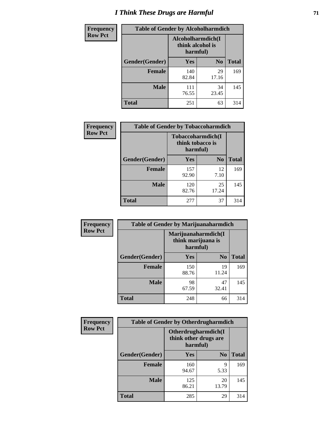# *I Think These Drugs are Harmful* **71**

| Frequency      | <b>Table of Gender by Alcoholharmdich</b> |                                                    |                |              |
|----------------|-------------------------------------------|----------------------------------------------------|----------------|--------------|
| <b>Row Pct</b> |                                           | Alcoholharmdich(I)<br>think alcohol is<br>harmful) |                |              |
|                | Gender(Gender)                            | Yes                                                | N <sub>0</sub> | <b>Total</b> |
|                | <b>Female</b>                             | 140<br>82.84                                       | 29<br>17.16    | 169          |
|                | <b>Male</b>                               | 111<br>76.55                                       | 34<br>23.45    | 145          |
|                | Total                                     | 251                                                | 63             | 314          |

| Frequency      | <b>Table of Gender by Tobaccoharmdich</b> |                              |                   |              |
|----------------|-------------------------------------------|------------------------------|-------------------|--------------|
| <b>Row Pct</b> |                                           | think tobacco is<br>harmful) | Tobaccoharmdich(I |              |
|                | Gender(Gender)                            | Yes                          | N <sub>0</sub>    | <b>Total</b> |
|                | <b>Female</b>                             | 157<br>92.90                 | 12<br>7.10        | 169          |
|                | <b>Male</b>                               | 120<br>82.76                 | 25<br>17.24       | 145          |
|                | <b>Total</b>                              | 277                          | 37                | 314          |

| Frequency      | <b>Table of Gender by Marijuanaharmdich</b> |                                                       |                |              |
|----------------|---------------------------------------------|-------------------------------------------------------|----------------|--------------|
| <b>Row Pct</b> |                                             | Marijuanaharmdich(I<br>think marijuana is<br>harmful) |                |              |
|                | Gender(Gender)                              | <b>Yes</b>                                            | N <sub>0</sub> | <b>Total</b> |
|                | <b>Female</b>                               | 150<br>88.76                                          | 19<br>11.24    | 169          |
|                | <b>Male</b>                                 | 98<br>67.59                                           | 47<br>32.41    | 145          |
|                | <b>Total</b>                                | 248                                                   | 66             | 314          |

| Frequency      | <b>Table of Gender by Otherdrugharmdich</b> |                                                          |                |              |
|----------------|---------------------------------------------|----------------------------------------------------------|----------------|--------------|
| <b>Row Pct</b> |                                             | Otherdrugharmdich(I<br>think other drugs are<br>harmful) |                |              |
|                | Gender(Gender)                              | <b>Yes</b>                                               | N <sub>0</sub> | <b>Total</b> |
|                | <b>Female</b>                               | 160<br>94.67                                             | 9<br>5.33      | 169          |
|                | <b>Male</b>                                 | 125<br>86.21                                             | 20<br>13.79    | 145          |
|                | <b>Total</b>                                | 285                                                      | 29             | 314          |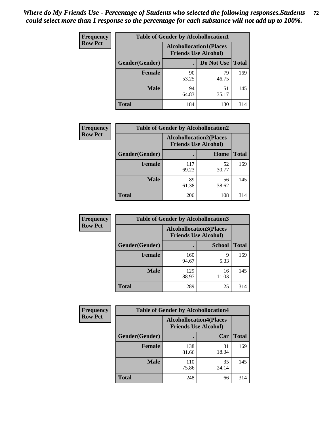| <b>Frequency</b> | <b>Table of Gender by Alcohollocation1</b> |             |                                                               |              |
|------------------|--------------------------------------------|-------------|---------------------------------------------------------------|--------------|
| <b>Row Pct</b>   |                                            |             | <b>Alcohollocation1(Places</b><br><b>Friends Use Alcohol)</b> |              |
|                  | Gender(Gender)                             |             | Do Not Use                                                    | <b>Total</b> |
|                  | <b>Female</b>                              | 90<br>53.25 | 79<br>46.75                                                   | 169          |
|                  | <b>Male</b>                                | 94<br>64.83 | 51<br>35.17                                                   | 145          |
|                  | <b>Total</b>                               | 184         | 130                                                           | 314          |

| <b>Frequency</b> | <b>Table of Gender by Alcohollocation2</b> |                                                               |             |              |
|------------------|--------------------------------------------|---------------------------------------------------------------|-------------|--------------|
| <b>Row Pct</b>   |                                            | <b>Alcohollocation2(Places</b><br><b>Friends Use Alcohol)</b> |             |              |
|                  | Gender(Gender)                             |                                                               | Home        | <b>Total</b> |
|                  | <b>Female</b>                              | 117<br>69.23                                                  | 52<br>30.77 | 169          |
|                  | <b>Male</b>                                | 89<br>61.38                                                   | 56<br>38.62 | 145          |
|                  | <b>Total</b>                               | 206                                                           | 108         | 314          |

| Frequency      | <b>Table of Gender by Alcohollocation3</b> |                                                               |               |              |
|----------------|--------------------------------------------|---------------------------------------------------------------|---------------|--------------|
| <b>Row Pct</b> |                                            | <b>Alcohollocation3(Places</b><br><b>Friends Use Alcohol)</b> |               |              |
|                | Gender(Gender)                             |                                                               | <b>School</b> | <b>Total</b> |
|                | <b>Female</b>                              | 160<br>94.67                                                  | 9<br>5.33     | 169          |
|                | <b>Male</b>                                | 129<br>88.97                                                  | 16<br>11.03   | 145          |
|                | <b>Total</b>                               | 289                                                           | 25            | 314          |

| Frequency      | <b>Table of Gender by Alcohollocation4</b> |                                                               |             |              |
|----------------|--------------------------------------------|---------------------------------------------------------------|-------------|--------------|
| <b>Row Pct</b> |                                            | <b>Alcohollocation4(Places</b><br><b>Friends Use Alcohol)</b> |             |              |
|                | Gender(Gender)                             |                                                               | Car         | <b>Total</b> |
|                | <b>Female</b>                              | 138<br>81.66                                                  | 31<br>18.34 | 169          |
|                | <b>Male</b>                                | 110<br>75.86                                                  | 35<br>24.14 | 145          |
|                | <b>Total</b>                               | 248                                                           | 66          | 314          |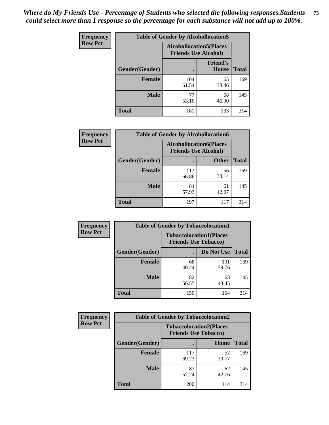| <b>Frequency</b> |                                                               | <b>Table of Gender by Alcohollocation5</b> |                                 |              |
|------------------|---------------------------------------------------------------|--------------------------------------------|---------------------------------|--------------|
| <b>Row Pct</b>   | <b>Alcohollocation5(Places</b><br><b>Friends Use Alcohol)</b> |                                            |                                 |              |
|                  | Gender(Gender)                                                | $\bullet$                                  | <b>Friend's</b><br><b>House</b> | <b>Total</b> |
|                  | <b>Female</b>                                                 | 104<br>61.54                               | 65<br>38.46                     | 169          |
|                  | <b>Male</b>                                                   | 77<br>53.10                                | 68<br>46.90                     | 145          |
|                  | <b>Total</b>                                                  | 181                                        | 133                             | 314          |

| Frequency      | <b>Table of Gender by Alcohollocation6</b> |                                                               |              |              |
|----------------|--------------------------------------------|---------------------------------------------------------------|--------------|--------------|
| <b>Row Pct</b> |                                            | <b>Alcohollocation6(Places</b><br><b>Friends Use Alcohol)</b> |              |              |
|                | <b>Gender</b> (Gender)                     |                                                               | <b>Other</b> | <b>Total</b> |
|                | Female                                     | 113<br>66.86                                                  | 56<br>33.14  | 169          |
|                | <b>Male</b>                                | 84<br>57.93                                                   | 61<br>42.07  | 145          |
|                | <b>Total</b>                               | 197                                                           | 117          | 314          |

| Frequency      | <b>Table of Gender by Tobaccolocation1</b>                    |             |              |              |  |
|----------------|---------------------------------------------------------------|-------------|--------------|--------------|--|
| <b>Row Pct</b> | <b>Tobaccolocation1(Places</b><br><b>Friends Use Tobacco)</b> |             |              |              |  |
|                | Gender(Gender)                                                |             | Do Not Use   | <b>Total</b> |  |
|                | Female                                                        | 68<br>40.24 | 101<br>59.76 | 169          |  |
|                | <b>Male</b>                                                   | 82<br>56.55 | 63<br>43.45  | 145          |  |
|                | <b>Total</b>                                                  | 150         | 164          | 314          |  |

| <b>Frequency</b> | <b>Table of Gender by Tobaccolocation2</b> |                             |                                |              |
|------------------|--------------------------------------------|-----------------------------|--------------------------------|--------------|
| <b>Row Pct</b>   |                                            | <b>Friends Use Tobacco)</b> | <b>Tobaccolocation2(Places</b> |              |
|                  | Gender(Gender)                             |                             | Home                           | <b>Total</b> |
|                  | Female                                     | 117<br>69.23                | 52<br>30.77                    | 169          |
|                  | <b>Male</b>                                | 83<br>57.24                 | 62<br>42.76                    | 145          |
|                  | <b>Total</b>                               | 200                         | 114                            | 314          |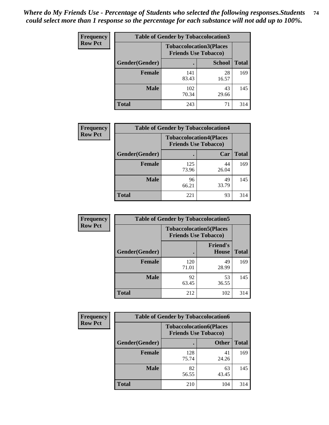| <b>Frequency</b> | <b>Table of Gender by Tobaccolocation3</b> |              |                                                               |              |
|------------------|--------------------------------------------|--------------|---------------------------------------------------------------|--------------|
| <b>Row Pct</b>   |                                            |              | <b>Tobaccolocation3(Places</b><br><b>Friends Use Tobacco)</b> |              |
|                  | Gender(Gender)                             |              | <b>School</b>                                                 | <b>Total</b> |
|                  | Female                                     | 141<br>83.43 | 28<br>16.57                                                   | 169          |
|                  | <b>Male</b>                                | 102<br>70.34 | 43<br>29.66                                                   | 145          |
|                  | <b>Total</b>                               | 243          | 71                                                            | 314          |

| <b>Frequency</b> | <b>Table of Gender by Tobaccolocation4</b> |              |                                                               |              |
|------------------|--------------------------------------------|--------------|---------------------------------------------------------------|--------------|
| <b>Row Pct</b>   |                                            |              | <b>Tobaccolocation4(Places</b><br><b>Friends Use Tobacco)</b> |              |
|                  | Gender(Gender)                             |              | Car                                                           | <b>Total</b> |
|                  | <b>Female</b>                              | 125<br>73.96 | 44<br>26.04                                                   | 169          |
|                  | <b>Male</b>                                | 96<br>66.21  | 49<br>33.79                                                   | 145          |
|                  | <b>Total</b>                               | 221          | 93                                                            | 314          |

| <b>Frequency</b> | <b>Table of Gender by Tobaccolocation5</b> |                                                               |                          |              |
|------------------|--------------------------------------------|---------------------------------------------------------------|--------------------------|--------------|
| <b>Row Pct</b>   |                                            | <b>Tobaccolocation5(Places</b><br><b>Friends Use Tobacco)</b> |                          |              |
|                  | Gender(Gender)                             |                                                               | <b>Friend's</b><br>House | <b>Total</b> |
|                  | <b>Female</b>                              | 120<br>71.01                                                  | 49<br>28.99              | 169          |
|                  | <b>Male</b>                                | 92<br>63.45                                                   | 53<br>36.55              | 145          |
|                  | <b>Total</b>                               | 212                                                           | 102                      | 314          |

| <b>Frequency</b> | <b>Table of Gender by Tobaccolocation6</b> |                             |                                |              |
|------------------|--------------------------------------------|-----------------------------|--------------------------------|--------------|
| <b>Row Pct</b>   |                                            | <b>Friends Use Tobacco)</b> | <b>Tobaccolocation6(Places</b> |              |
|                  | Gender(Gender)                             |                             | <b>Other</b>                   | <b>Total</b> |
|                  | Female                                     | 128<br>75.74                | 41<br>24.26                    | 169          |
|                  | <b>Male</b>                                | 82<br>56.55                 | 63<br>43.45                    | 145          |
|                  | <b>Total</b>                               | 210                         | 104                            | 314          |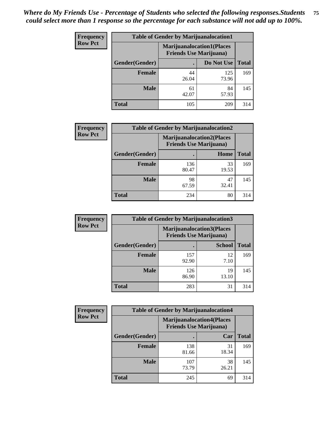| <b>Frequency</b> | <b>Table of Gender by Marijuanalocation1</b> |                                                                    |              |              |
|------------------|----------------------------------------------|--------------------------------------------------------------------|--------------|--------------|
| <b>Row Pct</b>   |                                              | <b>Marijuanalocation1(Places</b><br><b>Friends Use Marijuana</b> ) |              |              |
|                  | <b>Gender</b> (Gender)                       |                                                                    | Do Not Use   | <b>Total</b> |
|                  | <b>Female</b>                                | 44<br>26.04                                                        | 125<br>73.96 | 169          |
|                  | <b>Male</b>                                  | 61<br>42.07                                                        | 84<br>57.93  | 145          |
|                  | <b>Total</b>                                 | 105                                                                | 209          | 314          |

| <b>Frequency</b> | <b>Table of Gender by Marijuanalocation2</b> |                                                                    |             |              |  |
|------------------|----------------------------------------------|--------------------------------------------------------------------|-------------|--------------|--|
| <b>Row Pct</b>   |                                              | <b>Marijuanalocation2(Places</b><br><b>Friends Use Marijuana</b> ) |             |              |  |
|                  | Gender(Gender)                               |                                                                    | Home        | <b>Total</b> |  |
|                  | <b>Female</b>                                | 136<br>80.47                                                       | 33<br>19.53 | 169          |  |
|                  | <b>Male</b>                                  | 98<br>67.59                                                        | 47<br>32.41 | 145          |  |
|                  | <b>Total</b>                                 | 234                                                                | 80          | 314          |  |

| Frequency      | <b>Table of Gender by Marijuanalocation3</b> |              |                                                                    |              |
|----------------|----------------------------------------------|--------------|--------------------------------------------------------------------|--------------|
| <b>Row Pct</b> |                                              |              | <b>Marijuanalocation3(Places</b><br><b>Friends Use Marijuana</b> ) |              |
|                | Gender(Gender)                               |              | <b>School</b>                                                      | <b>Total</b> |
|                | Female                                       | 157<br>92.90 | 12<br>7.10                                                         | 169          |
|                | <b>Male</b>                                  | 126<br>86.90 | 19<br>13.10                                                        | 145          |
|                | <b>Total</b>                                 | 283          | 31                                                                 | 314          |

| <b>Frequency</b> |                | <b>Table of Gender by Marijuanalocation4</b> |                                  |              |
|------------------|----------------|----------------------------------------------|----------------------------------|--------------|
| <b>Row Pct</b>   |                | <b>Friends Use Marijuana</b> )               | <b>Marijuanalocation4(Places</b> |              |
|                  | Gender(Gender) |                                              | Car                              | <b>Total</b> |
|                  | <b>Female</b>  | 138<br>81.66                                 | 31<br>18.34                      | 169          |
|                  | <b>Male</b>    | 107<br>73.79                                 | 38<br>26.21                      | 145          |
|                  | <b>Total</b>   | 245                                          | 69                               | 314          |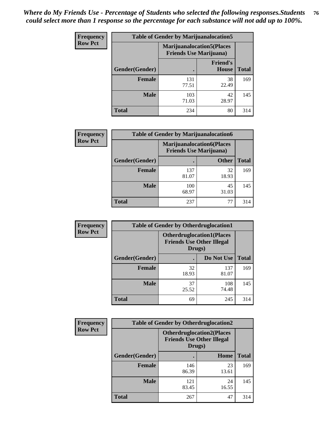| <b>Frequency</b> | <b>Table of Gender by Marijuanalocation5</b> |                                                                     |                          |              |
|------------------|----------------------------------------------|---------------------------------------------------------------------|--------------------------|--------------|
| <b>Row Pct</b>   |                                              | <b>Marijuanalocation5</b> (Places<br><b>Friends Use Marijuana</b> ) |                          |              |
|                  | Gender(Gender)                               |                                                                     | <b>Friend's</b><br>House | <b>Total</b> |
|                  | <b>Female</b>                                | 131<br>77.51                                                        | 38<br>22.49              | 169          |
|                  | <b>Male</b>                                  | 103<br>71.03                                                        | 42<br>28.97              | 145          |
|                  | <b>Total</b>                                 | 234                                                                 | 80                       | 314          |

| <b>Frequency</b> | <b>Table of Gender by Marijuanalocation6</b> |                                                                     |              |              |
|------------------|----------------------------------------------|---------------------------------------------------------------------|--------------|--------------|
| <b>Row Pct</b>   |                                              | <b>Marijuanalocation6(Places)</b><br><b>Friends Use Marijuana</b> ) |              |              |
|                  | Gender(Gender)                               |                                                                     | <b>Other</b> | <b>Total</b> |
|                  | <b>Female</b>                                | 137<br>81.07                                                        | 32<br>18.93  | 169          |
|                  | <b>Male</b>                                  | 100<br>68.97                                                        | 45<br>31.03  | 145          |
|                  | <b>Total</b>                                 | 237                                                                 | 77           | 314          |

| <b>Frequency</b> | <b>Table of Gender by Otherdruglocation1</b> |             |                                                                                |              |
|------------------|----------------------------------------------|-------------|--------------------------------------------------------------------------------|--------------|
| <b>Row Pct</b>   |                                              |             | <b>Otherdruglocation1(Places</b><br><b>Friends Use Other Illegal</b><br>Drugs) |              |
|                  | Gender(Gender)                               |             | Do Not Use                                                                     | <b>Total</b> |
|                  | <b>Female</b>                                | 32<br>18.93 | 137<br>81.07                                                                   | 169          |
|                  | <b>Male</b>                                  | 37<br>25.52 | 108<br>74.48                                                                   | 145          |
|                  | <b>Total</b>                                 | 69          | 245                                                                            | 314          |

| Frequency      | <b>Table of Gender by Otherdruglocation2</b> |                                                                                |             |              |
|----------------|----------------------------------------------|--------------------------------------------------------------------------------|-------------|--------------|
| <b>Row Pct</b> |                                              | <b>Otherdruglocation2(Places</b><br><b>Friends Use Other Illegal</b><br>Drugs) |             |              |
|                | Gender(Gender)                               |                                                                                | Home        | <b>Total</b> |
|                | Female                                       | 146<br>86.39                                                                   | 23<br>13.61 | 169          |
|                | <b>Male</b>                                  | 121<br>83.45                                                                   | 24<br>16.55 | 145          |
|                | <b>Total</b>                                 | 267                                                                            | 47          | 314          |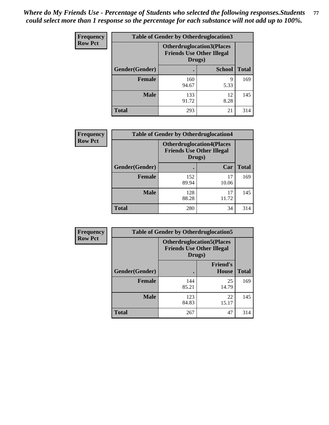| Frequency      | <b>Table of Gender by Otherdruglocation3</b> |                                                                                |               |              |
|----------------|----------------------------------------------|--------------------------------------------------------------------------------|---------------|--------------|
| <b>Row Pct</b> |                                              | <b>Otherdruglocation3(Places</b><br><b>Friends Use Other Illegal</b><br>Drugs) |               |              |
|                | Gender(Gender)                               |                                                                                | <b>School</b> | <b>Total</b> |
|                | <b>Female</b>                                | 160<br>94.67                                                                   | q<br>5.33     | 169          |
|                | <b>Male</b>                                  | 133<br>91.72                                                                   | 12<br>8.28    | 145          |
|                | <b>Total</b>                                 | 293                                                                            | 21            | 314          |

| Frequency      | <b>Table of Gender by Otherdruglocation4</b> |              |                                                                      |              |
|----------------|----------------------------------------------|--------------|----------------------------------------------------------------------|--------------|
| <b>Row Pct</b> |                                              | Drugs)       | <b>Otherdruglocation4(Places</b><br><b>Friends Use Other Illegal</b> |              |
|                | Gender(Gender)                               |              | Car                                                                  | <b>Total</b> |
|                | <b>Female</b>                                | 152<br>89.94 | 17<br>10.06                                                          | 169          |
|                | <b>Male</b>                                  | 128<br>88.28 | 17<br>11.72                                                          | 145          |
|                | <b>Total</b>                                 | 280          | 34                                                                   | 314          |

| <b>Frequency</b> | <b>Table of Gender by Otherdruglocation5</b> |              |                                                                      |              |
|------------------|----------------------------------------------|--------------|----------------------------------------------------------------------|--------------|
| <b>Row Pct</b>   |                                              | Drugs)       | <b>Otherdruglocation5(Places</b><br><b>Friends Use Other Illegal</b> |              |
|                  | Gender(Gender)                               |              | <b>Friend's</b><br>House                                             | <b>Total</b> |
|                  | <b>Female</b>                                | 144<br>85.21 | 25<br>14.79                                                          | 169          |
|                  | <b>Male</b>                                  | 123<br>84.83 | 22<br>15.17                                                          | 145          |
|                  | <b>Total</b>                                 | 267          | 47                                                                   | 314          |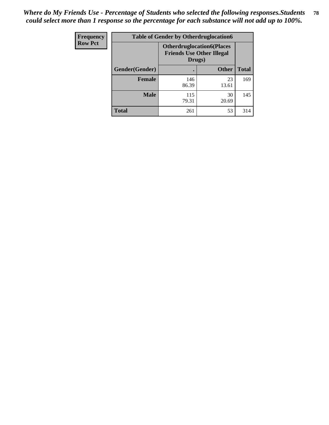| Frequency      | <b>Table of Gender by Otherdruglocation6</b> |                                                                                |              |              |
|----------------|----------------------------------------------|--------------------------------------------------------------------------------|--------------|--------------|
| <b>Row Pct</b> |                                              | <b>Otherdruglocation6(Places</b><br><b>Friends Use Other Illegal</b><br>Drugs) |              |              |
|                | Gender(Gender)                               |                                                                                | <b>Other</b> | <b>Total</b> |
|                | <b>Female</b>                                | 146<br>86.39                                                                   | 23<br>13.61  | 169          |
|                | <b>Male</b>                                  | 115<br>79.31                                                                   | 30<br>20.69  | 145          |
|                | <b>Total</b>                                 | 261                                                                            | 53           | 314          |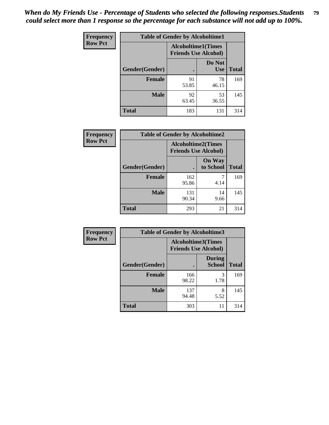| <b>Frequency</b> | <b>Table of Gender by Alcoholtime1</b> |                                                          |                      |              |
|------------------|----------------------------------------|----------------------------------------------------------|----------------------|--------------|
| <b>Row Pct</b>   |                                        | <b>Alcoholtime1(Times</b><br><b>Friends Use Alcohol)</b> |                      |              |
|                  | Gender(Gender)                         | $\bullet$                                                | Do Not<br><b>Use</b> | <b>Total</b> |
|                  | <b>Female</b>                          | 91<br>53.85                                              | 78<br>46.15          | 169          |
|                  | <b>Male</b>                            | 92<br>63.45                                              | 53<br>36.55          | 145          |
|                  | <b>Total</b>                           | 183                                                      | 131                  | 314          |

| Frequency      | <b>Table of Gender by Alcoholtime2</b> |                                                          |                            |              |
|----------------|----------------------------------------|----------------------------------------------------------|----------------------------|--------------|
| <b>Row Pct</b> |                                        | <b>Alcoholtime2(Times</b><br><b>Friends Use Alcohol)</b> |                            |              |
|                | Gender(Gender)                         |                                                          | <b>On Way</b><br>to School | <b>Total</b> |
|                | <b>Female</b>                          | 162<br>95.86                                             | 4.14                       | 169          |
|                | <b>Male</b>                            | 131<br>90.34                                             | 14<br>9.66                 | 145          |
|                | <b>Total</b>                           | 293                                                      | 21                         | 314          |

| Frequency      | <b>Table of Gender by Alcoholtime3</b> |                                                   |                                |              |
|----------------|----------------------------------------|---------------------------------------------------|--------------------------------|--------------|
| <b>Row Pct</b> |                                        | Alcoholtime3(Times<br><b>Friends Use Alcohol)</b> |                                |              |
|                | Gender(Gender)                         |                                                   | <b>During</b><br><b>School</b> | <b>Total</b> |
|                | <b>Female</b>                          | 166<br>98.22                                      | 3<br>1.78                      | 169          |
|                | <b>Male</b>                            | 137<br>94.48                                      | 8<br>5.52                      | 145          |
|                | <b>Total</b>                           | 303                                               | 11                             | 314          |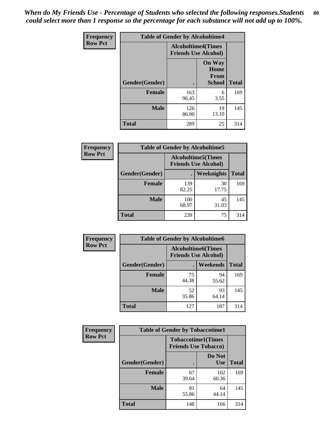*When do My Friends Use - Percentage of Students who selected the following responses.Students could select more than 1 response so the percentage for each substance will not add up to 100%.* **80**

| <b>Frequency</b> | <b>Table of Gender by Alcoholtime4</b> |                                                          |                                                       |              |
|------------------|----------------------------------------|----------------------------------------------------------|-------------------------------------------------------|--------------|
| <b>Row Pct</b>   |                                        | <b>Alcoholtime4(Times</b><br><b>Friends Use Alcohol)</b> |                                                       |              |
|                  | Gender(Gender)                         |                                                          | <b>On Way</b><br>Home<br><b>From</b><br><b>School</b> | <b>Total</b> |
|                  | <b>Female</b>                          | 163<br>96.45                                             | 6<br>3.55                                             | 169          |
|                  | <b>Male</b>                            | 126<br>86.90                                             | 19<br>13.10                                           | 145          |
|                  | <b>Total</b>                           | 289                                                      | 25                                                    | 314          |

| <b>Frequency</b> | <b>Table of Gender by Alcoholtime5</b> |                                                           |             |              |
|------------------|----------------------------------------|-----------------------------------------------------------|-------------|--------------|
| <b>Row Pct</b>   |                                        | <b>Alcoholtime5</b> (Times<br><b>Friends Use Alcohol)</b> |             |              |
|                  | Gender(Gender)                         |                                                           | Weeknights  | <b>Total</b> |
|                  | <b>Female</b>                          | 139<br>82.25                                              | 30<br>17.75 | 169          |
|                  | <b>Male</b>                            | 100<br>68.97                                              | 45<br>31.03 | 145          |
|                  | <b>Total</b>                           | 239                                                       | 75          | 314          |

| <b>Frequency</b> | <b>Table of Gender by Alcoholtime6</b> |             |                                                           |              |
|------------------|----------------------------------------|-------------|-----------------------------------------------------------|--------------|
| <b>Row Pct</b>   |                                        |             | <b>Alcoholtime6</b> (Times<br><b>Friends Use Alcohol)</b> |              |
|                  | Gender(Gender)                         |             | Weekends                                                  | <b>Total</b> |
|                  | Female                                 | 75<br>44.38 | 94<br>55.62                                               | 169          |
|                  | <b>Male</b>                            | 52<br>35.86 | 93<br>64.14                                               | 145          |
|                  | <b>Total</b>                           | 127         | 187                                                       | 314          |

| Frequency      | <b>Table of Gender by Tobaccotime1</b> |                                                          |                      |              |
|----------------|----------------------------------------|----------------------------------------------------------|----------------------|--------------|
| <b>Row Pct</b> |                                        | <b>Tobaccotime1(Times</b><br><b>Friends Use Tobacco)</b> |                      |              |
|                | Gender(Gender)                         |                                                          | Do Not<br><b>Use</b> | <b>Total</b> |
|                | <b>Female</b>                          | 67<br>39.64                                              | 102<br>60.36         | 169          |
|                | <b>Male</b>                            | 81<br>55.86                                              | 64<br>44.14          | 145          |
|                | <b>Total</b>                           | 148                                                      | 166                  | 314          |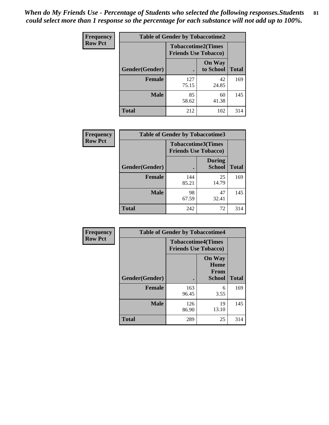*When do My Friends Use - Percentage of Students who selected the following responses.Students could select more than 1 response so the percentage for each substance will not add up to 100%.* **81**

| Frequency      | <b>Table of Gender by Tobaccotime2</b> |              |                                                          |              |
|----------------|----------------------------------------|--------------|----------------------------------------------------------|--------------|
| <b>Row Pct</b> |                                        |              | <b>Tobaccotime2(Times</b><br><b>Friends Use Tobacco)</b> |              |
|                | Gender(Gender)                         |              | <b>On Way</b><br>to School                               | <b>Total</b> |
|                | <b>Female</b>                          | 127<br>75.15 | 42<br>24.85                                              | 169          |
|                | <b>Male</b>                            | 85<br>58.62  | 60<br>41.38                                              | 145          |
|                | <b>Total</b>                           | 212          | 102                                                      | 314          |

| Frequency      | <b>Table of Gender by Tobaccotime3</b> |                                                          |                                |              |
|----------------|----------------------------------------|----------------------------------------------------------|--------------------------------|--------------|
| <b>Row Pct</b> |                                        | <b>Tobaccotime3(Times</b><br><b>Friends Use Tobacco)</b> |                                |              |
|                | Gender(Gender)                         |                                                          | <b>During</b><br><b>School</b> | <b>Total</b> |
|                | Female                                 | 144<br>85.21                                             | 25<br>14.79                    | 169          |
|                | <b>Male</b>                            | 98<br>67.59                                              | 47<br>32.41                    | 145          |
|                | <b>Total</b>                           | 242                                                      | 72                             | 314          |

| <b>Frequency</b> | <b>Table of Gender by Tobaccotime4</b> |                                                          |                                                       |              |
|------------------|----------------------------------------|----------------------------------------------------------|-------------------------------------------------------|--------------|
| <b>Row Pct</b>   |                                        | <b>Tobaccotime4(Times</b><br><b>Friends Use Tobacco)</b> |                                                       |              |
|                  | Gender(Gender)                         |                                                          | <b>On Way</b><br>Home<br><b>From</b><br><b>School</b> | <b>Total</b> |
|                  | <b>Female</b>                          | 163<br>96.45                                             | 6<br>3.55                                             | 169          |
|                  | <b>Male</b>                            | 126<br>86.90                                             | 19<br>13.10                                           | 145          |
|                  | <b>Total</b>                           | 289                                                      | 25                                                    | 314          |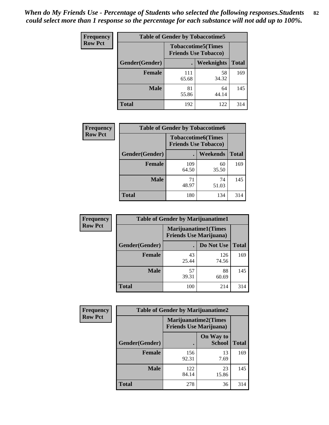| Frequency      | <b>Table of Gender by Tobaccotime5</b> |                                                          |             |              |
|----------------|----------------------------------------|----------------------------------------------------------|-------------|--------------|
| <b>Row Pct</b> |                                        | <b>Tobaccotime5(Times</b><br><b>Friends Use Tobacco)</b> |             |              |
|                | Gender(Gender)                         |                                                          | Weeknights  | <b>Total</b> |
|                | <b>Female</b>                          | 111<br>65.68                                             | 58<br>34.32 | 169          |
|                | <b>Male</b>                            | 81<br>55.86                                              | 64<br>44.14 | 145          |
|                | <b>Total</b>                           | 192                                                      | 122         | 314          |

| <b>Frequency</b> | <b>Table of Gender by Tobaccotime6</b> |                                                          |             |              |
|------------------|----------------------------------------|----------------------------------------------------------|-------------|--------------|
| <b>Row Pct</b>   |                                        | <b>Tobaccotime6(Times</b><br><b>Friends Use Tobacco)</b> |             |              |
|                  | Gender(Gender)                         |                                                          | Weekends    | <b>Total</b> |
|                  | Female                                 | 109<br>64.50                                             | 60<br>35.50 | 169          |
|                  | <b>Male</b>                            | 71<br>48.97                                              | 74<br>51.03 | 145          |
|                  | <b>Total</b>                           | 180                                                      | 134         | 314          |

| Frequency      | <b>Table of Gender by Marijuanatime1</b> |                                |                             |              |
|----------------|------------------------------------------|--------------------------------|-----------------------------|--------------|
| <b>Row Pct</b> |                                          | <b>Friends Use Marijuana</b> ) | <b>Marijuanatime1(Times</b> |              |
|                | Gender(Gender)                           |                                | Do Not Use                  | <b>Total</b> |
|                | <b>Female</b>                            | 43<br>25.44                    | 126<br>74.56                | 169          |
|                | <b>Male</b>                              | 57<br>39.31                    | 88<br>60.69                 | 145          |
|                | <b>Total</b>                             | 100                            | 214                         | 314          |

| <b>Frequency</b> | <b>Table of Gender by Marijuanatime2</b>                      |              |                            |              |
|------------------|---------------------------------------------------------------|--------------|----------------------------|--------------|
| <b>Row Pct</b>   | <b>Marijuanatime2(Times</b><br><b>Friends Use Marijuana</b> ) |              |                            |              |
|                  | Gender(Gender)                                                |              | On Way to<br><b>School</b> | <b>Total</b> |
|                  | <b>Female</b>                                                 | 156<br>92.31 | 13<br>7.69                 | 169          |
|                  | <b>Male</b>                                                   | 122<br>84.14 | 23<br>15.86                | 145          |
|                  | <b>Total</b>                                                  | 278          | 36                         | 314          |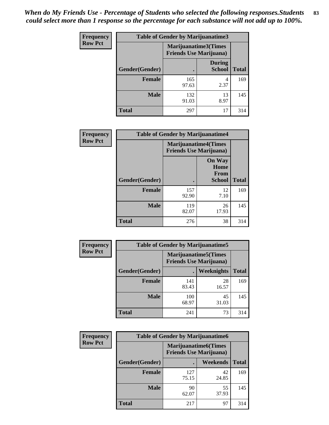*When do My Friends Use - Percentage of Students who selected the following responses.Students could select more than 1 response so the percentage for each substance will not add up to 100%.* **83**

| <b>Frequency</b> | Table of Gender by Marijuanatime3 |                                                        |                                |              |
|------------------|-----------------------------------|--------------------------------------------------------|--------------------------------|--------------|
| <b>Row Pct</b>   |                                   | Marijuanatime3(Times<br><b>Friends Use Marijuana</b> ) |                                |              |
|                  | Gender(Gender)                    |                                                        | <b>During</b><br><b>School</b> | <b>Total</b> |
|                  | <b>Female</b>                     | 165<br>97.63                                           | 4<br>2.37                      | 169          |
|                  | <b>Male</b>                       | 132<br>91.03                                           | 13<br>8.97                     | 145          |
|                  | <b>Total</b>                      | 297                                                    | 17                             | 314          |

| Frequency      | <b>Table of Gender by Marijuanatime4</b> |                             |                                                |              |
|----------------|------------------------------------------|-----------------------------|------------------------------------------------|--------------|
| <b>Row Pct</b> |                                          | <b>Marijuanatime4(Times</b> | <b>Friends Use Marijuana</b> )                 |              |
|                | Gender(Gender)                           |                             | <b>On Way</b><br>Home<br>From<br><b>School</b> | <b>Total</b> |
|                | <b>Female</b>                            | 157<br>92.90                | 12<br>7.10                                     | 169          |
|                | <b>Male</b>                              | 119<br>82.07                | 26<br>17.93                                    | 145          |
|                | <b>Total</b>                             | 276                         | 38                                             | 314          |

| <b>Frequency</b> | <b>Table of Gender by Marijuanatime5</b> |                                                                |             |              |  |
|------------------|------------------------------------------|----------------------------------------------------------------|-------------|--------------|--|
| <b>Row Pct</b>   |                                          | <b>Marijuanatime5</b> (Times<br><b>Friends Use Marijuana</b> ) |             |              |  |
|                  | Gender(Gender)                           |                                                                | Weeknights  | <b>Total</b> |  |
|                  | <b>Female</b>                            | 141<br>83.43                                                   | 28<br>16.57 | 169          |  |
|                  | <b>Male</b>                              | 100<br>68.97                                                   | 45<br>31.03 | 145          |  |
|                  | <b>Total</b>                             | 241                                                            | 73          | 314          |  |

| <b>Frequency</b> | <b>Table of Gender by Marijuanatime6</b> |                                                               |                 |              |
|------------------|------------------------------------------|---------------------------------------------------------------|-----------------|--------------|
| <b>Row Pct</b>   |                                          | <b>Marijuanatime6(Times</b><br><b>Friends Use Marijuana</b> ) |                 |              |
|                  | Gender(Gender)                           |                                                               | <b>Weekends</b> | <b>Total</b> |
|                  | <b>Female</b>                            | 127<br>75.15                                                  | 42<br>24.85     | 169          |
|                  | <b>Male</b>                              | 90<br>62.07                                                   | 55<br>37.93     | 145          |
|                  | <b>Total</b>                             | 217                                                           | 97              | 314          |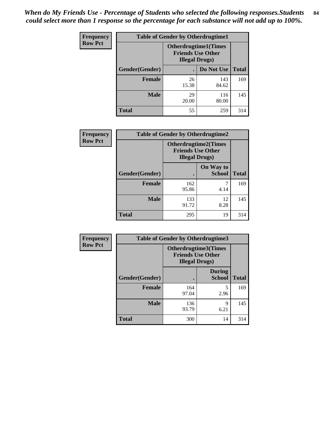*When do My Friends Use - Percentage of Students who selected the following responses.Students could select more than 1 response so the percentage for each substance will not add up to 100%.* **84**

| <b>Frequency</b> | <b>Table of Gender by Otherdrugtime1</b> |                                                                                    |              |              |
|------------------|------------------------------------------|------------------------------------------------------------------------------------|--------------|--------------|
| <b>Row Pct</b>   |                                          | <b>Otherdrugtime1</b> (Times<br><b>Friends Use Other</b><br><b>Illegal Drugs</b> ) |              |              |
|                  | Gender(Gender)                           |                                                                                    | Do Not Use   | <b>Total</b> |
|                  | <b>Female</b>                            | 26<br>15.38                                                                        | 143<br>84.62 | 169          |
|                  | <b>Male</b>                              | 29<br>20.00                                                                        | 116<br>80.00 | 145          |
|                  | <b>Total</b>                             | 55                                                                                 | 259          | 314          |

| Frequency      | <b>Table of Gender by Otherdrugtime2</b> |                                                                                   |                            |              |  |
|----------------|------------------------------------------|-----------------------------------------------------------------------------------|----------------------------|--------------|--|
| <b>Row Pct</b> |                                          | <b>Otherdrugtime2(Times</b><br><b>Friends Use Other</b><br><b>Illegal Drugs</b> ) |                            |              |  |
|                | Gender(Gender)                           |                                                                                   | On Way to<br><b>School</b> | <b>Total</b> |  |
|                | <b>Female</b>                            | 162<br>95.86                                                                      | 7<br>4.14                  | 169          |  |
|                | <b>Male</b>                              | 133<br>91.72                                                                      | 12<br>8.28                 | 145          |  |
|                | <b>Total</b>                             | 295                                                                               | 19                         | 314          |  |

| Frequency      | <b>Table of Gender by Otherdrugtime3</b> |                                                                                   |                                |              |  |
|----------------|------------------------------------------|-----------------------------------------------------------------------------------|--------------------------------|--------------|--|
| <b>Row Pct</b> |                                          | <b>Otherdrugtime3(Times</b><br><b>Friends Use Other</b><br><b>Illegal Drugs</b> ) |                                |              |  |
|                | Gender(Gender)                           |                                                                                   | <b>During</b><br><b>School</b> | <b>Total</b> |  |
|                | <b>Female</b>                            | 164<br>97.04                                                                      | 5<br>2.96                      | 169          |  |
|                | <b>Male</b>                              | 136<br>93.79                                                                      | 9<br>6.21                      | 145          |  |
|                | <b>Total</b>                             | 300                                                                               | 14                             | 314          |  |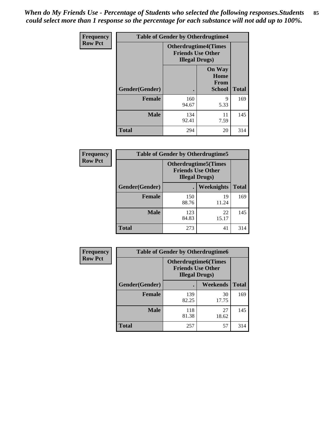*When do My Friends Use - Percentage of Students who selected the following responses.Students could select more than 1 response so the percentage for each substance will not add up to 100%.* **85**

| <b>Frequency</b> | <b>Table of Gender by Otherdrugtime4</b> |                                                                                   |                                                |              |  |
|------------------|------------------------------------------|-----------------------------------------------------------------------------------|------------------------------------------------|--------------|--|
| <b>Row Pct</b>   |                                          | <b>Otherdrugtime4(Times</b><br><b>Friends Use Other</b><br><b>Illegal Drugs</b> ) |                                                |              |  |
|                  | Gender(Gender)                           |                                                                                   | <b>On Way</b><br>Home<br>From<br><b>School</b> | <b>Total</b> |  |
|                  | Female                                   | 160<br>94.67                                                                      | 9<br>5.33                                      | 169          |  |
|                  | <b>Male</b>                              | 134<br>92.41                                                                      | 11<br>7.59                                     | 145          |  |
|                  | <b>Total</b>                             | 294                                                                               | 20                                             | 314          |  |

| Frequency      | <b>Table of Gender by Otherdrugtime5</b> |                                                                                    |             |              |
|----------------|------------------------------------------|------------------------------------------------------------------------------------|-------------|--------------|
| <b>Row Pct</b> |                                          | <b>Otherdrugtime5</b> (Times<br><b>Friends Use Other</b><br><b>Illegal Drugs</b> ) |             |              |
|                | Gender(Gender)                           |                                                                                    | Weeknights  | <b>Total</b> |
|                | <b>Female</b>                            | 150<br>88.76                                                                       | 19<br>11.24 | 169          |
|                | <b>Male</b>                              | 123<br>84.83                                                                       | 22<br>15.17 | 145          |
|                | <b>Total</b>                             | 273                                                                                | 41          | 314          |

| <b>Frequency</b> | <b>Table of Gender by Otherdrugtime6</b> |                                                                                   |             |              |  |
|------------------|------------------------------------------|-----------------------------------------------------------------------------------|-------------|--------------|--|
| <b>Row Pct</b>   |                                          | <b>Otherdrugtime6(Times</b><br><b>Friends Use Other</b><br><b>Illegal Drugs</b> ) |             |              |  |
|                  | Gender(Gender)                           |                                                                                   | Weekends    | <b>Total</b> |  |
|                  | <b>Female</b>                            | 139<br>82.25                                                                      | 30<br>17.75 | 169          |  |
|                  | <b>Male</b>                              | 118<br>81.38                                                                      | 27<br>18.62 | 145          |  |
|                  | <b>Total</b>                             | 257                                                                               | 57          | 314          |  |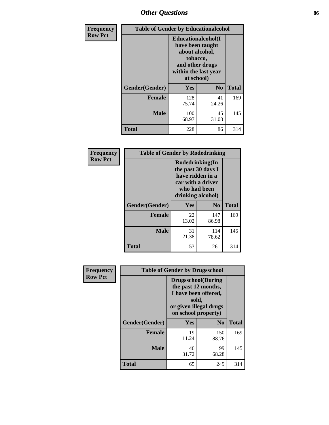# *Other Questions* **86**

| <b>Frequency</b> | <b>Table of Gender by Educationalcohol</b> |              |                                                                                                                                       |              |  |
|------------------|--------------------------------------------|--------------|---------------------------------------------------------------------------------------------------------------------------------------|--------------|--|
| <b>Row Pct</b>   |                                            |              | <b>Educationalcohol</b> (I<br>have been taught<br>about alcohol,<br>tobacco,<br>and other drugs<br>within the last year<br>at school) |              |  |
|                  | Gender(Gender)                             | <b>Yes</b>   | N <sub>0</sub>                                                                                                                        | <b>Total</b> |  |
|                  | <b>Female</b>                              | 128<br>75.74 | 41<br>24.26                                                                                                                           | 169          |  |
|                  | <b>Male</b>                                | 100<br>68.97 | 45<br>31.03                                                                                                                           | 145          |  |
|                  | <b>Total</b>                               | 228          | 86                                                                                                                                    | 314          |  |

| Frequency      | <b>Table of Gender by Rodedrinking</b> |                                                                                                                     |                |              |
|----------------|----------------------------------------|---------------------------------------------------------------------------------------------------------------------|----------------|--------------|
| <b>Row Pct</b> |                                        | Rodedrinking(In<br>the past 30 days I<br>have ridden in a<br>car with a driver<br>who had been<br>drinking alcohol) |                |              |
|                | Gender(Gender)                         | Yes                                                                                                                 | N <sub>0</sub> | <b>Total</b> |
|                | <b>Female</b>                          | 22<br>13.02                                                                                                         | 147<br>86.98   | 169          |
|                | <b>Male</b>                            | 31<br>21.38                                                                                                         | 114<br>78.62   | 145          |
|                | <b>Total</b>                           | 53                                                                                                                  | 261            | 314          |

| Frequency      | <b>Table of Gender by Drugsschool</b> |                                                                                                                                     |                |              |  |
|----------------|---------------------------------------|-------------------------------------------------------------------------------------------------------------------------------------|----------------|--------------|--|
| <b>Row Pct</b> |                                       | <b>Drugsschool</b> (During<br>the past 12 months,<br>I have been offered,<br>sold,<br>or given illegal drugs<br>on school property) |                |              |  |
|                | Gender(Gender)                        | Yes                                                                                                                                 | N <sub>0</sub> | <b>Total</b> |  |
|                | <b>Female</b>                         | 19<br>11.24                                                                                                                         | 150<br>88.76   | 169          |  |
|                | <b>Male</b>                           | 46<br>31.72                                                                                                                         | 99<br>68.28    | 145          |  |
|                | <b>Total</b>                          | 65                                                                                                                                  | 249            | 314          |  |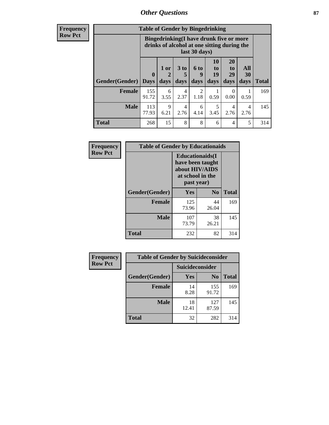## *Other Questions* **87**

**Frequency Row Pct**

| <b>Table of Gender by Bingedrinking</b> |                                                                                                         |           |           |           |                |                       |           |              |
|-----------------------------------------|---------------------------------------------------------------------------------------------------------|-----------|-----------|-----------|----------------|-----------------------|-----------|--------------|
|                                         | Bingedrinking(I have drunk five or more<br>drinks of alcohol at one sitting during the<br>last 30 days) |           |           |           |                |                       |           |              |
|                                         | $\mathbf 0$                                                                                             | 1 or      | 3 to<br>5 | 6 to<br>q | 10<br>to<br>19 | <b>20</b><br>to<br>29 | All<br>30 |              |
| <b>Gender</b> (Gender)                  | <b>Days</b>                                                                                             | days      | days      | days      | days           | days                  | days      | <b>Total</b> |
| <b>Female</b>                           | 155<br>91.72                                                                                            | 6<br>3.55 | 4<br>2.37 | 2<br>1.18 | 0.59           | 0<br>0.00             | 0.59      | 169          |
| <b>Male</b>                             | 113<br>77.93                                                                                            | 9<br>6.21 | 4<br>2.76 | 6<br>4.14 | 5<br>3.45      | 4<br>2.76             | 4<br>2.76 | 145          |

| Frequency      | <b>Table of Gender by Educationaids</b> |                                                                                                 |             |              |
|----------------|-----------------------------------------|-------------------------------------------------------------------------------------------------|-------------|--------------|
| <b>Row Pct</b> |                                         | <b>Educationaids</b> (I<br>have been taught<br>about HIV/AIDS<br>at school in the<br>past year) |             |              |
|                | Gender(Gender)                          | Yes                                                                                             | $\bf N_0$   | <b>Total</b> |
|                | <b>Female</b>                           | 125<br>73.96                                                                                    | 44<br>26.04 | 169          |
|                | <b>Male</b>                             | 107<br>73.79                                                                                    | 38<br>26.21 | 145          |
|                | <b>Total</b>                            | 232                                                                                             | 82          | 314          |

| <b>Frequency</b> | <b>Table of Gender by Suicideconsider</b> |                 |                |              |
|------------------|-------------------------------------------|-----------------|----------------|--------------|
| <b>Row Pct</b>   |                                           | Suicideconsider |                |              |
|                  | Gender(Gender)                            | Yes             | N <sub>0</sub> | <b>Total</b> |
|                  | <b>Female</b>                             | 14<br>8.28      | 155<br>91.72   | 169          |
|                  | <b>Male</b>                               | 18<br>12.41     | 127<br>87.59   | 145          |
|                  | <b>Total</b>                              | 32              | 282            | 314          |